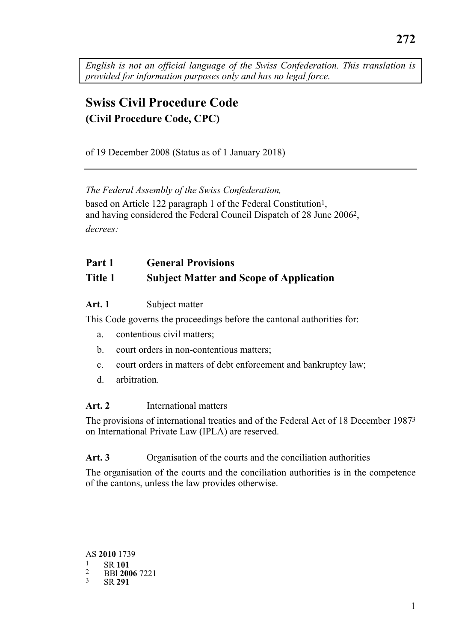*English is not an official language of the Swiss Confederation. This translation is provided for information purposes only and has no legal force.* 

# **Swiss Civil Procedure Code (Civil Procedure Code, CPC)**

of 19 December 2008 (Status as of 1 January 2018)

*The Federal Assembly of the Swiss Confederation,*  based on Article 122 paragraph 1 of the Federal Constitution<sup>1</sup>, and having considered the Federal Council Dispatch of 28 June 20062, *decrees:* 

# **Part 1 General Provisions Title 1 Subject Matter and Scope of Application**

**Art. 1** Subject matter

This Code governs the proceedings before the cantonal authorities for:

- a. contentious civil matters;
- b. court orders in non-contentious matters;
- c. court orders in matters of debt enforcement and bankruptcy law;
- d. arbitration.

#### **Art. 2** International matters

The provisions of international treaties and of the Federal Act of 18 December 19873 on International Private Law (IPLA) are reserved.

## Art. 3 Organisation of the courts and the conciliation authorities

The organisation of the courts and the conciliation authorities is in the competence of the cantons, unless the law provides otherwise.

 AS **2010** 1739 1 SR **<sup>101</sup>** 2 BBl **2006** 7221 3 SR **<sup>291</sup>**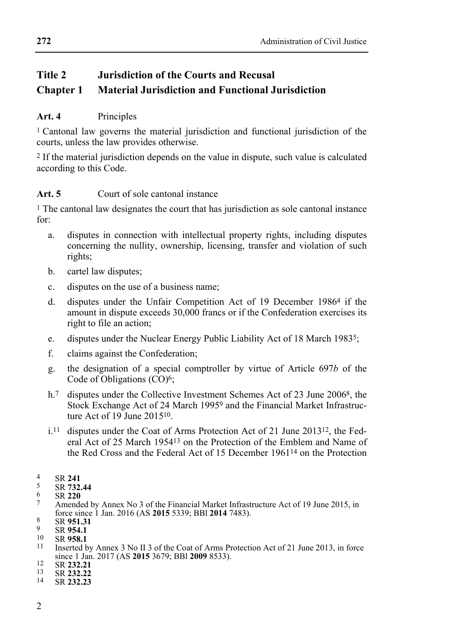# **Title 2 Jurisdiction of the Courts and Recusal Chapter 1 Material Jurisdiction and Functional Jurisdiction**

## **Art. 4** Principles

1 Cantonal law governs the material jurisdiction and functional jurisdiction of the courts, unless the law provides otherwise.

2 If the material jurisdiction depends on the value in dispute, such value is calculated according to this Code.

## **Art. 5** Court of sole cantonal instance

1 The cantonal law designates the court that has jurisdiction as sole cantonal instance for:

- a. disputes in connection with intellectual property rights, including disputes concerning the nullity, ownership, licensing, transfer and violation of such rights;
- b. cartel law disputes;
- c. disputes on the use of a business name;
- d. disputes under the Unfair Competition Act of 19 December 19864 if the amount in dispute exceeds 30,000 francs or if the Confederation exercises its right to file an action;
- e. disputes under the Nuclear Energy Public Liability Act of 18 March 19835;
- f. claims against the Confederation;
- g. the designation of a special comptroller by virtue of Article 697*b* of the Code of Obligations (CO)<sup>6</sup>;
- h.<sup>7</sup> disputes under the Collective Investment Schemes Act of 23 June 2006<sup>8</sup>, the Stock Exchange Act of 24 March 19959 and the Financial Market Infrastructure Act of 19 June 201510.
- i.11 disputes under the Coat of Arms Protection Act of 21 June 201312, the Federal Act of 25 March 195413 on the Protection of the Emblem and Name of the Red Cross and the Federal Act of 15 December 196114 on the Protection
- 
- 
- 
- 9 SR **732.44**<br>
5 SR **732.44**<br>
6 SR **220**<br>
7 Amended by Annex No 3 of the Financial Market Infrastructure Act of 19 June 2015, in<br>
force since 1 Jan. 2016 (AS **2015** 5339; BB1 **2014** 7483).
- 
- 
- 
- Force Since 1 Jan. 2016 (AS 2016). 12016 1916<br>
1 SR **954.1**<br>
10 SR **958.1**<br>
11 Inserted by Annex 3 No II 3 of the Coat of Arms Protection Act of 21 June 2013, in force since 1 Jan. 2017 (AS **2015** 3679; BBl **2009** 8533). 12 SR **232.21** 13 SR **232.22** 14 SR **232.23**
- 
- 
-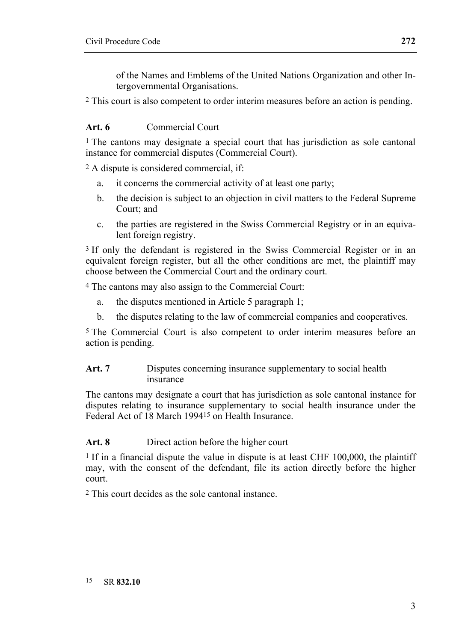of the Names and Emblems of the United Nations Organization and other Intergovernmental Organisations.

2 This court is also competent to order interim measures before an action is pending.

#### **Art. 6** Commercial Court

1 The cantons may designate a special court that has jurisdiction as sole cantonal instance for commercial disputes (Commercial Court).

2 A dispute is considered commercial, if:

- a. it concerns the commercial activity of at least one party;
- b. the decision is subject to an objection in civil matters to the Federal Supreme Court; and
- c. the parties are registered in the Swiss Commercial Registry or in an equivalent foreign registry.

3 If only the defendant is registered in the Swiss Commercial Register or in an equivalent foreign register, but all the other conditions are met, the plaintiff may choose between the Commercial Court and the ordinary court.

4 The cantons may also assign to the Commercial Court:

- a. the disputes mentioned in Article 5 paragraph 1;
- b. the disputes relating to the law of commercial companies and cooperatives.

5 The Commercial Court is also competent to order interim measures before an action is pending.

#### Art. 7 Disputes concerning insurance supplementary to social health insurance

The cantons may designate a court that has jurisdiction as sole cantonal instance for disputes relating to insurance supplementary to social health insurance under the Federal Act of 18 March 199415 on Health Insurance.

#### Art. 8 Direct action before the higher court

<sup>1</sup> If in a financial dispute the value in dispute is at least CHF 100,000, the plaintiff may, with the consent of the defendant, file its action directly before the higher court.

2 This court decides as the sole cantonal instance.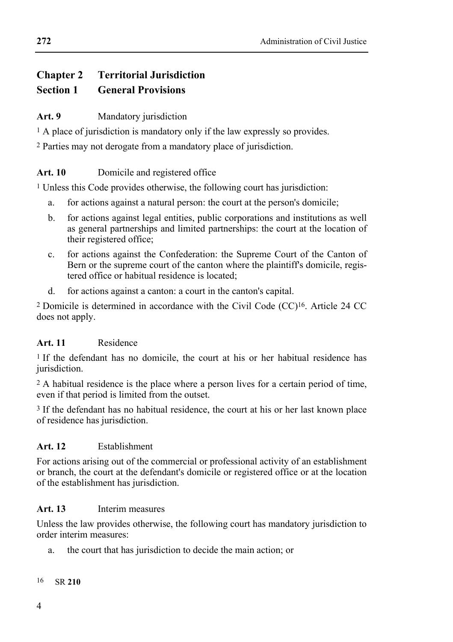# **Chapter 2 Territorial Jurisdiction Section 1 General Provisions**

# Art. 9 Mandatory jurisdiction

<sup>1</sup> A place of jurisdiction is mandatory only if the law expressly so provides.

2 Parties may not derogate from a mandatory place of jurisdiction.

## Art. 10 Domicile and registered office

1 Unless this Code provides otherwise, the following court has jurisdiction:

- a. for actions against a natural person: the court at the person's domicile;
- b. for actions against legal entities, public corporations and institutions as well as general partnerships and limited partnerships: the court at the location of their registered office;
- c. for actions against the Confederation: the Supreme Court of the Canton of Bern or the supreme court of the canton where the plaintiff's domicile, registered office or habitual residence is located;
- d. for actions against a canton: a court in the canton's capital.

2 Domicile is determined in accordance with the Civil Code (CC)16. Article 24 CC does not apply.

## **Art. 11** Residence

1 If the defendant has no domicile, the court at his or her habitual residence has jurisdiction.

2 A habitual residence is the place where a person lives for a certain period of time, even if that period is limited from the outset.

3 If the defendant has no habitual residence, the court at his or her last known place of residence has jurisdiction.

## **Art. 12** Establishment

For actions arising out of the commercial or professional activity of an establishment or branch, the court at the defendant's domicile or registered office or at the location of the establishment has jurisdiction.

## **Art. 13** Interim measures

Unless the law provides otherwise, the following court has mandatory jurisdiction to order interim measures:

a. the court that has jurisdiction to decide the main action; or

#### 16 SR **210**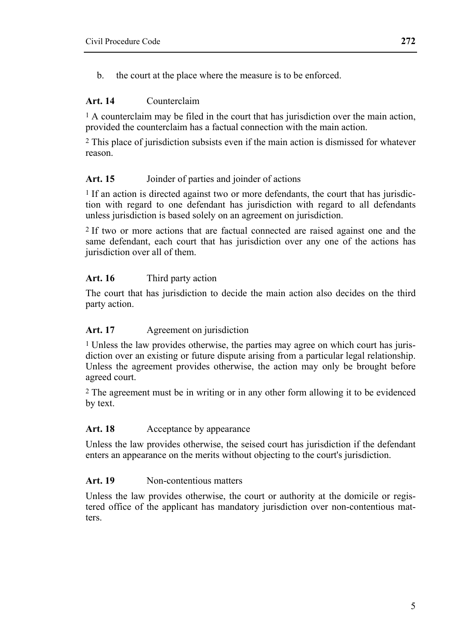b. the court at the place where the measure is to be enforced.

#### **Art. 14** Counterclaim

<sup>1</sup> A counterclaim may be filed in the court that has jurisdiction over the main action, provided the counterclaim has a factual connection with the main action.

2 This place of jurisdiction subsists even if the main action is dismissed for whatever reason.

#### Art. 15 Joinder of parties and joinder of actions

<sup>1</sup> If an action is directed against two or more defendants, the court that has jurisdiction with regard to one defendant has jurisdiction with regard to all defendants unless jurisdiction is based solely on an agreement on jurisdiction.

2 If two or more actions that are factual connected are raised against one and the same defendant, each court that has jurisdiction over any one of the actions has jurisdiction over all of them.

## **Art. 16** Third party action

The court that has jurisdiction to decide the main action also decides on the third party action.

#### Art. 17 Agreement on jurisdiction

1 Unless the law provides otherwise, the parties may agree on which court has jurisdiction over an existing or future dispute arising from a particular legal relationship. Unless the agreement provides otherwise, the action may only be brought before agreed court.

2 The agreement must be in writing or in any other form allowing it to be evidenced by text.

#### Art. 18 Acceptance by appearance

Unless the law provides otherwise, the seised court has jurisdiction if the defendant enters an appearance on the merits without objecting to the court's jurisdiction.

## **Art. 19** Non-contentious matters

Unless the law provides otherwise, the court or authority at the domicile or registered office of the applicant has mandatory jurisdiction over non-contentious matters.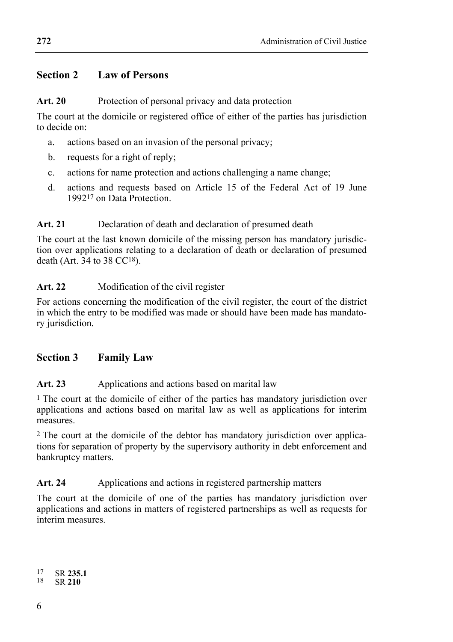#### **Section 2 Law of Persons**

#### Art. 20 Protection of personal privacy and data protection

The court at the domicile or registered office of either of the parties has jurisdiction to decide on:

- a. actions based on an invasion of the personal privacy;
- b. requests for a right of reply;
- c. actions for name protection and actions challenging a name change;
- d. actions and requests based on Article 15 of the Federal Act of 19 June 199217 on Data Protection.

#### **Art. 21** Declaration of death and declaration of presumed death

The court at the last known domicile of the missing person has mandatory jurisdiction over applications relating to a declaration of death or declaration of presumed death  $(Art. 34 to 38 CC<sup>18</sup>)$ .

#### **Art. 22** Modification of the civil register

For actions concerning the modification of the civil register, the court of the district in which the entry to be modified was made or should have been made has mandatory jurisdiction.

#### **Section 3 Family Law**

#### Art. 23 Applications and actions based on marital law

1 The court at the domicile of either of the parties has mandatory jurisdiction over applications and actions based on marital law as well as applications for interim measures.

2 The court at the domicile of the debtor has mandatory jurisdiction over applications for separation of property by the supervisory authority in debt enforcement and bankruptcy matters.

#### Art. 24 Applications and actions in registered partnership matters

The court at the domicile of one of the parties has mandatory jurisdiction over applications and actions in matters of registered partnerships as well as requests for interim measures.

17 SR **235.1** 18 SR **210**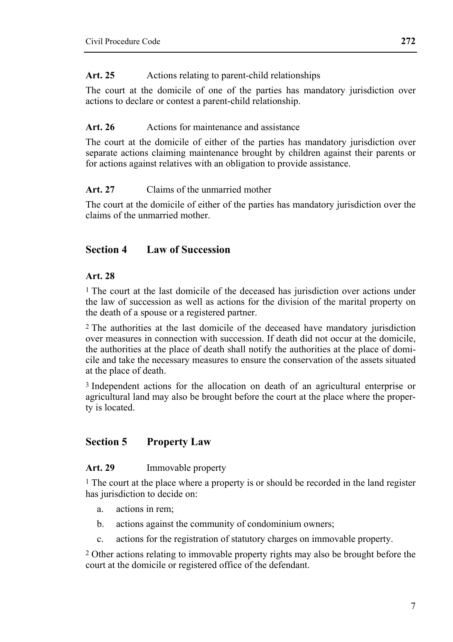The court at the domicile of one of the parties has mandatory jurisdiction over actions to declare or contest a parent-child relationship.

## Art. 26 Actions for maintenance and assistance

The court at the domicile of either of the parties has mandatory jurisdiction over separate actions claiming maintenance brought by children against their parents or for actions against relatives with an obligation to provide assistance.

# **Art. 27** Claims of the unmarried mother

The court at the domicile of either of the parties has mandatory jurisdiction over the claims of the unmarried mother.

# **Section 4 Law of Succession**

#### **Art. 28**

1 The court at the last domicile of the deceased has jurisdiction over actions under the law of succession as well as actions for the division of the marital property on the death of a spouse or a registered partner.

2 The authorities at the last domicile of the deceased have mandatory jurisdiction over measures in connection with succession. If death did not occur at the domicile, the authorities at the place of death shall notify the authorities at the place of domicile and take the necessary measures to ensure the conservation of the assets situated at the place of death.

3 Independent actions for the allocation on death of an agricultural enterprise or agricultural land may also be brought before the court at the place where the property is located.

# **Section 5 Property Law**

## **Art. 29** Immovable property

<sup>1</sup> The court at the place where a property is or should be recorded in the land register has jurisdiction to decide on:

- a. actions in rem;
- b. actions against the community of condominium owners;
- c. actions for the registration of statutory charges on immovable property.

2 Other actions relating to immovable property rights may also be brought before the court at the domicile or registered office of the defendant.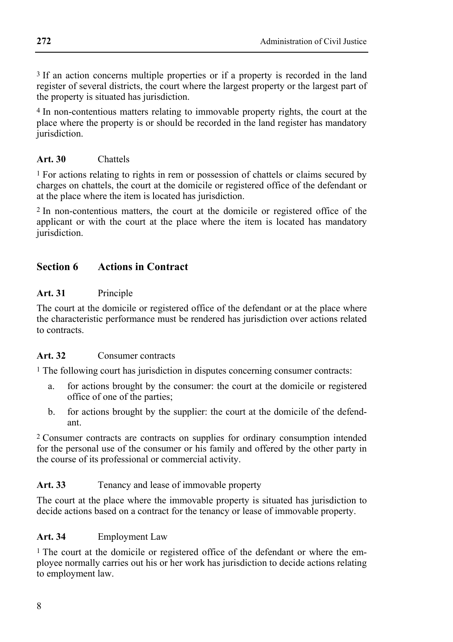3 If an action concerns multiple properties or if a property is recorded in the land register of several districts, the court where the largest property or the largest part of the property is situated has jurisdiction.

4 In non-contentious matters relating to immovable property rights, the court at the place where the property is or should be recorded in the land register has mandatory jurisdiction.

#### **Art. 30** Chattels

<sup>1</sup> For actions relating to rights in rem or possession of chattels or claims secured by charges on chattels, the court at the domicile or registered office of the defendant or at the place where the item is located has jurisdiction.

2 In non-contentious matters, the court at the domicile or registered office of the applicant or with the court at the place where the item is located has mandatory jurisdiction.

# **Section 6 Actions in Contract**

#### **Art. 31** Principle

The court at the domicile or registered office of the defendant or at the place where the characteristic performance must be rendered has jurisdiction over actions related to contracts.

#### **Art. 32** Consumer contracts

1 The following court has jurisdiction in disputes concerning consumer contracts:

- a. for actions brought by the consumer: the court at the domicile or registered office of one of the parties;
- b. for actions brought by the supplier: the court at the domicile of the defendant.

2 Consumer contracts are contracts on supplies for ordinary consumption intended for the personal use of the consumer or his family and offered by the other party in the course of its professional or commercial activity.

#### Art. 33 Tenancy and lease of immovable property

The court at the place where the immovable property is situated has jurisdiction to decide actions based on a contract for the tenancy or lease of immovable property.

#### **Art. 34** Employment Law

1 The court at the domicile or registered office of the defendant or where the employee normally carries out his or her work has jurisdiction to decide actions relating to employment law.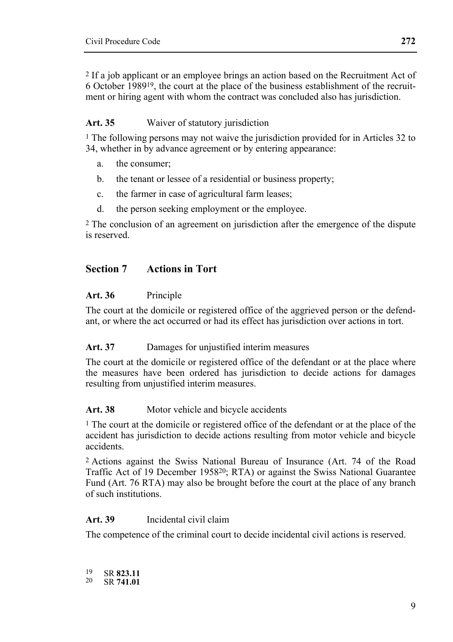2 If a job applicant or an employee brings an action based on the Recruitment Act of 6 October 198919, the court at the place of the business establishment of the recruitment or hiring agent with whom the contract was concluded also has jurisdiction.

#### **Art. 35** Waiver of statutory jurisdiction

<sup>1</sup> The following persons may not waive the jurisdiction provided for in Articles 32 to 34, whether in by advance agreement or by entering appearance:

- a. the consumer;
- b. the tenant or lessee of a residential or business property;
- c. the farmer in case of agricultural farm leases;
- d. the person seeking employment or the employee.

2 The conclusion of an agreement on jurisdiction after the emergence of the dispute is reserved.

#### **Section 7 Actions in Tort**

#### **Art. 36** Principle

The court at the domicile or registered office of the aggrieved person or the defendant, or where the act occurred or had its effect has jurisdiction over actions in tort.

#### Art. 37 Damages for unjustified interim measures

The court at the domicile or registered office of the defendant or at the place where the measures have been ordered has jurisdiction to decide actions for damages resulting from unjustified interim measures.

#### Art. 38 Motor vehicle and bicycle accidents

<sup>1</sup> The court at the domicile or registered office of the defendant or at the place of the accident has jurisdiction to decide actions resulting from motor vehicle and bicycle accidents.

2 Actions against the Swiss National Bureau of Insurance (Art. 74 of the Road Traffic Act of 19 December 195820; RTA) or against the Swiss National Guarantee Fund (Art. 76 RTA) may also be brought before the court at the place of any branch of such institutions.

#### **Art. 39** Incidental civil claim

The competence of the criminal court to decide incidental civil actions is reserved.

19 SR **823.11** 20 SR **741.01**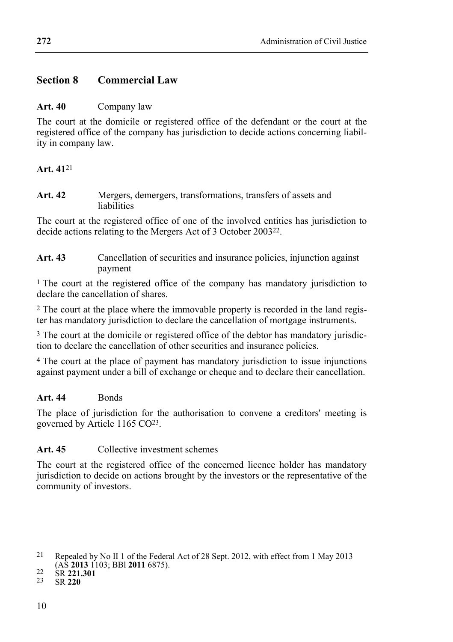## **Section 8 Commercial Law**

#### **Art. 40** Company law

The court at the domicile or registered office of the defendant or the court at the registered office of the company has jurisdiction to decide actions concerning liability in company law.

## **Art. 41**21

**Art. 42** Mergers, demergers, transformations, transfers of assets and liabilities

The court at the registered office of one of the involved entities has jurisdiction to decide actions relating to the Mergers Act of 3 October 200322.

**Art. 43** Cancellation of securities and insurance policies, injunction against payment

1 The court at the registered office of the company has mandatory jurisdiction to declare the cancellation of shares.

2 The court at the place where the immovable property is recorded in the land register has mandatory jurisdiction to declare the cancellation of mortgage instruments.

<sup>3</sup> The court at the domicile or registered office of the debtor has mandatory jurisdiction to declare the cancellation of other securities and insurance policies.

4 The court at the place of payment has mandatory jurisdiction to issue injunctions against payment under a bill of exchange or cheque and to declare their cancellation.

## Art. 44 Bonds

The place of jurisdiction for the authorisation to convene a creditors' meeting is governed by Article 1165 CO23.

## **Art. 45** Collective investment schemes

The court at the registered office of the concerned licence holder has mandatory jurisdiction to decide on actions brought by the investors or the representative of the community of investors.

<sup>21</sup> Repealed by No II 1 of the Federal Act of 28 Sept. 2012, with effect from 1 May 2013 (AS **2013** 1103; BBl **2011** 6875). 22 SR **221.301** 23 SR **220**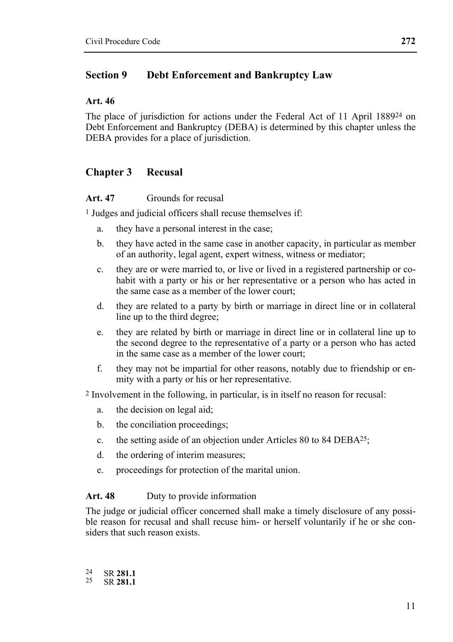#### **Section 9 Debt Enforcement and Bankruptcy Law**

#### **Art. 46**

The place of jurisdiction for actions under the Federal Act of 11 April 188924 on Debt Enforcement and Bankruptcy (DEBA) is determined by this chapter unless the DEBA provides for a place of jurisdiction.

#### **Chapter 3 Recusal**

#### **Art. 47** Grounds for recusal

1 Judges and judicial officers shall recuse themselves if:

- a. they have a personal interest in the case;
- b. they have acted in the same case in another capacity, in particular as member of an authority, legal agent, expert witness, witness or mediator;
- c. they are or were married to, or live or lived in a registered partnership or cohabit with a party or his or her representative or a person who has acted in the same case as a member of the lower court;
- d. they are related to a party by birth or marriage in direct line or in collateral line up to the third degree;
- e. they are related by birth or marriage in direct line or in collateral line up to the second degree to the representative of a party or a person who has acted in the same case as a member of the lower court;
- f. they may not be impartial for other reasons, notably due to friendship or enmity with a party or his or her representative.

2 Involvement in the following, in particular, is in itself no reason for recusal:

- a. the decision on legal aid;
- b. the conciliation proceedings;
- c. the setting aside of an objection under Articles 80 to 84 DEBA25;
- d. the ordering of interim measures;
- e. proceedings for protection of the marital union.

#### Art. 48 Duty to provide information

The judge or judicial officer concerned shall make a timely disclosure of any possible reason for recusal and shall recuse him- or herself voluntarily if he or she considers that such reason exists.

24 SR **281.1** 25 SR **281.1**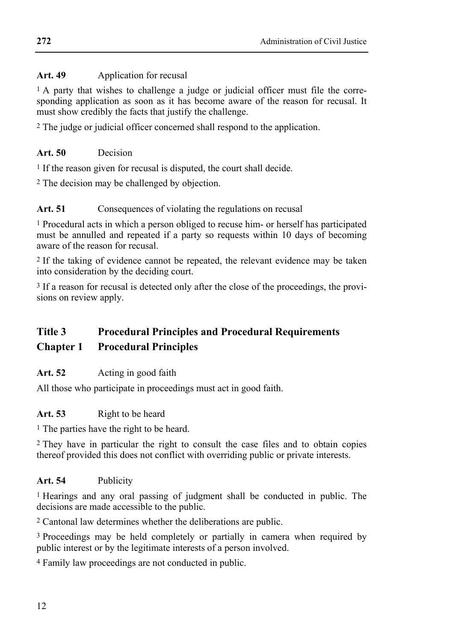## Art. 49 Application for recusal

1 A party that wishes to challenge a judge or judicial officer must file the corresponding application as soon as it has become aware of the reason for recusal. It must show credibly the facts that justify the challenge.

2 The judge or judicial officer concerned shall respond to the application.

#### **Art. 50** Decision

<sup>1</sup> If the reason given for recusal is disputed, the court shall decide.

2 The decision may be challenged by objection.

## Art. 51 Consequences of violating the regulations on recusal

1 Procedural acts in which a person obliged to recuse him- or herself has participated must be annulled and repeated if a party so requests within 10 days of becoming aware of the reason for recusal.

2 If the taking of evidence cannot be repeated, the relevant evidence may be taken into consideration by the deciding court.

3 If a reason for recusal is detected only after the close of the proceedings, the provisions on review apply.

# **Title 3 Procedural Principles and Procedural Requirements Chapter 1 Procedural Principles**

#### Art. 52 Acting in good faith

All those who participate in proceedings must act in good faith.

## Art. 53 Right to be heard

1 The parties have the right to be heard.

2 They have in particular the right to consult the case files and to obtain copies thereof provided this does not conflict with overriding public or private interests.

#### **Art. 54** Publicity

1 Hearings and any oral passing of judgment shall be conducted in public. The decisions are made accessible to the public.

2 Cantonal law determines whether the deliberations are public.

3 Proceedings may be held completely or partially in camera when required by public interest or by the legitimate interests of a person involved.

4 Family law proceedings are not conducted in public.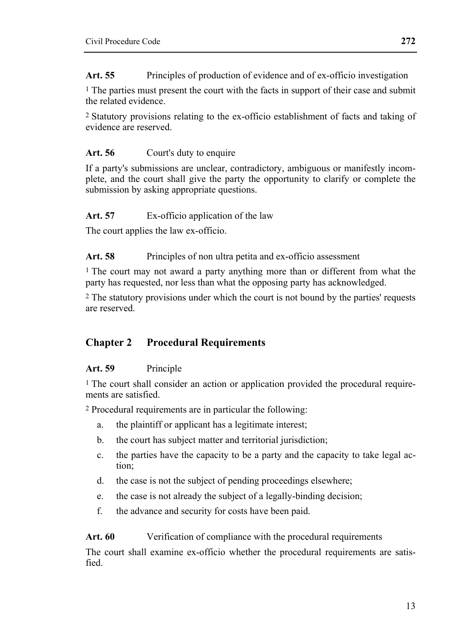**Art. 55** Principles of production of evidence and of ex-officio investigation

1 The parties must present the court with the facts in support of their case and submit the related evidence.

2 Statutory provisions relating to the ex-officio establishment of facts and taking of evidence are reserved.

#### **Art. 56** Court's duty to enquire

If a party's submissions are unclear, contradictory, ambiguous or manifestly incomplete, and the court shall give the party the opportunity to clarify or complete the submission by asking appropriate questions.

#### Art. 57 Ex-officio application of the law

The court applies the law ex-officio.

Art. 58 Principles of non ultra petita and ex-officio assessment

1 The court may not award a party anything more than or different from what the party has requested, nor less than what the opposing party has acknowledged.

2 The statutory provisions under which the court is not bound by the parties' requests are reserved.

# **Chapter 2 Procedural Requirements**

#### **Art. 59** Principle

1 The court shall consider an action or application provided the procedural requirements are satisfied.

2 Procedural requirements are in particular the following:

- a. the plaintiff or applicant has a legitimate interest;
- b. the court has subject matter and territorial jurisdiction;
- c. the parties have the capacity to be a party and the capacity to take legal action;
- d. the case is not the subject of pending proceedings elsewhere;
- e. the case is not already the subject of a legally-binding decision;
- f. the advance and security for costs have been paid.

Art. 60 Verification of compliance with the procedural requirements

The court shall examine ex-officio whether the procedural requirements are satisfied.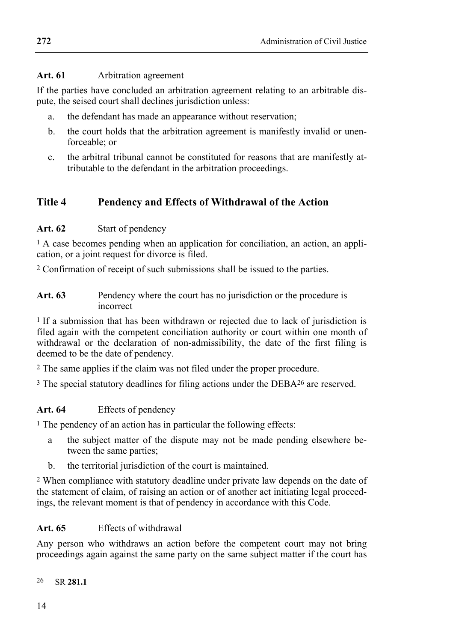#### **Art. 61** Arbitration agreement

If the parties have concluded an arbitration agreement relating to an arbitrable dispute, the seised court shall declines jurisdiction unless:

- a. the defendant has made an appearance without reservation;
- b. the court holds that the arbitration agreement is manifestly invalid or unenforceable; or
- c. the arbitral tribunal cannot be constituted for reasons that are manifestly attributable to the defendant in the arbitration proceedings.

# **Title 4 Pendency and Effects of Withdrawal of the Action**

#### **Art. 62** Start of pendency

1 A case becomes pending when an application for conciliation, an action, an application, or a joint request for divorce is filed.

2 Confirmation of receipt of such submissions shall be issued to the parties.

Art. 63 Pendency where the court has no jurisdiction or the procedure is incorrect

<sup>1</sup> If a submission that has been withdrawn or rejected due to lack of jurisdiction is filed again with the competent conciliation authority or court within one month of withdrawal or the declaration of non-admissibility, the date of the first filing is deemed to be the date of pendency.

2 The same applies if the claim was not filed under the proper procedure.

3 The special statutory deadlines for filing actions under the DEBA26 are reserved.

## **Art. 64** Effects of pendency

<sup>1</sup> The pendency of an action has in particular the following effects:

- a the subject matter of the dispute may not be made pending elsewhere between the same parties;
- b. the territorial jurisdiction of the court is maintained.

2 When compliance with statutory deadline under private law depends on the date of the statement of claim, of raising an action or of another act initiating legal proceedings, the relevant moment is that of pendency in accordance with this Code.

## **Art. 65** Effects of withdrawal

Any person who withdraws an action before the competent court may not bring proceedings again against the same party on the same subject matter if the court has

26 SR **281.1**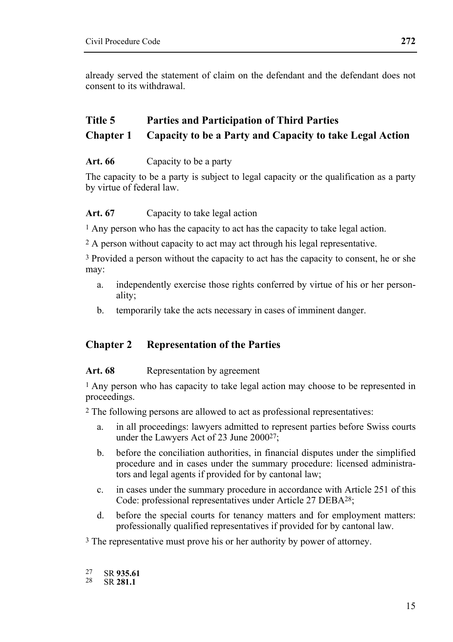already served the statement of claim on the defendant and the defendant does not consent to its withdrawal.

# **Title 5 Parties and Participation of Third Parties Chapter 1 Capacity to be a Party and Capacity to take Legal Action**

#### **Art. 66** Capacity to be a party

The capacity to be a party is subject to legal capacity or the qualification as a party by virtue of federal law.

#### Art. 67 Capacity to take legal action

1 Any person who has the capacity to act has the capacity to take legal action.

2 A person without capacity to act may act through his legal representative.

3 Provided a person without the capacity to act has the capacity to consent, he or she may:

- a. independently exercise those rights conferred by virtue of his or her personality;
- b. temporarily take the acts necessary in cases of imminent danger.

# **Chapter 2 Representation of the Parties**

#### Art. 68 Representation by agreement

1 Any person who has capacity to take legal action may choose to be represented in proceedings.

2 The following persons are allowed to act as professional representatives:

- a. in all proceedings: lawyers admitted to represent parties before Swiss courts under the Lawyers Act of 23 June 2000<sup>27</sup>;
- b. before the conciliation authorities, in financial disputes under the simplified procedure and in cases under the summary procedure: licensed administrators and legal agents if provided for by cantonal law;
- c. in cases under the summary procedure in accordance with Article 251 of this Code: professional representatives under Article 27 DEBA28;
- d. before the special courts for tenancy matters and for employment matters: professionally qualified representatives if provided for by cantonal law.

<sup>3</sup> The representative must prove his or her authority by power of attorney.

27 SR **935.61** 28 SR **281.1**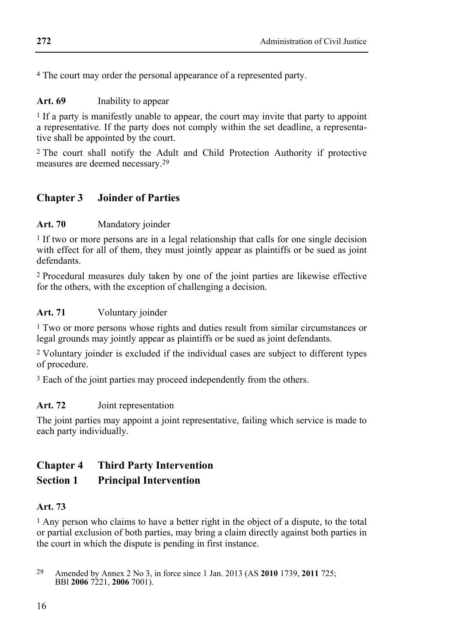4 The court may order the personal appearance of a represented party.

#### **Art. 69** Inability to appear

1 If a party is manifestly unable to appear, the court may invite that party to appoint a representative. If the party does not comply within the set deadline, a representative shall be appointed by the court.

2 The court shall notify the Adult and Child Protection Authority if protective measures are deemed necessary.29

## **Chapter 3 Joinder of Parties**

#### **Art. 70** Mandatory joinder

<sup>1</sup> If two or more persons are in a legal relationship that calls for one single decision with effect for all of them, they must jointly appear as plaintiffs or be sued as joint defendants.

2 Procedural measures duly taken by one of the joint parties are likewise effective for the others, with the exception of challenging a decision.

#### **Art. 71** Voluntary joinder

1 Two or more persons whose rights and duties result from similar circumstances or legal grounds may jointly appear as plaintiffs or be sued as joint defendants.

2 Voluntary joinder is excluded if the individual cases are subject to different types of procedure.

<sup>3</sup> Each of the joint parties may proceed independently from the others.

#### **Art. 72** Joint representation

The joint parties may appoint a joint representative, failing which service is made to each party individually.

# **Chapter 4 Third Party Intervention**

#### **Section 1 Principal Intervention**

#### **Art. 73**

<sup>1</sup> Any person who claims to have a better right in the object of a dispute, to the total or partial exclusion of both parties, may bring a claim directly against both parties in the court in which the dispute is pending in first instance.

<sup>29</sup> Amended by Annex 2 No 3, in force since 1 Jan. 2013 (AS **2010** 1739, **2011** 725; BBl **2006** 7221, **2006** 7001).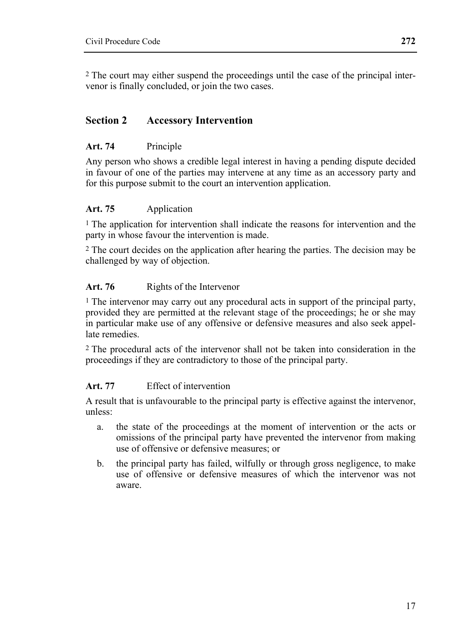2 The court may either suspend the proceedings until the case of the principal intervenor is finally concluded, or join the two cases.

## **Section 2 Accessory Intervention**

#### **Art. 74** Principle

Any person who shows a credible legal interest in having a pending dispute decided in favour of one of the parties may intervene at any time as an accessory party and for this purpose submit to the court an intervention application.

#### **Art. 75** Application

<sup>1</sup> The application for intervention shall indicate the reasons for intervention and the party in whose favour the intervention is made.

2 The court decides on the application after hearing the parties. The decision may be challenged by way of objection.

#### Art. 76 Rights of the Intervenor

<sup>1</sup> The intervenor may carry out any procedural acts in support of the principal party, provided they are permitted at the relevant stage of the proceedings; he or she may in particular make use of any offensive or defensive measures and also seek appellate remedies.

2 The procedural acts of the intervenor shall not be taken into consideration in the proceedings if they are contradictory to those of the principal party.

#### **Art. 77** Effect of intervention

A result that is unfavourable to the principal party is effective against the intervenor, unless:

- a. the state of the proceedings at the moment of intervention or the acts or omissions of the principal party have prevented the intervenor from making use of offensive or defensive measures; or
- b. the principal party has failed, wilfully or through gross negligence, to make use of offensive or defensive measures of which the intervenor was not aware.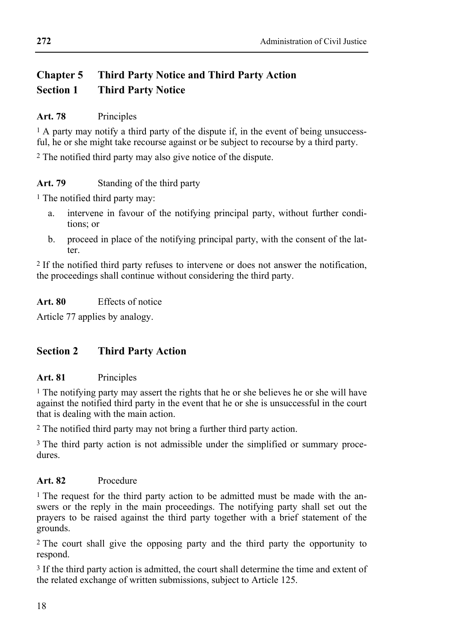# **Chapter 5 Third Party Notice and Third Party Action Section 1 Third Party Notice**

## **Art. 78** Principles

<sup>1</sup> A party may notify a third party of the dispute if, in the event of being unsuccessful, he or she might take recourse against or be subject to recourse by a third party.

2 The notified third party may also give notice of the dispute.

# **Art. 79** Standing of the third party

1 The notified third party may:

- a. intervene in favour of the notifying principal party, without further conditions; or
- b. proceed in place of the notifying principal party, with the consent of the latter.

2 If the notified third party refuses to intervene or does not answer the notification, the proceedings shall continue without considering the third party.

#### **Art. 80** Effects of notice

Article 77 applies by analogy.

# **Section 2 Third Party Action**

## **Art. 81** Principles

1 The notifying party may assert the rights that he or she believes he or she will have against the notified third party in the event that he or she is unsuccessful in the court that is dealing with the main action.

2 The notified third party may not bring a further third party action.

<sup>3</sup> The third party action is not admissible under the simplified or summary procedures.

## **Art. 82** Procedure

<sup>1</sup> The request for the third party action to be admitted must be made with the answers or the reply in the main proceedings. The notifying party shall set out the prayers to be raised against the third party together with a brief statement of the grounds.

2 The court shall give the opposing party and the third party the opportunity to respond.

3 If the third party action is admitted, the court shall determine the time and extent of the related exchange of written submissions, subject to Article 125.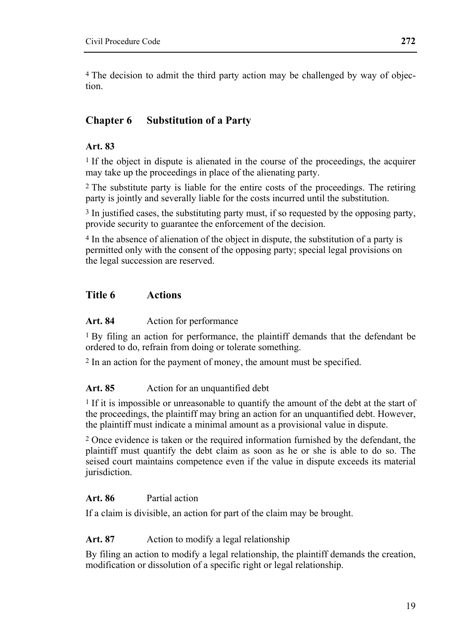4 The decision to admit the third party action may be challenged by way of objection.

# **Chapter 6 Substitution of a Party**

#### **Art. 83**

<sup>1</sup> If the object in dispute is alienated in the course of the proceedings, the acquirer may take up the proceedings in place of the alienating party.

2 The substitute party is liable for the entire costs of the proceedings. The retiring party is jointly and severally liable for the costs incurred until the substitution.

<sup>3</sup> In justified cases, the substituting party must, if so requested by the opposing party, provide security to guarantee the enforcement of the decision.

4 In the absence of alienation of the object in dispute, the substitution of a party is permitted only with the consent of the opposing party; special legal provisions on the legal succession are reserved.

#### **Title 6 Actions**

#### **Art. 84** Action for performance

1 By filing an action for performance, the plaintiff demands that the defendant be ordered to do, refrain from doing or tolerate something.

2 In an action for the payment of money, the amount must be specified.

#### Art. 85 Action for an unquantified debt

1 If it is impossible or unreasonable to quantify the amount of the debt at the start of the proceedings, the plaintiff may bring an action for an unquantified debt. However, the plaintiff must indicate a minimal amount as a provisional value in dispute.

2 Once evidence is taken or the required information furnished by the defendant, the plaintiff must quantify the debt claim as soon as he or she is able to do so. The seised court maintains competence even if the value in dispute exceeds its material jurisdiction.

#### **Art. 86** Partial action

If a claim is divisible, an action for part of the claim may be brought.

#### Art. 87 Action to modify a legal relationship

By filing an action to modify a legal relationship, the plaintiff demands the creation, modification or dissolution of a specific right or legal relationship.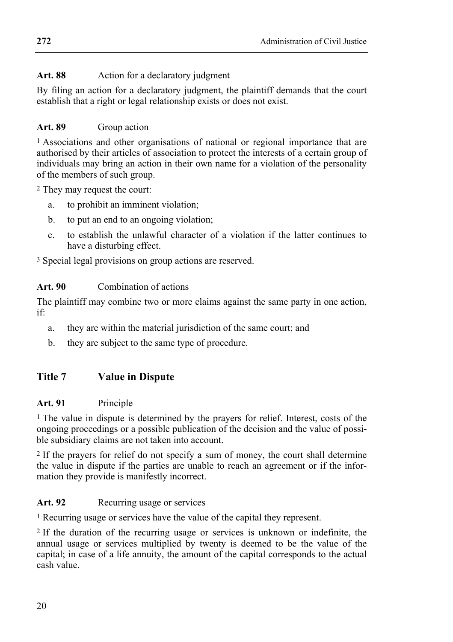## Art. 88 Action for a declaratory judgment

By filing an action for a declaratory judgment, the plaintiff demands that the court establish that a right or legal relationship exists or does not exist.

# Art. 89 Group action

1 Associations and other organisations of national or regional importance that are authorised by their articles of association to protect the interests of a certain group of individuals may bring an action in their own name for a violation of the personality of the members of such group.

2 They may request the court:

- a. to prohibit an imminent violation;
- b. to put an end to an ongoing violation;
- c. to establish the unlawful character of a violation if the latter continues to have a disturbing effect.

3 Special legal provisions on group actions are reserved.

# **Art. 90** Combination of actions

The plaintiff may combine two or more claims against the same party in one action, if:

- a. they are within the material jurisdiction of the same court; and
- b. they are subject to the same type of procedure.

# **Title 7 Value in Dispute**

## **Art. 91** Principle

<sup>1</sup> The value in dispute is determined by the prayers for relief. Interest, costs of the ongoing proceedings or a possible publication of the decision and the value of possible subsidiary claims are not taken into account.

2 If the prayers for relief do not specify a sum of money, the court shall determine the value in dispute if the parties are unable to reach an agreement or if the information they provide is manifestly incorrect.

# Art. 92 Recurring usage or services

1 Recurring usage or services have the value of the capital they represent.

2 If the duration of the recurring usage or services is unknown or indefinite, the annual usage or services multiplied by twenty is deemed to be the value of the capital; in case of a life annuity, the amount of the capital corresponds to the actual cash value.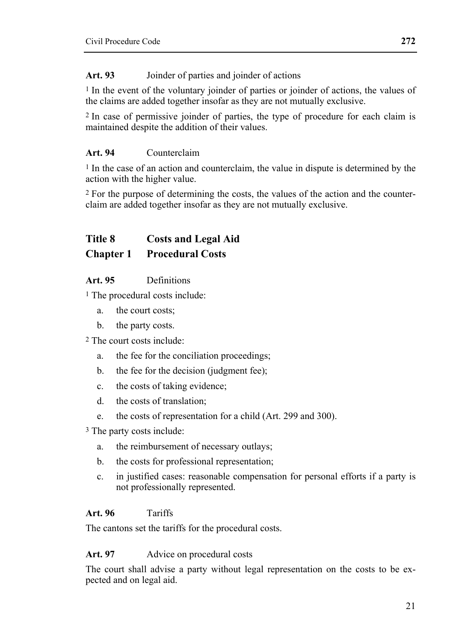#### **Art. 93** Joinder of parties and joinder of actions

1 In the event of the voluntary joinder of parties or joinder of actions, the values of the claims are added together insofar as they are not mutually exclusive.

2 In case of permissive joinder of parties, the type of procedure for each claim is maintained despite the addition of their values.

#### **Art. 94** Counterclaim

<sup>1</sup> In the case of an action and counterclaim, the value in dispute is determined by the action with the higher value.

2 For the purpose of determining the costs, the values of the action and the counterclaim are added together insofar as they are not mutually exclusive.

# **Title 8 Costs and Legal Aid Chapter 1 Procedural Costs**

#### **Art. 95** Definitions

1 The procedural costs include:

- a. the court costs;
- b. the party costs.

2 The court costs include:

- a. the fee for the conciliation proceedings;
- b. the fee for the decision (judgment fee);
- c. the costs of taking evidence;
- d. the costs of translation;
- e. the costs of representation for a child (Art. 299 and 300).

3 The party costs include:

- a. the reimbursement of necessary outlays;
- b. the costs for professional representation;
- c. in justified cases: reasonable compensation for personal efforts if a party is not professionally represented.

#### **Art. 96** Tariffs

The cantons set the tariffs for the procedural costs.

#### Art. 97 Advice on procedural costs

The court shall advise a party without legal representation on the costs to be expected and on legal aid.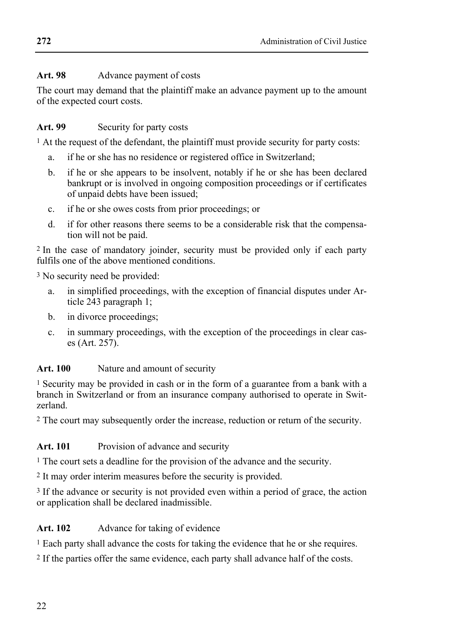# Art. 98 Advance payment of costs

The court may demand that the plaintiff make an advance payment up to the amount of the expected court costs.

## Art. 99 Security for party costs

<sup>1</sup> At the request of the defendant, the plaintiff must provide security for party costs:

- a. if he or she has no residence or registered office in Switzerland;
- b. if he or she appears to be insolvent, notably if he or she has been declared bankrupt or is involved in ongoing composition proceedings or if certificates of unpaid debts have been issued;
- c. if he or she owes costs from prior proceedings; or
- d. if for other reasons there seems to be a considerable risk that the compensation will not be paid.

2 In the case of mandatory joinder, security must be provided only if each party fulfils one of the above mentioned conditions.

3 No security need be provided:

- a. in simplified proceedings, with the exception of financial disputes under Article 243 paragraph 1;
- b. in divorce proceedings;
- c. in summary proceedings, with the exception of the proceedings in clear cases (Art. 257).

## **Art. 100** Nature and amount of security

1 Security may be provided in cash or in the form of a guarantee from a bank with a branch in Switzerland or from an insurance company authorised to operate in Switzerland.

2 The court may subsequently order the increase, reduction or return of the security.

Art. 101 Provision of advance and security

1 The court sets a deadline for the provision of the advance and the security.

2 It may order interim measures before the security is provided.

3 If the advance or security is not provided even within a period of grace, the action or application shall be declared inadmissible.

# Art. 102 Advance for taking of evidence

1 Each party shall advance the costs for taking the evidence that he or she requires.

2 If the parties offer the same evidence, each party shall advance half of the costs.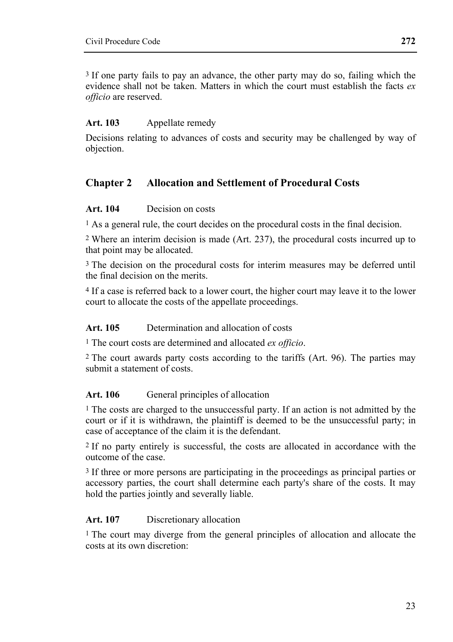3 If one party fails to pay an advance, the other party may do so, failing which the evidence shall not be taken. Matters in which the court must establish the facts *ex officio* are reserved.

## **Art. 103** Appellate remedy

Decisions relating to advances of costs and security may be challenged by way of objection.

# **Chapter 2 Allocation and Settlement of Procedural Costs**

#### **Art. 104** Decision on costs

1 As a general rule, the court decides on the procedural costs in the final decision.

2 Where an interim decision is made (Art. 237), the procedural costs incurred up to that point may be allocated.

<sup>3</sup> The decision on the procedural costs for interim measures may be deferred until the final decision on the merits.

4 If a case is referred back to a lower court, the higher court may leave it to the lower court to allocate the costs of the appellate proceedings.

#### **Art. 105** Determination and allocation of costs

1 The court costs are determined and allocated *ex officio*.

2 The court awards party costs according to the tariffs (Art. 96). The parties may submit a statement of costs.

## Art. 106 General principles of allocation

1 The costs are charged to the unsuccessful party. If an action is not admitted by the court or if it is withdrawn, the plaintiff is deemed to be the unsuccessful party; in case of acceptance of the claim it is the defendant.

2 If no party entirely is successful, the costs are allocated in accordance with the outcome of the case.

3 If three or more persons are participating in the proceedings as principal parties or accessory parties, the court shall determine each party's share of the costs. It may hold the parties jointly and severally liable.

#### **Art. 107** Discretionary allocation

<sup>1</sup> The court may diverge from the general principles of allocation and allocate the costs at its own discretion: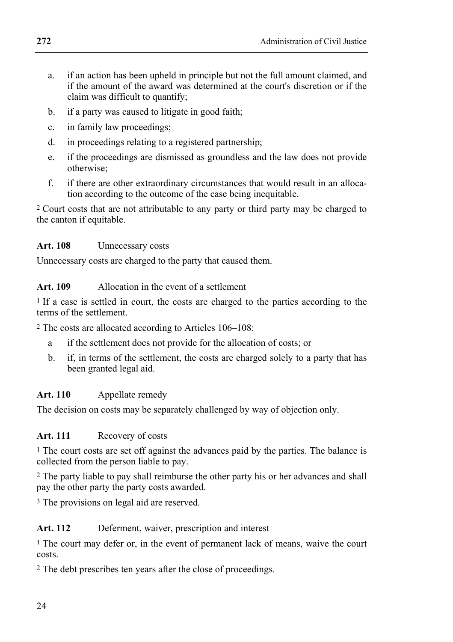- a. if an action has been upheld in principle but not the full amount claimed, and if the amount of the award was determined at the court's discretion or if the claim was difficult to quantify;
- b. if a party was caused to litigate in good faith;
- c. in family law proceedings;
- d. in proceedings relating to a registered partnership;
- e. if the proceedings are dismissed as groundless and the law does not provide otherwise;
- f. if there are other extraordinary circumstances that would result in an allocation according to the outcome of the case being inequitable.

2 Court costs that are not attributable to any party or third party may be charged to the canton if equitable.

## **Art. 108** Unnecessary costs

Unnecessary costs are charged to the party that caused them.

## **Art. 109** Allocation in the event of a settlement

1 If a case is settled in court, the costs are charged to the parties according to the terms of the settlement.

2 The costs are allocated according to Articles 106–108:

- a if the settlement does not provide for the allocation of costs; or
- b. if, in terms of the settlement, the costs are charged solely to a party that has been granted legal aid.

## **Art. 110** Appellate remedy

The decision on costs may be separately challenged by way of objection only.

## **Art. 111** Recovery of costs

<sup>1</sup> The court costs are set off against the advances paid by the parties. The balance is collected from the person liable to pay.

2 The party liable to pay shall reimburse the other party his or her advances and shall pay the other party the party costs awarded.

<sup>3</sup> The provisions on legal aid are reserved.

## **Art. 112** Deferment, waiver, prescription and interest

1 The court may defer or, in the event of permanent lack of means, waive the court costs.

2 The debt prescribes ten years after the close of proceedings.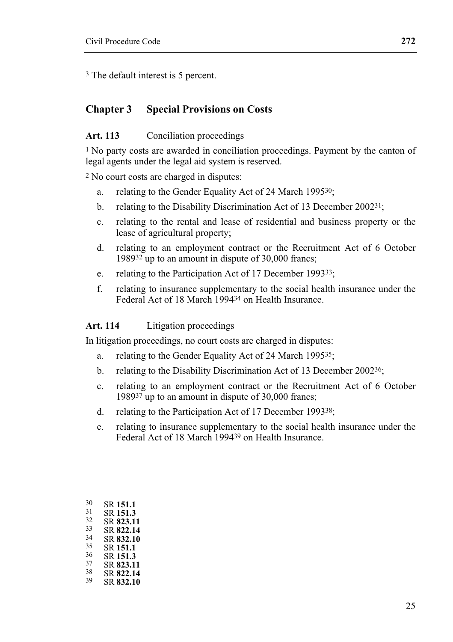3 The default interest is 5 percent.

#### **Chapter 3 Special Provisions on Costs**

#### Art. 113 Conciliation proceedings

1 No party costs are awarded in conciliation proceedings. Payment by the canton of legal agents under the legal aid system is reserved.

2 No court costs are charged in disputes:

- a. relating to the Gender Equality Act of 24 March 199530;
- b. relating to the Disability Discrimination Act of 13 December 2002<sup>31</sup>;
- c. relating to the rental and lease of residential and business property or the lease of agricultural property;
- d. relating to an employment contract or the Recruitment Act of 6 October 198932 up to an amount in dispute of 30,000 francs;
- e. relating to the Participation Act of 17 December 199333;
- f. relating to insurance supplementary to the social health insurance under the Federal Act of 18 March 199434 on Health Insurance.

#### **Art. 114** Litigation proceedings

In litigation proceedings, no court costs are charged in disputes:

- a. relating to the Gender Equality Act of 24 March 199535;
- b. relating to the Disability Discrimination Act of 13 December 2002<sup>36</sup>;
- c. relating to an employment contract or the Recruitment Act of 6 October 198937 up to an amount in dispute of 30,000 francs;
- d. relating to the Participation Act of 17 December 199338;
- e. relating to insurance supplementary to the social health insurance under the Federal Act of 18 March 199439 on Health Insurance.

| 30 | SR 151.1  |
|----|-----------|
| 31 | SR 151.3  |
| 32 | SR 823.11 |
| 33 | SR 822.14 |
| 34 | SR 832.10 |
| 35 | SR 151.1  |
| 36 | SR 151.3  |
| 37 | SR 823.11 |
| 38 | SR 822.14 |
| 39 | SR 832.10 |
|    |           |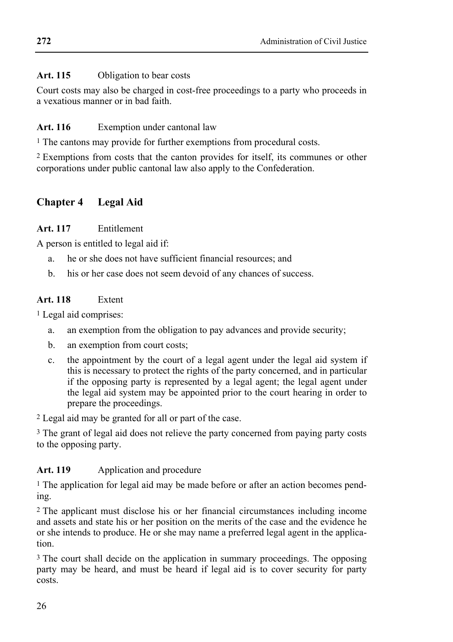#### Art. 115 Obligation to bear costs

Court costs may also be charged in cost-free proceedings to a party who proceeds in a vexatious manner or in bad faith.

#### **Art. 116** Exemption under cantonal law

1 The cantons may provide for further exemptions from procedural costs.

2 Exemptions from costs that the canton provides for itself, its communes or other corporations under public cantonal law also apply to the Confederation.

# **Chapter 4 Legal Aid**

## **Art. 117** Entitlement

A person is entitled to legal aid if:

- a. he or she does not have sufficient financial resources; and
- b. his or her case does not seem devoid of any chances of success.

## **Art. 118** Extent

1 Legal aid comprises:

- a. an exemption from the obligation to pay advances and provide security;
- b. an exemption from court costs;
- c. the appointment by the court of a legal agent under the legal aid system if this is necessary to protect the rights of the party concerned, and in particular if the opposing party is represented by a legal agent; the legal agent under the legal aid system may be appointed prior to the court hearing in order to prepare the proceedings.

2 Legal aid may be granted for all or part of the case.

3 The grant of legal aid does not relieve the party concerned from paying party costs to the opposing party.

## Art. 119 Application and procedure

1 The application for legal aid may be made before or after an action becomes pending.

2 The applicant must disclose his or her financial circumstances including income and assets and state his or her position on the merits of the case and the evidence he or she intends to produce. He or she may name a preferred legal agent in the application.

<sup>3</sup> The court shall decide on the application in summary proceedings. The opposing party may be heard, and must be heard if legal aid is to cover security for party costs.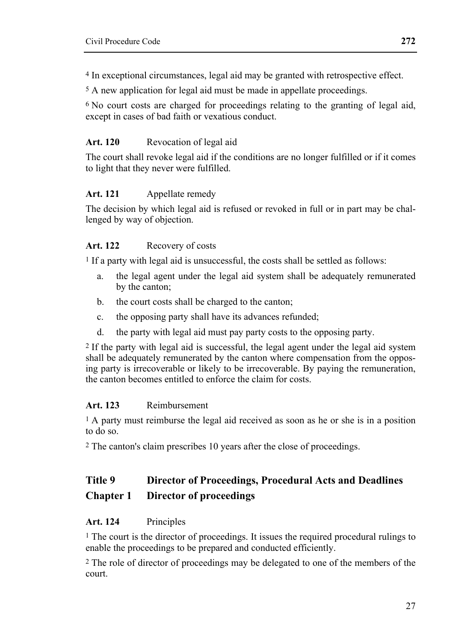4 In exceptional circumstances, legal aid may be granted with retrospective effect.

5 A new application for legal aid must be made in appellate proceedings.

 $6$  No court costs are charged for proceedings relating to the granting of legal aid. except in cases of bad faith or vexatious conduct.

#### **Art. 120** Revocation of legal aid

The court shall revoke legal aid if the conditions are no longer fulfilled or if it comes to light that they never were fulfilled.

#### **Art. 121** Appellate remedy

The decision by which legal aid is refused or revoked in full or in part may be challenged by way of objection.

#### **Art. 122** Recovery of costs

1 If a party with legal aid is unsuccessful, the costs shall be settled as follows:

- a. the legal agent under the legal aid system shall be adequately remunerated by the canton;
- b. the court costs shall be charged to the canton;
- c. the opposing party shall have its advances refunded;
- d. the party with legal aid must pay party costs to the opposing party.

2 If the party with legal aid is successful, the legal agent under the legal aid system shall be adequately remunerated by the canton where compensation from the opposing party is irrecoverable or likely to be irrecoverable. By paying the remuneration, the canton becomes entitled to enforce the claim for costs.

#### **Art. 123** Reimbursement

1 A party must reimburse the legal aid received as soon as he or she is in a position to do so.

2 The canton's claim prescribes 10 years after the close of proceedings.

# **Title 9 Director of Proceedings, Procedural Acts and Deadlines Chapter 1 Director of proceedings**

#### **Art. 124** Principles

1 The court is the director of proceedings. It issues the required procedural rulings to enable the proceedings to be prepared and conducted efficiently.

2 The role of director of proceedings may be delegated to one of the members of the court.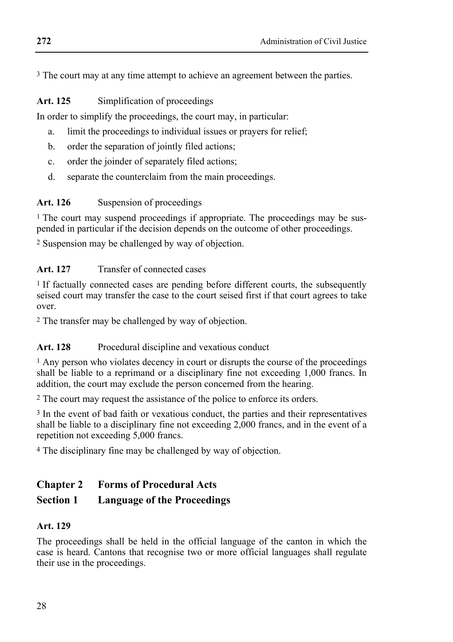3 The court may at any time attempt to achieve an agreement between the parties.

#### **Art. 125** Simplification of proceedings

In order to simplify the proceedings, the court may, in particular:

- a. limit the proceedings to individual issues or prayers for relief;
- b. order the separation of jointly filed actions;
- c. order the joinder of separately filed actions;
- d. separate the counterclaim from the main proceedings.

#### Art. 126 Suspension of proceedings

<sup>1</sup> The court may suspend proceedings if appropriate. The proceedings may be suspended in particular if the decision depends on the outcome of other proceedings.

2 Suspension may be challenged by way of objection.

#### Art. 127 Transfer of connected cases

<sup>1</sup> If factually connected cases are pending before different courts, the subsequently seised court may transfer the case to the court seised first if that court agrees to take over.

2 The transfer may be challenged by way of objection.

## Art. 128 Procedural discipline and vexatious conduct

<sup>1</sup> Any person who violates decency in court or disrupts the course of the proceedings shall be liable to a reprimand or a disciplinary fine not exceeding 1,000 francs. In addition, the court may exclude the person concerned from the hearing.

2 The court may request the assistance of the police to enforce its orders.

3 In the event of bad faith or vexatious conduct, the parties and their representatives shall be liable to a disciplinary fine not exceeding  $2,000$  francs, and in the event of a repetition not exceeding 5,000 francs.

4 The disciplinary fine may be challenged by way of objection.

# **Chapter 2 Forms of Procedural Acts**

## **Section 1 Language of the Proceedings**

## **Art. 129**

The proceedings shall be held in the official language of the canton in which the case is heard. Cantons that recognise two or more official languages shall regulate their use in the proceedings.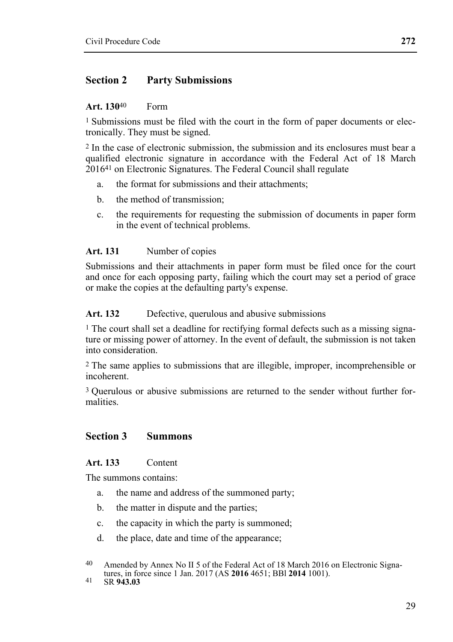## **Section 2 Party Submissions**

#### **Art. 130**40 Form

<sup>1</sup> Submissions must be filed with the court in the form of paper documents or electronically. They must be signed.

2 In the case of electronic submission, the submission and its enclosures must bear a qualified electronic signature in accordance with the Federal Act of 18 March 201641 on Electronic Signatures. The Federal Council shall regulate

- a. the format for submissions and their attachments;
- b. the method of transmission;
- c. the requirements for requesting the submission of documents in paper form in the event of technical problems.

#### **Art. 131** Number of copies

Submissions and their attachments in paper form must be filed once for the court and once for each opposing party, failing which the court may set a period of grace or make the copies at the defaulting party's expense.

Art. 132 Defective, querulous and abusive submissions

<sup>1</sup> The court shall set a deadline for rectifying formal defects such as a missing signature or missing power of attorney. In the event of default, the submission is not taken into consideration.

2 The same applies to submissions that are illegible, improper, incomprehensible or incoherent.

<sup>3</sup> Querulous or abusive submissions are returned to the sender without further formalities.

## **Section 3 Summons**

#### **Art. 133** Content

The summons contains:

- a. the name and address of the summoned party;
- b. the matter in dispute and the parties;
- c. the capacity in which the party is summoned;
- d. the place, date and time of the appearance;

<sup>40</sup> Amended by Annex No II 5 of the Federal Act of 18 March 2016 on Electronic Signatures, in force since 1 Jan. 2017 (AS **2016** 4651; BBl **2014** 1001). 41 SR **943.03**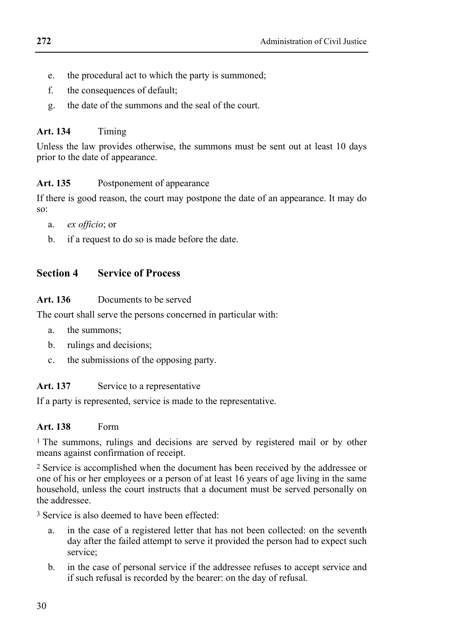- e. the procedural act to which the party is summoned;
- f. the consequences of default;
- g. the date of the summons and the seal of the court.

#### **Art. 134** Timing

Unless the law provides otherwise, the summons must be sent out at least 10 days prior to the date of appearance.

## Art. 135 Postponement of appearance

If there is good reason, the court may postpone the date of an appearance. It may do so:

- a. *ex officio*; or
- b. if a request to do so is made before the date.

## **Section 4 Service of Process**

#### **Art. 136** Documents to be served

The court shall serve the persons concerned in particular with:

- a. the summons;
- b. rulings and decisions;
- c. the submissions of the opposing party.

## Art. 137 Service to a representative

If a party is represented, service is made to the representative.

#### **Art. 138** Form

1 The summons, rulings and decisions are served by registered mail or by other means against confirmation of receipt.

2 Service is accomplished when the document has been received by the addressee or one of his or her employees or a person of at least 16 years of age living in the same household, unless the court instructs that a document must be served personally on the addressee.

3 Service is also deemed to have been effected:

- a. in the case of a registered letter that has not been collected: on the seventh day after the failed attempt to serve it provided the person had to expect such service;
- b. in the case of personal service if the addressee refuses to accept service and if such refusal is recorded by the bearer: on the day of refusal.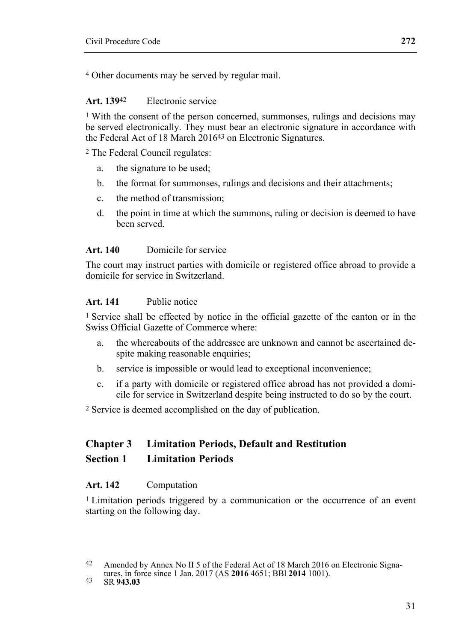4 Other documents may be served by regular mail.

#### **Art. 139**42 Electronic service

1 With the consent of the person concerned, summonses, rulings and decisions may be served electronically. They must bear an electronic signature in accordance with the Federal Act of 18 March 201643 on Electronic Signatures.

2 The Federal Council regulates:

- a. the signature to be used;
- b. the format for summonses, rulings and decisions and their attachments;
- c. the method of transmission;
- d. the point in time at which the summons, ruling or decision is deemed to have been served.

#### **Art. 140** Domicile for service

The court may instruct parties with domicile or registered office abroad to provide a domicile for service in Switzerland.

#### **Art. 141** Public notice

1 Service shall be effected by notice in the official gazette of the canton or in the Swiss Official Gazette of Commerce where:

- a. the whereabouts of the addressee are unknown and cannot be ascertained despite making reasonable enquiries;
- b. service is impossible or would lead to exceptional inconvenience;
- c. if a party with domicile or registered office abroad has not provided a domicile for service in Switzerland despite being instructed to do so by the court.

2 Service is deemed accomplished on the day of publication.

#### **Chapter 3 Limitation Periods, Default and Restitution Section 1 Limitation Periods**

#### **Art. 142** Computation

1 Limitation periods triggered by a communication or the occurrence of an event starting on the following day.

<sup>42</sup> Amended by Annex No II 5 of the Federal Act of 18 March 2016 on Electronic Signatures, in force since 1 Jan. 2017 (AS **2016** 4651; BBl **2014** 1001). 43 SR **943.03**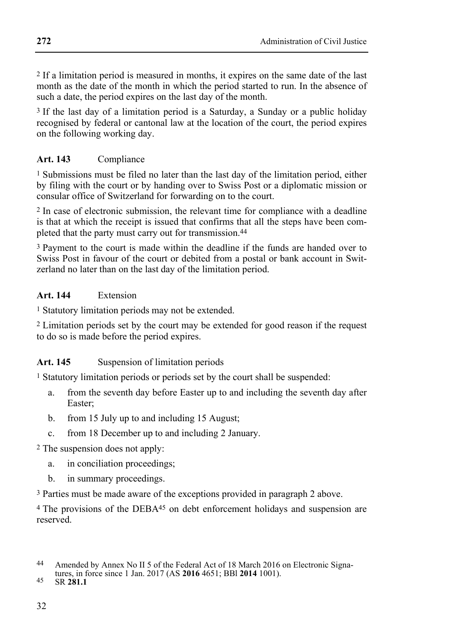2 If a limitation period is measured in months, it expires on the same date of the last month as the date of the month in which the period started to run. In the absence of such a date, the period expires on the last day of the month.

3 If the last day of a limitation period is a Saturday, a Sunday or a public holiday recognised by federal or cantonal law at the location of the court, the period expires on the following working day.

## **Art. 143** Compliance

1 Submissions must be filed no later than the last day of the limitation period, either by filing with the court or by handing over to Swiss Post or a diplomatic mission or consular office of Switzerland for forwarding on to the court.

2 In case of electronic submission, the relevant time for compliance with a deadline is that at which the receipt is issued that confirms that all the steps have been completed that the party must carry out for transmission.44

3 Payment to the court is made within the deadline if the funds are handed over to Swiss Post in favour of the court or debited from a postal or bank account in Switzerland no later than on the last day of the limitation period.

# **Art. 144** Extension

1 Statutory limitation periods may not be extended.

2 Limitation periods set by the court may be extended for good reason if the request to do so is made before the period expires.

# Art. 145 Suspension of limitation periods

1 Statutory limitation periods or periods set by the court shall be suspended:

- a. from the seventh day before Easter up to and including the seventh day after Easter;
- b. from 15 July up to and including 15 August;
- c. from 18 December up to and including 2 January.

2 The suspension does not apply:

- a. in conciliation proceedings;
- b. in summary proceedings.
- 3 Parties must be made aware of the exceptions provided in paragraph 2 above.

<sup>4</sup> The provisions of the DEBA<sup>45</sup> on debt enforcement holidays and suspension are reserved.

<sup>44</sup> Amended by Annex No II 5 of the Federal Act of 18 March 2016 on Electronic Signa-

tures, in force since 1 Jan. 2017 (AS **2016** 4651; BBl **2014** 1001). 45 SR **281.1**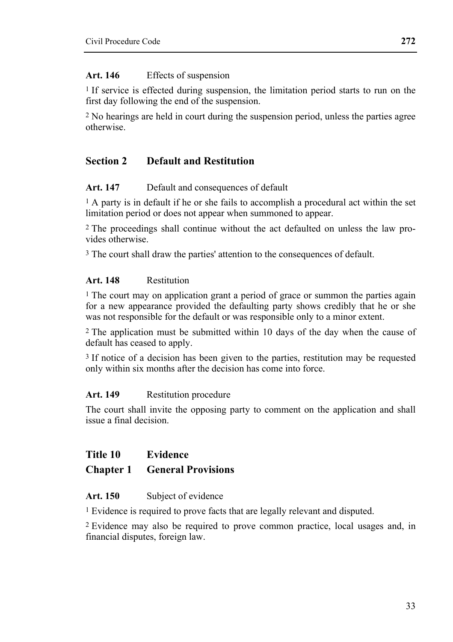#### **Art. 146** Effects of suspension

1 If service is effected during suspension, the limitation period starts to run on the first day following the end of the suspension.

2 No hearings are held in court during the suspension period, unless the parties agree otherwise.

# **Section 2 Default and Restitution**

#### **Art. 147** Default and consequences of default

1 A party is in default if he or she fails to accomplish a procedural act within the set limitation period or does not appear when summoned to appear.

2 The proceedings shall continue without the act defaulted on unless the law provides otherwise.

<sup>3</sup> The court shall draw the parties' attention to the consequences of default.

#### **Art. 148** Restitution

1 The court may on application grant a period of grace or summon the parties again for a new appearance provided the defaulting party shows credibly that he or she was not responsible for the default or was responsible only to a minor extent.

<sup>2</sup> The application must be submitted within 10 days of the day when the cause of default has ceased to apply.

3 If notice of a decision has been given to the parties, restitution may be requested only within six months after the decision has come into force.

#### **Art. 149** Restitution procedure

The court shall invite the opposing party to comment on the application and shall issue a final decision.

# **Title 10 Evidence**

## **Chapter 1 General Provisions**

#### **Art. 150** Subject of evidence

1 Evidence is required to prove facts that are legally relevant and disputed.

2 Evidence may also be required to prove common practice, local usages and, in financial disputes, foreign law.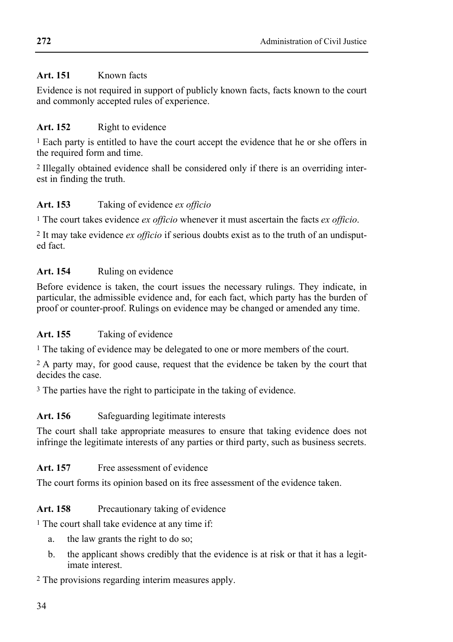# **Art. 151** Known facts

Evidence is not required in support of publicly known facts, facts known to the court and commonly accepted rules of experience.

# **Art. 152** Right to evidence

1 Each party is entitled to have the court accept the evidence that he or she offers in the required form and time.

2 Illegally obtained evidence shall be considered only if there is an overriding interest in finding the truth.

# **Art. 153** Taking of evidence *ex officio*

1 The court takes evidence *ex officio* whenever it must ascertain the facts *ex officio*.

2 It may take evidence *ex officio* if serious doubts exist as to the truth of an undisputed fact.

# Art. 154 Ruling on evidence

Before evidence is taken, the court issues the necessary rulings. They indicate, in particular, the admissible evidence and, for each fact, which party has the burden of proof or counter-proof. Rulings on evidence may be changed or amended any time.

# **Art. 155** Taking of evidence

<sup>1</sup> The taking of evidence may be delegated to one or more members of the court.

2 A party may, for good cause, request that the evidence be taken by the court that decides the case.

3 The parties have the right to participate in the taking of evidence.

# Art. 156 Safeguarding legitimate interests

The court shall take appropriate measures to ensure that taking evidence does not infringe the legitimate interests of any parties or third party, such as business secrets.

# Art. 157 Free assessment of evidence

The court forms its opinion based on its free assessment of the evidence taken.

Art. 158 Precautionary taking of evidence

1 The court shall take evidence at any time if:

- a. the law grants the right to do so;
- b. the applicant shows credibly that the evidence is at risk or that it has a legitimate interest.

2 The provisions regarding interim measures apply.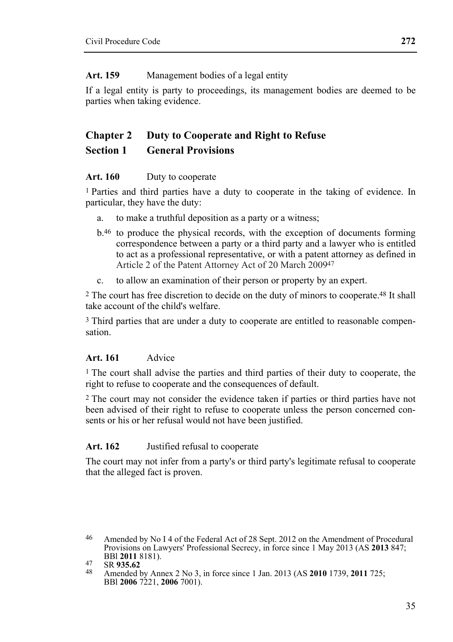#### **Art. 159** Management bodies of a legal entity

If a legal entity is party to proceedings, its management bodies are deemed to be parties when taking evidence.

# **Chapter 2 Duty to Cooperate and Right to Refuse Section 1 General Provisions**

#### **Art. 160** Duty to cooperate

1 Parties and third parties have a duty to cooperate in the taking of evidence. In particular, they have the duty:

- a. to make a truthful deposition as a party or a witness;
- b.46 to produce the physical records, with the exception of documents forming correspondence between a party or a third party and a lawyer who is entitled to act as a professional representative, or with a patent attorney as defined in Article 2 of the Patent Attorney Act of 20 March 200947
- c. to allow an examination of their person or property by an expert.

2 The court has free discretion to decide on the duty of minors to cooperate.48 It shall take account of the child's welfare.

3 Third parties that are under a duty to cooperate are entitled to reasonable compensation.

## **Art. 161** Advice

1 The court shall advise the parties and third parties of their duty to cooperate, the right to refuse to cooperate and the consequences of default.

2 The court may not consider the evidence taken if parties or third parties have not been advised of their right to refuse to cooperate unless the person concerned consents or his or her refusal would not have been justified.

## **Art. 162** Justified refusal to cooperate

The court may not infer from a party's or third party's legitimate refusal to cooperate that the alleged fact is proven.

<sup>46</sup> Amended by No I 4 of the Federal Act of 28 Sept. 2012 on the Amendment of Procedural Provisions on Lawyers' Professional Secrecy, in force since 1 May 2013 (AS **2013** 847;

BBl **2011** 8181). 47 SR **935.62** 48 Amended by Annex 2 No 3, in force since 1 Jan. 2013 (AS **2010** 1739, **2011** 725; BBl **2006** 7221, **2006** 7001).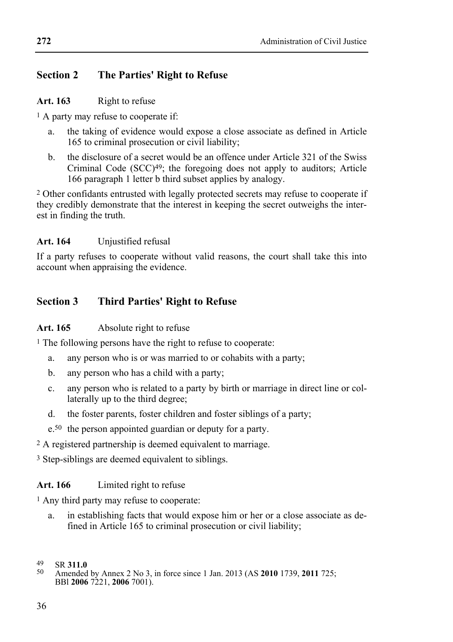## **Section 2 The Parties' Right to Refuse**

#### Art. 163 Right to refuse

1 A party may refuse to cooperate if:

- a. the taking of evidence would expose a close associate as defined in Article 165 to criminal prosecution or civil liability;
- b. the disclosure of a secret would be an offence under Article 321 of the Swiss Criminal Code  $(SCC)^{49}$ ; the foregoing does not apply to auditors; Article 166 paragraph 1 letter b third subset applies by analogy.

2 Other confidants entrusted with legally protected secrets may refuse to cooperate if they credibly demonstrate that the interest in keeping the secret outweighs the interest in finding the truth.

#### **Art. 164** Unjustified refusal

If a party refuses to cooperate without valid reasons, the court shall take this into account when appraising the evidence.

## **Section 3 Third Parties' Right to Refuse**

#### Art. 165 Absolute right to refuse

<sup>1</sup> The following persons have the right to refuse to cooperate:

- a. any person who is or was married to or cohabits with a party;
- b. any person who has a child with a party;
- c. any person who is related to a party by birth or marriage in direct line or collaterally up to the third degree;
- d. the foster parents, foster children and foster siblings of a party;
- e.50 the person appointed guardian or deputy for a party.

2 A registered partnership is deemed equivalent to marriage.

3 Step-siblings are deemed equivalent to siblings.

#### **Art. 166** Limited right to refuse

1 Any third party may refuse to cooperate:

a. in establishing facts that would expose him or her or a close associate as defined in Article 165 to criminal prosecution or civil liability;

<sup>49</sup> 

<sup>49</sup> SR **311.0** 50 Amended by Annex 2 No 3, in force since 1 Jan. 2013 (AS **2010** 1739, **2011** 725; BBl **2006** 7221, **2006** 7001).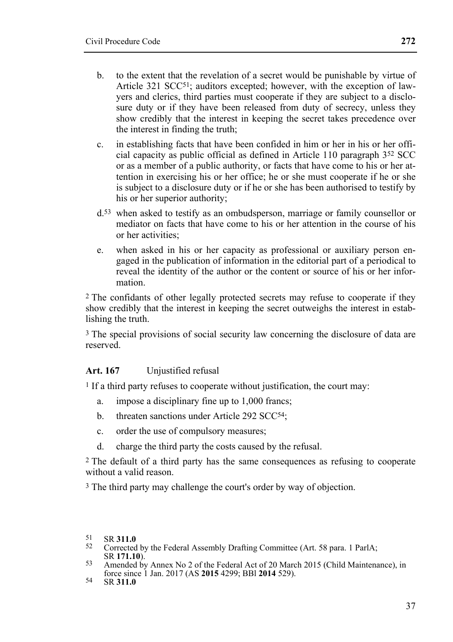- b. to the extent that the revelation of a secret would be punishable by virtue of Article 321 SCC<sup>51</sup>; auditors excepted; however, with the exception of lawyers and clerics, third parties must cooperate if they are subject to a disclosure duty or if they have been released from duty of secrecy, unless they show credibly that the interest in keeping the secret takes precedence over the interest in finding the truth;
- c. in establishing facts that have been confided in him or her in his or her official capacity as public official as defined in Article 110 paragraph 352 SCC or as a member of a public authority, or facts that have come to his or her attention in exercising his or her office; he or she must cooperate if he or she is subject to a disclosure duty or if he or she has been authorised to testify by his or her superior authority;
- d.53 when asked to testify as an ombudsperson, marriage or family counsellor or mediator on facts that have come to his or her attention in the course of his or her activities;
- e. when asked in his or her capacity as professional or auxiliary person engaged in the publication of information in the editorial part of a periodical to reveal the identity of the author or the content or source of his or her information.

2 The confidants of other legally protected secrets may refuse to cooperate if they show credibly that the interest in keeping the secret outweighs the interest in establishing the truth

3 The special provisions of social security law concerning the disclosure of data are reserved.

### **Art. 167** Unjustified refusal

1 If a third party refuses to cooperate without justification, the court may:

- a. impose a disciplinary fine up to 1,000 francs;
- b. threaten sanctions under Article 292 SCC<sup>54</sup>;
- c. order the use of compulsory measures;
- d. charge the third party the costs caused by the refusal.

2 The default of a third party has the same consequences as refusing to cooperate without a valid reason.

3 The third party may challenge the court's order by way of objection.

- 51 SR 311.0<br>
52 Corrected by the Federal Assembly Drafting Committee (Art. 58 para. 1 ParlA;<br>
SR 171.10)
- SR **171.10**). 53 Amended by Annex No 2 of the Federal Act of 20 March 2015 (Child Maintenance), in force since 1 Jan. 2017 (AS **2015** 4299; BBl **2014** 529). 54 SR **311.0**
	-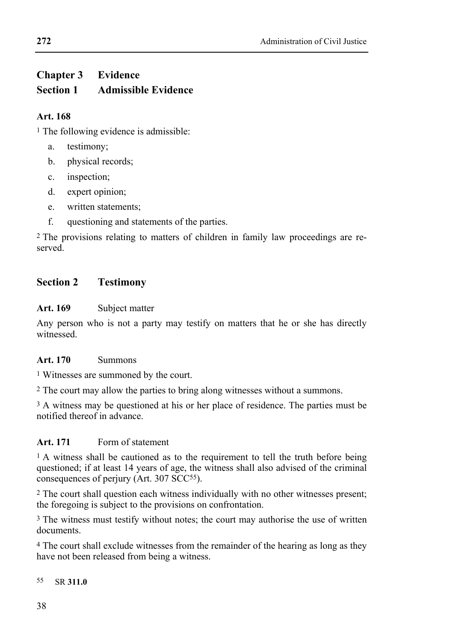# **Chapter 3 Evidence Section 1 Admissible Evidence**

### **Art. 168**

<sup>1</sup> The following evidence is admissible:

- a. testimony;
- b. physical records;
- c. inspection;
- d. expert opinion;
- e. written statements;
- f. questioning and statements of the parties.

2 The provisions relating to matters of children in family law proceedings are reserved.

## **Section 2 Testimony**

### **Art. 169** Subject matter

Any person who is not a party may testify on matters that he or she has directly witnessed.

### **Art. 170** Summons

1 Witnesses are summoned by the court.

2 The court may allow the parties to bring along witnesses without a summons.

<sup>3</sup> A witness may be questioned at his or her place of residence. The parties must be notified thereof in advance.

### **Art. 171** Form of statement

<sup>1</sup> A witness shall be cautioned as to the requirement to tell the truth before being questioned; if at least 14 years of age, the witness shall also advised of the criminal consequences of perjury (Art. 307 SCC55).

2 The court shall question each witness individually with no other witnesses present; the foregoing is subject to the provisions on confrontation.

3 The witness must testify without notes; the court may authorise the use of written documents.

4 The court shall exclude witnesses from the remainder of the hearing as long as they have not been released from being a witness.

55 55 SR **311.0**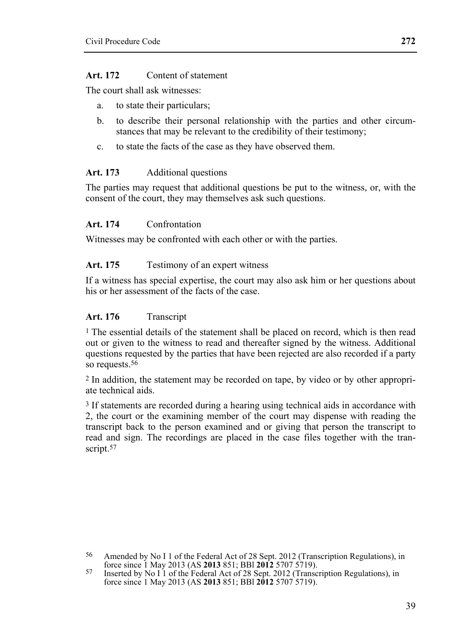#### **Art. 172** Content of statement

The court shall ask witnesses:

- a. to state their particulars;
- b. to describe their personal relationship with the parties and other circumstances that may be relevant to the credibility of their testimony;
- c. to state the facts of the case as they have observed them.

#### **Art. 173** Additional questions

The parties may request that additional questions be put to the witness, or, with the consent of the court, they may themselves ask such questions.

#### **Art. 174** Confrontation

Witnesses may be confronted with each other or with the parties.

#### Art. 175 Testimony of an expert witness

If a witness has special expertise, the court may also ask him or her questions about his or her assessment of the facts of the case.

#### Art. 176 Transcript

1 The essential details of the statement shall be placed on record, which is then read out or given to the witness to read and thereafter signed by the witness. Additional questions requested by the parties that have been rejected are also recorded if a party so requests.<sup>56</sup>

2 In addition, the statement may be recorded on tape, by video or by other appropriate technical aids.

<sup>3</sup> If statements are recorded during a hearing using technical aids in accordance with 2, the court or the examining member of the court may dispense with reading the transcript back to the person examined and or giving that person the transcript to read and sign. The recordings are placed in the case files together with the transcript.<sup>57</sup>

<sup>&</sup>lt;sup>56</sup> Amended by No I 1 of the Federal Act of 28 Sept. 2012 (Transcription Regulations), in force since 1 May 2013 (AS **2013** 851; BBI **2012** 5707 5719).

<sup>&</sup>lt;sup>57</sup> Inserted by No I 1 of the Federal Act of 28 Sept. 2012 (Transcription Regulations), in force since 1 May 2013 (AS **2013** 851; BBl **2012** 5707 5719).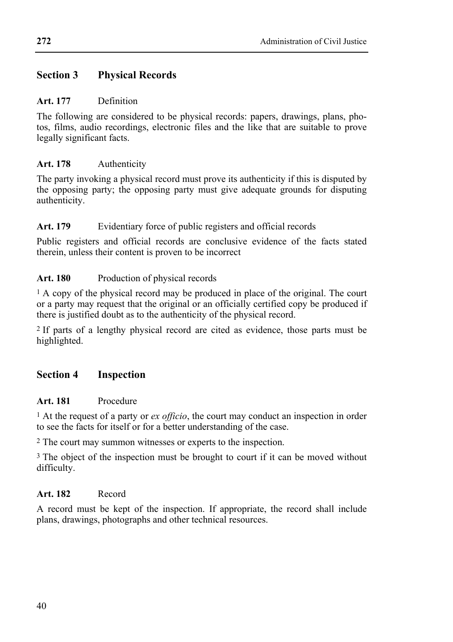### **Section 3 Physical Records**

#### **Art. 177** Definition

The following are considered to be physical records: papers, drawings, plans, photos, films, audio recordings, electronic files and the like that are suitable to prove legally significant facts.

### **Art. 178** Authenticity

The party invoking a physical record must prove its authenticity if this is disputed by the opposing party; the opposing party must give adequate grounds for disputing authenticity.

### Art. 179 Evidentiary force of public registers and official records

Public registers and official records are conclusive evidence of the facts stated therein, unless their content is proven to be incorrect

### Art. 180 Production of physical records

1 A copy of the physical record may be produced in place of the original. The court or a party may request that the original or an officially certified copy be produced if there is justified doubt as to the authenticity of the physical record.

2 If parts of a lengthy physical record are cited as evidence, those parts must be highlighted.

### **Section 4 Inspection**

### **Art. 181** Procedure

1 At the request of a party or *ex officio*, the court may conduct an inspection in order to see the facts for itself or for a better understanding of the case.

2 The court may summon witnesses or experts to the inspection.

<sup>3</sup> The object of the inspection must be brought to court if it can be moved without difficulty.

### **Art. 182** Record

A record must be kept of the inspection. If appropriate, the record shall include plans, drawings, photographs and other technical resources.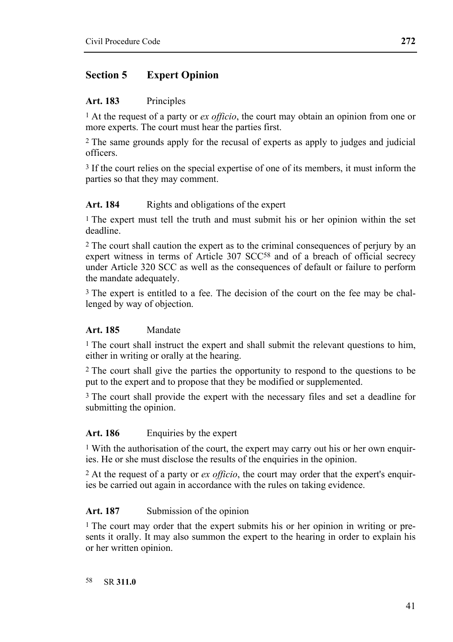### **Section 5 Expert Opinion**

#### **Art. 183** Principles

1 At the request of a party or *ex officio*, the court may obtain an opinion from one or more experts. The court must hear the parties first.

2 The same grounds apply for the recusal of experts as apply to judges and judicial officers.

3 If the court relies on the special expertise of one of its members, it must inform the parties so that they may comment.

### Art. 184 Rights and obligations of the expert

1 The expert must tell the truth and must submit his or her opinion within the set deadline.

2 The court shall caution the expert as to the criminal consequences of perjury by an expert witness in terms of Article 307 SCC<sup>58</sup> and of a breach of official secrecy under Article 320 SCC as well as the consequences of default or failure to perform the mandate adequately.

<sup>3</sup> The expert is entitled to a fee. The decision of the court on the fee may be challenged by way of objection.

### **Art. 185** Mandate

<sup>1</sup> The court shall instruct the expert and shall submit the relevant questions to him, either in writing or orally at the hearing.

2 The court shall give the parties the opportunity to respond to the questions to be put to the expert and to propose that they be modified or supplemented.

3 The court shall provide the expert with the necessary files and set a deadline for submitting the opinion.

#### **Art. 186** Enquiries by the expert

1 With the authorisation of the court, the expert may carry out his or her own enquiries. He or she must disclose the results of the enquiries in the opinion.

2 At the request of a party or *ex officio*, the court may order that the expert's enquiries be carried out again in accordance with the rules on taking evidence.

#### Art. 187 Submission of the opinion

1 The court may order that the expert submits his or her opinion in writing or presents it orally. It may also summon the expert to the hearing in order to explain his or her written opinion.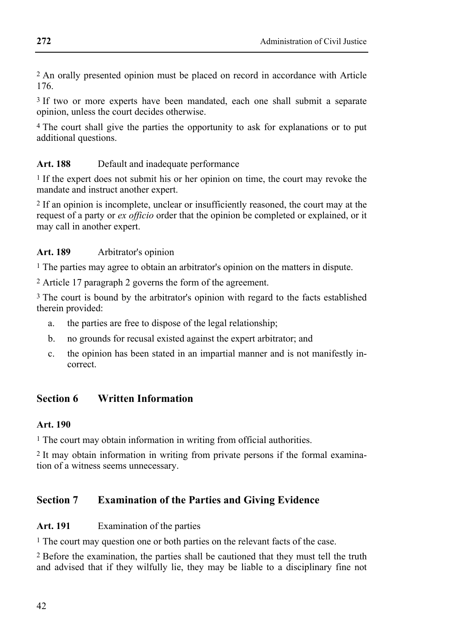2 An orally presented opinion must be placed on record in accordance with Article 176.

<sup>3</sup> If two or more experts have been mandated, each one shall submit a separate opinion, unless the court decides otherwise.

4 The court shall give the parties the opportunity to ask for explanations or to put additional questions.

### Art. 188 Default and inadequate performance

1 If the expert does not submit his or her opinion on time, the court may revoke the mandate and instruct another expert.

2 If an opinion is incomplete, unclear or insufficiently reasoned, the court may at the request of a party or *ex officio* order that the opinion be completed or explained, or it may call in another expert.

### **Art. 189** Arbitrator's opinion

1 The parties may agree to obtain an arbitrator's opinion on the matters in dispute.

2 Article 17 paragraph 2 governs the form of the agreement.

3 The court is bound by the arbitrator's opinion with regard to the facts established therein provided:

- a. the parties are free to dispose of the legal relationship;
- b. no grounds for recusal existed against the expert arbitrator; and
- c. the opinion has been stated in an impartial manner and is not manifestly incorrect.

## **Section 6 Written Information**

### **Art. 190**

1 The court may obtain information in writing from official authorities.

2 It may obtain information in writing from private persons if the formal examination of a witness seems unnecessary.

## **Section 7 Examination of the Parties and Giving Evidence**

### **Art. 191** Examination of the parties

<sup>1</sup> The court may question one or both parties on the relevant facts of the case.

2 Before the examination, the parties shall be cautioned that they must tell the truth and advised that if they wilfully lie, they may be liable to a disciplinary fine not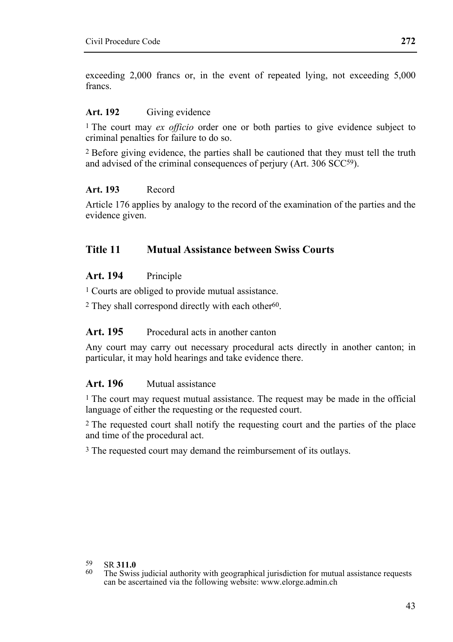exceeding 2,000 francs or, in the event of repeated lying, not exceeding 5,000 francs.

#### **Art. 192** Giving evidence

1 The court may *ex officio* order one or both parties to give evidence subject to criminal penalties for failure to do so.

2 Before giving evidence, the parties shall be cautioned that they must tell the truth and advised of the criminal consequences of periury (Art. 306 SCC<sup>59</sup>).

#### **Art. 193** Record

Article 176 applies by analogy to the record of the examination of the parties and the evidence given.

### **Title 11 Mutual Assistance between Swiss Courts**

#### **Art. 194** Principle

1 Courts are obliged to provide mutual assistance.

2 They shall correspond directly with each other60.

### **Art. 195** Procedural acts in another canton

Any court may carry out necessary procedural acts directly in another canton; in particular, it may hold hearings and take evidence there.

#### **Art. 196** Mutual assistance

1 The court may request mutual assistance. The request may be made in the official language of either the requesting or the requested court.

2 The requested court shall notify the requesting court and the parties of the place and time of the procedural act.

<sup>3</sup> The requested court may demand the reimbursement of its outlays.

 $59$ 

<sup>59</sup> SR **311.0** 60 The Swiss judicial authority with geographical jurisdiction for mutual assistance requests can be ascertained via the following website: www.elorge.admin.ch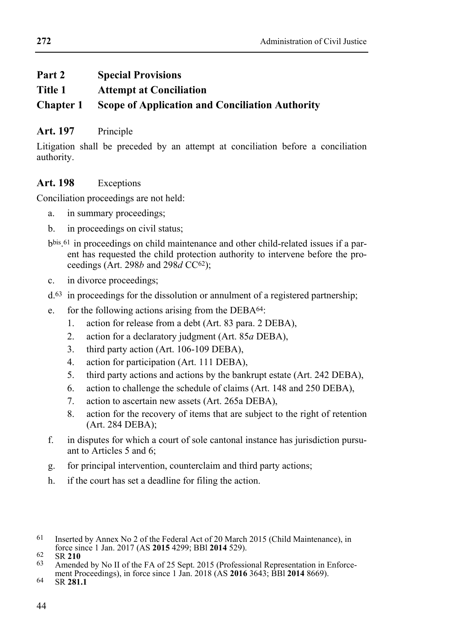## **Part 2 Special Provisions**

**Title 1 Attempt at Conciliation** 

## **Chapter 1 Scope of Application and Conciliation Authority**

## Art. 197 Principle

Litigation shall be preceded by an attempt at conciliation before a conciliation authority.

## **Art. 198** Exceptions

Conciliation proceedings are not held:

- a. in summary proceedings;
- b. in proceedings on civil status;
- bbis.61 in proceedings on child maintenance and other child-related issues if a parent has requested the child protection authority to intervene before the proceedings (Art. 298*b* and 298*d* CC62);
- c. in divorce proceedings;
- d.63 in proceedings for the dissolution or annulment of a registered partnership;
- e. for the following actions arising from the DEBA64:
	- 1. action for release from a debt (Art. 83 para. 2 DEBA),
	- 2. action for a declaratory judgment (Art. 85*a* DEBA),
	- 3. third party action (Art. 106-109 DEBA),
	- 4. action for participation (Art. 111 DEBA),
	- 5. third party actions and actions by the bankrupt estate (Art. 242 DEBA),
	- 6. action to challenge the schedule of claims (Art. 148 and 250 DEBA),
	- 7. action to ascertain new assets (Art. 265a DEBA),
	- 8. action for the recovery of items that are subject to the right of retention (Art. 284 DEBA);
- f. in disputes for which a court of sole cantonal instance has jurisdiction pursuant to Articles 5 and 6;
- g. for principal intervention, counterclaim and third party actions;
- h. if the court has set a deadline for filing the action.

<sup>&</sup>lt;sup>61</sup> Inserted by Annex No 2 of the Federal Act of 20 March 2015 (Child Maintenance), in force since 1 Jan. 2017 (AS  $2015\ 4299$ ; BBI 2014 529).

force since 1 Jan. 2017 (AS **2015** 4299; BBl **2014** 529). 62 SR **<sup>210</sup>** 63 Amended by No II of the FA of 25 Sept. 2015 (Professional Representation in Enforcement Proceedings), in force since 1 Jan. 2018 (AS **2016** 3643; BBI **2014** 8669).<br>
SR **281.1**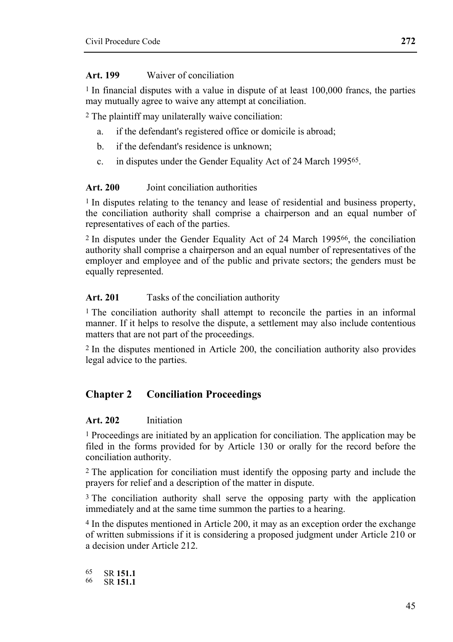#### **Art. 199** Waiver of conciliation

1 In financial disputes with a value in dispute of at least 100,000 francs, the parties may mutually agree to waive any attempt at conciliation.

2 The plaintiff may unilaterally waive conciliation:

- a. if the defendant's registered office or domicile is abroad;
- b. if the defendant's residence is unknown;
- c. in disputes under the Gender Equality Act of 24 March 199565.

#### **Art. 200** Joint conciliation authorities

1 In disputes relating to the tenancy and lease of residential and business property, the conciliation authority shall comprise a chairperson and an equal number of representatives of each of the parties.

2 In disputes under the Gender Equality Act of 24 March 199566, the conciliation authority shall comprise a chairperson and an equal number of representatives of the employer and employee and of the public and private sectors; the genders must be equally represented.

#### **Art. 201** Tasks of the conciliation authority

1 The conciliation authority shall attempt to reconcile the parties in an informal manner. If it helps to resolve the dispute, a settlement may also include contentious matters that are not part of the proceedings.

2 In the disputes mentioned in Article 200, the conciliation authority also provides legal advice to the parties.

### **Chapter 2 Conciliation Proceedings**

#### **Art. 202** Initiation

1 Proceedings are initiated by an application for conciliation. The application may be filed in the forms provided for by Article 130 or orally for the record before the conciliation authority.

2 The application for conciliation must identify the opposing party and include the prayers for relief and a description of the matter in dispute.

3 The conciliation authority shall serve the opposing party with the application immediately and at the same time summon the parties to a hearing.

4 In the disputes mentioned in Article 200, it may as an exception order the exchange of written submissions if it is considering a proposed judgment under Article 210 or a decision under Article 212.

65 SR **151.1** 66 SR **151.1**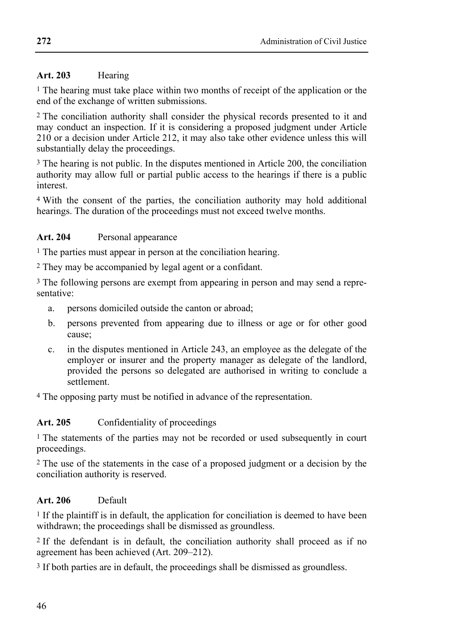### **Art. 203** Hearing

1 The hearing must take place within two months of receipt of the application or the end of the exchange of written submissions.

2 The conciliation authority shall consider the physical records presented to it and may conduct an inspection. If it is considering a proposed judgment under Article 210 or a decision under Article 212, it may also take other evidence unless this will substantially delay the proceedings.

<sup>3</sup> The hearing is not public. In the disputes mentioned in Article 200, the conciliation authority may allow full or partial public access to the hearings if there is a public interest.

4 With the consent of the parties, the conciliation authority may hold additional hearings. The duration of the proceedings must not exceed twelve months.

### **Art. 204** Personal appearance

1 The parties must appear in person at the conciliation hearing.

2 They may be accompanied by legal agent or a confidant.

3 The following persons are exempt from appearing in person and may send a representative:

- a. persons domiciled outside the canton or abroad;
- b. persons prevented from appearing due to illness or age or for other good cause;
- c. in the disputes mentioned in Article 243, an employee as the delegate of the employer or insurer and the property manager as delegate of the landlord, provided the persons so delegated are authorised in writing to conclude a settlement.

4 The opposing party must be notified in advance of the representation.

### Art. 205 Confidentiality of proceedings

<sup>1</sup> The statements of the parties may not be recorded or used subsequently in court proceedings.

2 The use of the statements in the case of a proposed judgment or a decision by the conciliation authority is reserved.

### **Art. 206** Default

<sup>1</sup> If the plaintiff is in default, the application for conciliation is deemed to have been withdrawn; the proceedings shall be dismissed as groundless.

2 If the defendant is in default, the conciliation authority shall proceed as if no agreement has been achieved (Art. 209–212).

3 If both parties are in default, the proceedings shall be dismissed as groundless.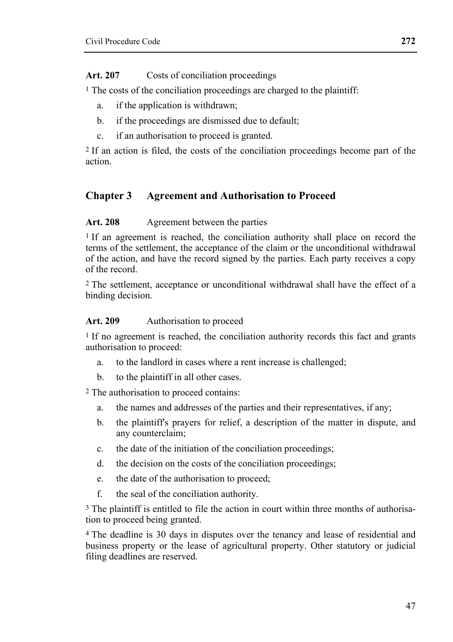Art. 207 Costs of conciliation proceedings

1 The costs of the conciliation proceedings are charged to the plaintiff:

- a. if the application is withdrawn;
- b. if the proceedings are dismissed due to default;
- c. if an authorisation to proceed is granted.

2 If an action is filed, the costs of the conciliation proceedings become part of the action.

## **Chapter 3 Agreement and Authorisation to Proceed**

### **Art. 208** Agreement between the parties

<sup>1</sup> If an agreement is reached, the conciliation authority shall place on record the terms of the settlement, the acceptance of the claim or the unconditional withdrawal of the action, and have the record signed by the parties. Each party receives a copy of the record.

2 The settlement, acceptance or unconditional withdrawal shall have the effect of a binding decision.

### Art. 209 Authorisation to proceed

1 If no agreement is reached, the conciliation authority records this fact and grants authorisation to proceed:

- a. to the landlord in cases where a rent increase is challenged;
- b. to the plaintiff in all other cases.

2 The authorisation to proceed contains:

- a. the names and addresses of the parties and their representatives, if any;
- b. the plaintiff's prayers for relief, a description of the matter in dispute, and any counterclaim;
- c. the date of the initiation of the conciliation proceedings;
- d. the decision on the costs of the conciliation proceedings;
- e. the date of the authorisation to proceed;
- f. the seal of the conciliation authority.

<sup>3</sup> The plaintiff is entitled to file the action in court within three months of authorisation to proceed being granted.

4 The deadline is 30 days in disputes over the tenancy and lease of residential and business property or the lease of agricultural property. Other statutory or judicial filing deadlines are reserved.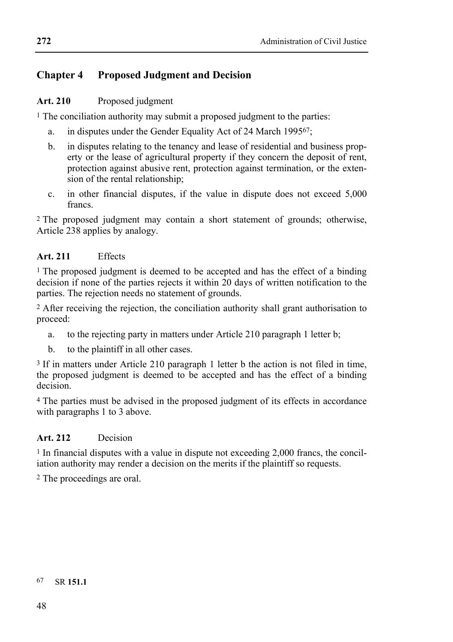## **Chapter 4 Proposed Judgment and Decision**

### Art. 210 Proposed judgment

<sup>1</sup> The conciliation authority may submit a proposed judgment to the parties:

- a. in disputes under the Gender Equality Act of 24 March 199567;
- b. in disputes relating to the tenancy and lease of residential and business property or the lease of agricultural property if they concern the deposit of rent. protection against abusive rent, protection against termination, or the extension of the rental relationship;
- c. in other financial disputes, if the value in dispute does not exceed 5,000 francs.

2 The proposed judgment may contain a short statement of grounds; otherwise, Article 238 applies by analogy.

### **Art. 211** Effects

<sup>1</sup> The proposed judgment is deemed to be accepted and has the effect of a binding decision if none of the parties rejects it within 20 days of written notification to the parties. The rejection needs no statement of grounds.

2 After receiving the rejection, the conciliation authority shall grant authorisation to proceed:

- a. to the rejecting party in matters under Article 210 paragraph 1 letter b;
- b. to the plaintiff in all other cases.

3 If in matters under Article 210 paragraph 1 letter b the action is not filed in time, the proposed judgment is deemed to be accepted and has the effect of a binding decision.

4 The parties must be advised in the proposed judgment of its effects in accordance with paragraphs 1 to 3 above.

### **Art. 212** Decision

1 In financial disputes with a value in dispute not exceeding 2,000 francs, the conciliation authority may render a decision on the merits if the plaintiff so requests.

2 The proceedings are oral.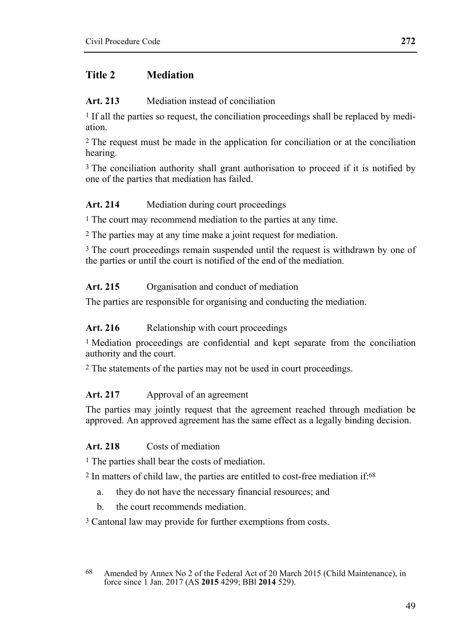### **Title 2 Mediation**

### **Art. 213** Mediation instead of conciliation

1 If all the parties so request, the conciliation proceedings shall be replaced by mediation.

2 The request must be made in the application for conciliation or at the conciliation hearing.

<sup>3</sup> The conciliation authority shall grant authorisation to proceed if it is notified by one of the parties that mediation has failed.

### **Art. 214** Mediation during court proceedings

1 The court may recommend mediation to the parties at any time.

2 The parties may at any time make a joint request for mediation.

<sup>3</sup> The court proceedings remain suspended until the request is withdrawn by one of the parties or until the court is notified of the end of the mediation.

### Art. 215 Organisation and conduct of mediation

The parties are responsible for organising and conducting the mediation.

### Art. 216 Relationship with court proceedings

1 Mediation proceedings are confidential and kept separate from the conciliation authority and the court.

2 The statements of the parties may not be used in court proceedings.

### **Art. 217** Approval of an agreement

The parties may jointly request that the agreement reached through mediation be approved. An approved agreement has the same effect as a legally binding decision.

### **Art. 218** Costs of mediation

1 The parties shall bear the costs of mediation.

<sup>2</sup> In matters of child law, the parties are entitled to cost-free mediation if:<sup>68</sup>

- a. they do not have the necessary financial resources; and
- b. the court recommends mediation.

3 Cantonal law may provide for further exemptions from costs.

<sup>68</sup> Amended by Annex No 2 of the Federal Act of 20 March 2015 (Child Maintenance), in force since 1 Jan. 2017 (AS **2015** 4299; BBl **2014** 529).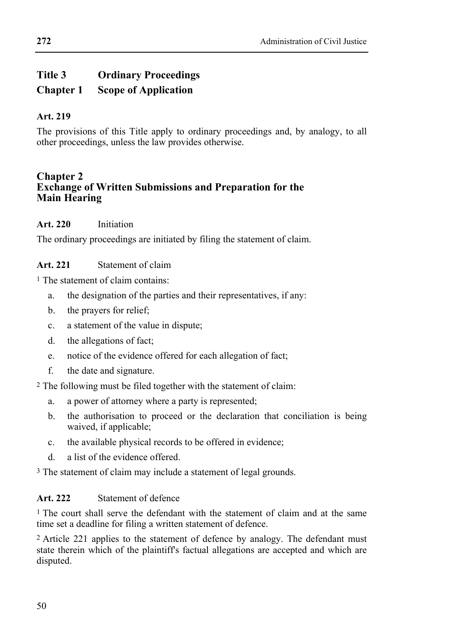## **Title 3 Ordinary Proceedings Chapter 1 Scope of Application**

### **Art. 219**

The provisions of this Title apply to ordinary proceedings and, by analogy, to all other proceedings, unless the law provides otherwise.

### **Chapter 2 Exchange of Written Submissions and Preparation for the Main Hearing**

### **Art. 220** Initiation

The ordinary proceedings are initiated by filing the statement of claim.

### **Art. 221** Statement of claim

1 The statement of claim contains:

- a. the designation of the parties and their representatives, if any:
- b. the prayers for relief;
- c. a statement of the value in dispute;
- d. the allegations of fact;
- e. notice of the evidence offered for each allegation of fact;
- f. the date and signature.

2 The following must be filed together with the statement of claim:

- a. a power of attorney where a party is represented;
- b. the authorisation to proceed or the declaration that conciliation is being waived, if applicable;
- c. the available physical records to be offered in evidence;
- d. a list of the evidence offered.

3 The statement of claim may include a statement of legal grounds.

### **Art. 222** Statement of defence

1 The court shall serve the defendant with the statement of claim and at the same time set a deadline for filing a written statement of defence.

2 Article 221 applies to the statement of defence by analogy. The defendant must state therein which of the plaintiff's factual allegations are accepted and which are disputed.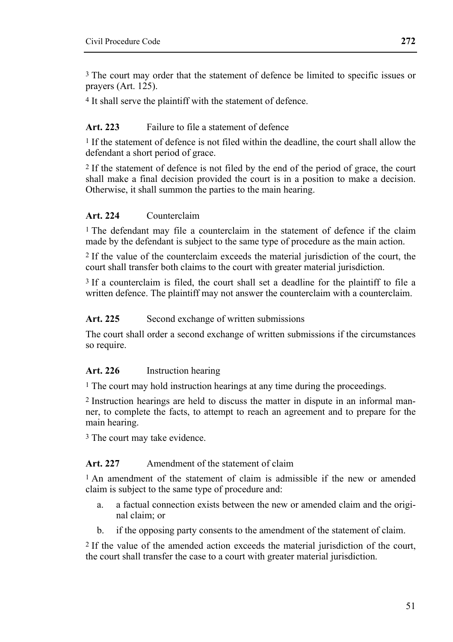3 The court may order that the statement of defence be limited to specific issues or prayers (Art. 125).

4 It shall serve the plaintiff with the statement of defence.

### **Art. 223** Failure to file a statement of defence

<sup>1</sup> If the statement of defence is not filed within the deadline, the court shall allow the defendant a short period of grace.

2 If the statement of defence is not filed by the end of the period of grace, the court shall make a final decision provided the court is in a position to make a decision. Otherwise, it shall summon the parties to the main hearing.

### **Art. 224** Counterclaim

<sup>1</sup> The defendant may file a counterclaim in the statement of defence if the claim made by the defendant is subject to the same type of procedure as the main action.

2 If the value of the counterclaim exceeds the material jurisdiction of the court, the court shall transfer both claims to the court with greater material jurisdiction.

3 If a counterclaim is filed, the court shall set a deadline for the plaintiff to file a written defence. The plaintiff may not answer the counterclaim with a counterclaim.

#### Art. 225 Second exchange of written submissions

The court shall order a second exchange of written submissions if the circumstances so require.

### **Art. 226** Instruction hearing

1 The court may hold instruction hearings at any time during the proceedings.

2 Instruction hearings are held to discuss the matter in dispute in an informal manner, to complete the facts, to attempt to reach an agreement and to prepare for the main hearing.

3 The court may take evidence.

#### **Art. 227** Amendment of the statement of claim

1 An amendment of the statement of claim is admissible if the new or amended claim is subject to the same type of procedure and:

- a. a factual connection exists between the new or amended claim and the original claim; or
- b. if the opposing party consents to the amendment of the statement of claim.

2 If the value of the amended action exceeds the material jurisdiction of the court, the court shall transfer the case to a court with greater material jurisdiction.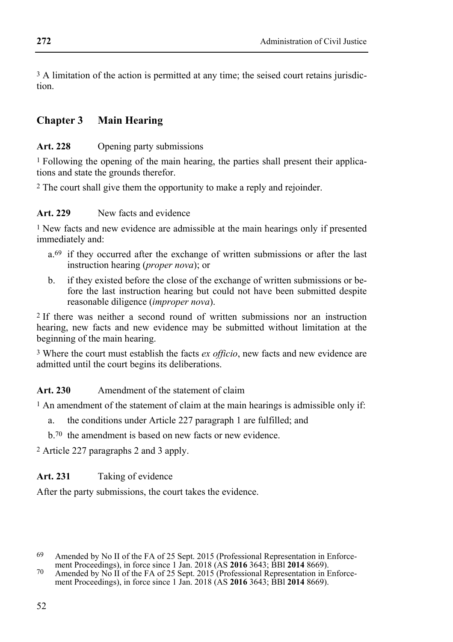<sup>3</sup> A limitation of the action is permitted at any time; the seised court retains jurisdiction.

### **Chapter 3 Main Hearing**

#### Art. 228 Opening party submissions

1 Following the opening of the main hearing, the parties shall present their applications and state the grounds therefor.

2 The court shall give them the opportunity to make a reply and rejoinder.

### **Art. 229** New facts and evidence

1 New facts and new evidence are admissible at the main hearings only if presented immediately and:

- a.<sup>69</sup> if they occurred after the exchange of written submissions or after the last instruction hearing (*proper nova*); or
- b. if they existed before the close of the exchange of written submissions or before the last instruction hearing but could not have been submitted despite reasonable diligence (*improper nova*).

2 If there was neither a second round of written submissions nor an instruction hearing, new facts and new evidence may be submitted without limitation at the beginning of the main hearing.

3 Where the court must establish the facts *ex officio*, new facts and new evidence are admitted until the court begins its deliberations.

### **Art. 230** Amendment of the statement of claim

<sup>1</sup> An amendment of the statement of claim at the main hearings is admissible only if:

- a. the conditions under Article 227 paragraph 1 are fulfilled; and
- b.70 the amendment is based on new facts or new evidence.

2 Article 227 paragraphs 2 and 3 apply.

### **Art. 231** Taking of evidence

After the party submissions, the court takes the evidence.

<sup>&</sup>lt;sup>69</sup> Amended by No II of the FA of 25 Sept. 2015 (Professional Representation in Enforce-<br>ment Proceedings), in force since 1 Jan. 2018 (AS **2016** 3643; BBI **2014** 8669).

ment Proceedings), in force since 1 stail 2016 (AS **2016** 3643; BBI **2014** 8669).<br>To Amended by No II of the FA of 25 Sept. 2015 (Professional Representation in Enforcement Proceedings), in force since 1 Jan. 2018 (AS **2016** 3643; BBl **2014** 8669).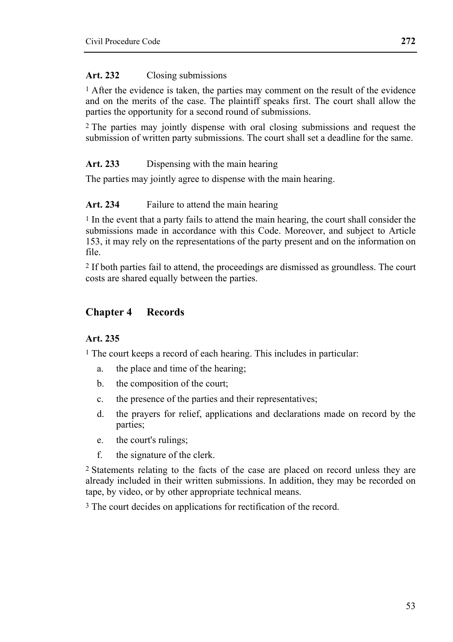#### **Art. 232** Closing submissions

1 After the evidence is taken, the parties may comment on the result of the evidence and on the merits of the case. The plaintiff speaks first. The court shall allow the parties the opportunity for a second round of submissions.

2 The parties may jointly dispense with oral closing submissions and request the submission of written party submissions. The court shall set a deadline for the same.

### **Art. 233** Dispensing with the main hearing

The parties may jointly agree to dispense with the main hearing.

#### **Art. 234** Failure to attend the main hearing

1 In the event that a party fails to attend the main hearing, the court shall consider the submissions made in accordance with this Code. Moreover, and subject to Article 153, it may rely on the representations of the party present and on the information on file.

2 If both parties fail to attend, the proceedings are dismissed as groundless. The court costs are shared equally between the parties.

### **Chapter 4 Records**

### **Art. 235**

1 The court keeps a record of each hearing. This includes in particular:

- a. the place and time of the hearing;
- b. the composition of the court;
- c. the presence of the parties and their representatives;
- d. the prayers for relief, applications and declarations made on record by the parties;
- e. the court's rulings;
- f. the signature of the clerk.

2 Statements relating to the facts of the case are placed on record unless they are already included in their written submissions. In addition, they may be recorded on tape, by video, or by other appropriate technical means.

<sup>3</sup> The court decides on applications for rectification of the record.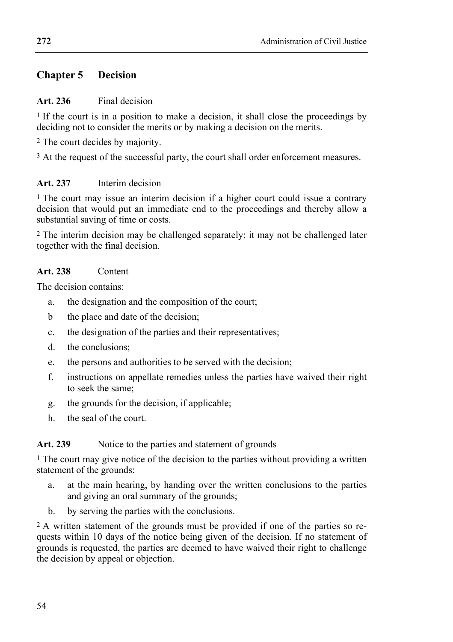### **Chapter 5 Decision**

### **Art. 236** Final decision

<sup>1</sup> If the court is in a position to make a decision, it shall close the proceedings by deciding not to consider the merits or by making a decision on the merits.

2 The court decides by majority.

<sup>3</sup> At the request of the successful party, the court shall order enforcement measures.

### **Art. 237** Interim decision

1 The court may issue an interim decision if a higher court could issue a contrary decision that would put an immediate end to the proceedings and thereby allow a substantial saving of time or costs.

2 The interim decision may be challenged separately; it may not be challenged later together with the final decision.

### **Art. 238** Content

The decision contains:

- a. the designation and the composition of the court;
- b the place and date of the decision;
- c. the designation of the parties and their representatives;
- d. the conclusions;
- e. the persons and authorities to be served with the decision;
- f. instructions on appellate remedies unless the parties have waived their right to seek the same;
- g. the grounds for the decision, if applicable;
- h. the seal of the court.

### Art. 239 Notice to the parties and statement of grounds

<sup>1</sup> The court may give notice of the decision to the parties without providing a written statement of the grounds:

- a. at the main hearing, by handing over the written conclusions to the parties and giving an oral summary of the grounds;
- b. by serving the parties with the conclusions.

2 A written statement of the grounds must be provided if one of the parties so requests within 10 days of the notice being given of the decision. If no statement of grounds is requested, the parties are deemed to have waived their right to challenge the decision by appeal or objection.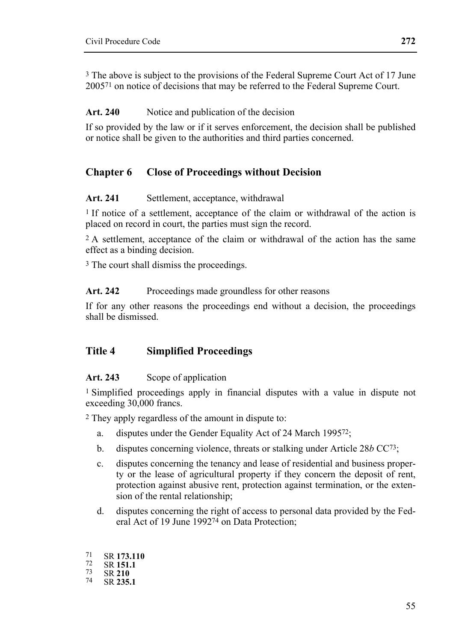3 The above is subject to the provisions of the Federal Supreme Court Act of 17 June 200571 on notice of decisions that may be referred to the Federal Supreme Court.

### Art. 240 Notice and publication of the decision

If so provided by the law or if it serves enforcement, the decision shall be published or notice shall be given to the authorities and third parties concerned.

### **Chapter 6 Close of Proceedings without Decision**

#### Art. 241 Settlement, acceptance, withdrawal

<sup>1</sup> If notice of a settlement, acceptance of the claim or withdrawal of the action is placed on record in court, the parties must sign the record.

<sup>2</sup> A settlement, acceptance of the claim or withdrawal of the action has the same effect as a binding decision.

3 The court shall dismiss the proceedings.

#### Art. 242 Proceedings made groundless for other reasons

If for any other reasons the proceedings end without a decision, the proceedings shall be dismissed.

### **Title 4 Simplified Proceedings**

### Art. 243 Scope of application

1 Simplified proceedings apply in financial disputes with a value in dispute not exceeding 30,000 francs.

2 They apply regardless of the amount in dispute to:

- a. disputes under the Gender Equality Act of 24 March 199572;
- b. disputes concerning violence, threats or stalking under Article 28*b* CC73;
- c. disputes concerning the tenancy and lease of residential and business property or the lease of agricultural property if they concern the deposit of rent, protection against abusive rent, protection against termination, or the extension of the rental relationship;
- d. disputes concerning the right of access to personal data provided by the Federal Act of 19 June 199274 on Data Protection;

71 SR **173.110** 72 SR **151.1** 73 SR **<sup>210</sup>** 74 SR **235.1**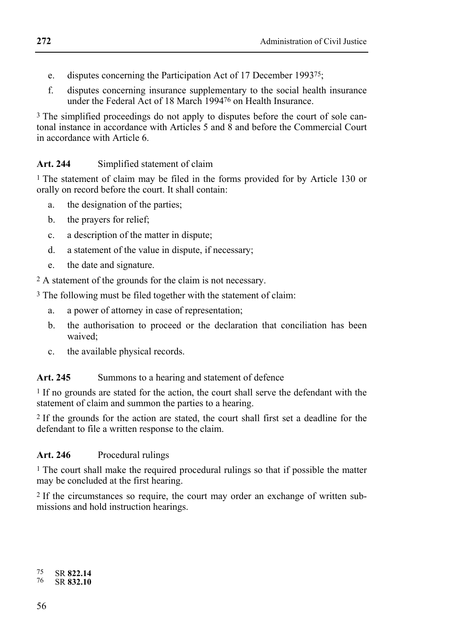- e. disputes concerning the Participation Act of 17 December 199375;
- f. disputes concerning insurance supplementary to the social health insurance under the Federal Act of 18 March 199476 on Health Insurance.

3 The simplified proceedings do not apply to disputes before the court of sole cantonal instance in accordance with Articles 5 and  $\overline{8}$  and before the Commercial Court in accordance with Article 6.

### **Art. 244** Simplified statement of claim

1 The statement of claim may be filed in the forms provided for by Article 130 or orally on record before the court. It shall contain:

- a. the designation of the parties;
- b. the prayers for relief;
- c. a description of the matter in dispute;
- d. a statement of the value in dispute, if necessary;
- e. the date and signature.
- 2 A statement of the grounds for the claim is not necessary.

3 The following must be filed together with the statement of claim:

- a. a power of attorney in case of representation;
- b. the authorisation to proceed or the declaration that conciliation has been waived;
- c. the available physical records.

### Art. 245 Summons to a hearing and statement of defence

<sup>1</sup> If no grounds are stated for the action, the court shall serve the defendant with the statement of claim and summon the parties to a hearing.

2 If the grounds for the action are stated, the court shall first set a deadline for the defendant to file a written response to the claim.

### **Art. 246** Procedural rulings

1 The court shall make the required procedural rulings so that if possible the matter may be concluded at the first hearing.

2 If the circumstances so require, the court may order an exchange of written submissions and hold instruction hearings.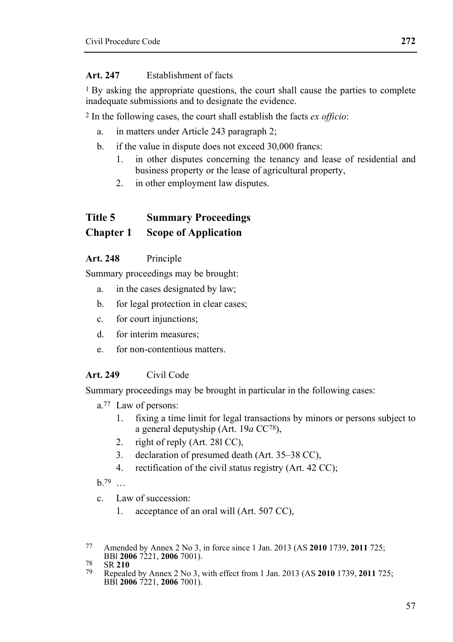#### **Art. 247** Establishment of facts

1 By asking the appropriate questions, the court shall cause the parties to complete inadequate submissions and to designate the evidence.

2 In the following cases, the court shall establish the facts *ex officio*:

- a. in matters under Article 243 paragraph 2;
- b. if the value in dispute does not exceed 30,000 francs:
	- 1. in other disputes concerning the tenancy and lease of residential and business property or the lease of agricultural property,
	- 2. in other employment law disputes.

## **Title 5 Summary Proceedings**

### **Chapter 1 Scope of Application**

### **Art. 248** Principle

Summary proceedings may be brought:

- a. in the cases designated by law;
- b. for legal protection in clear cases;
- c. for court injunctions;
- d. for interim measures;
- e. for non-contentious matters.

### **Art. 249** Civil Code

Summary proceedings may be brought in particular in the following cases:

- a.77 Law of persons:
	- 1. fixing a time limit for legal transactions by minors or persons subject to a general deputyship (Art. 19*a* CC78),
	- 2. right of reply (Art. 28l CC),
	- 3. declaration of presumed death (Art. 35–38 CC),
	- 4. rectification of the civil status registry (Art. 42 CC);

 $h.79$  …

- c. Law of succession:
	- 1. acceptance of an oral will (Art. 507 CC),

<sup>77</sup> Amended by Annex 2 No 3, in force since 1 Jan. 2013 (AS **2010** 1739, **2011** 725;

BBl **2006** 7221, **2006** 7001). 78 SR **<sup>210</sup>** 79 Repealed by Annex 2 No 3, with effect from 1 Jan. 2013 (AS **2010** 1739, **2011** 725; BBl **2006** 7221, **2006** 7001).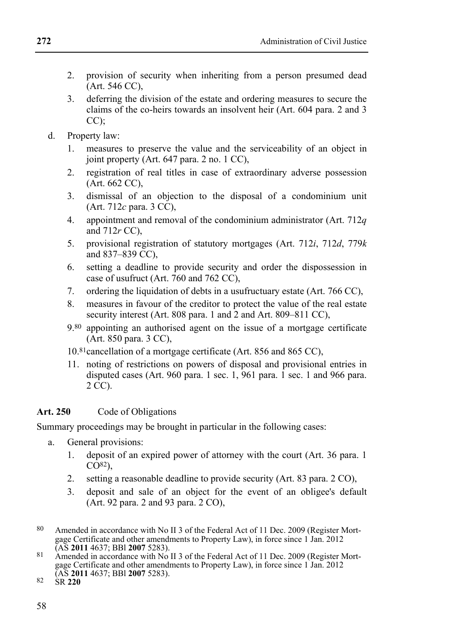- 2. provision of security when inheriting from a person presumed dead (Art. 546 CC),
- 3. deferring the division of the estate and ordering measures to secure the claims of the co-heirs towards an insolvent heir (Art. 604 para. 2 and 3  $CC$ );
- d. Property law:
	- 1. measures to preserve the value and the serviceability of an object in joint property (Art. 647 para. 2 no. 1 CC),
	- 2. registration of real titles in case of extraordinary adverse possession  $(Art. 662 CC)$
	- 3. dismissal of an objection to the disposal of a condominium unit (Art. 712*c* para. 3 CC),
	- 4. appointment and removal of the condominium administrator (Art. 712*q* and 712*r* CC),
	- 5. provisional registration of statutory mortgages (Art. 712*i*, 712*d*, 779*k* and  $837-839$  CC)
	- 6. setting a deadline to provide security and order the dispossession in case of usufruct (Art. 760 and 762 CC),
	- 7. ordering the liquidation of debts in a usufructuary estate (Art. 766 CC),
	- 8. measures in favour of the creditor to protect the value of the real estate security interest (Art. 808 para. 1 and 2 and Art. 809–811 CC),
	- 9.80 appointing an authorised agent on the issue of a mortgage certificate (Art. 850 para. 3 CC),
	- 10.81 cancellation of a mortgage certificate (Art. 856 and 865 CC),
	- 11. noting of restrictions on powers of disposal and provisional entries in disputed cases (Art. 960 para. 1 sec. 1, 961 para. 1 sec. 1 and 966 para. 2 CC).

### Art. 250 Code of Obligations

Summary proceedings may be brought in particular in the following cases:

- a. General provisions:
	- 1. deposit of an expired power of attorney with the court (Art. 36 para. 1  $CO<sup>82</sup>$ ).
	- 2. setting a reasonable deadline to provide security (Art. 83 para. 2 CO),
	- 3. deposit and sale of an object for the event of an obligee's default (Art. 92 para. 2 and 93 para. 2 CO),
- 80 Amended in accordance with No II 3 of the Federal Act of 11 Dec. 2009 (Register Mortgage Certificate and other amendments to Property Law), in force since 1 Jan. 2012<br>(AS 2011 4637: BBI 2007 5283).
- 81 Amended in accordance with No II 3 of the Federal Act of 11 Dec. 2009 (Register Mortgage Certificate and other amendments to Property Law), in force since 1 Jan. 2012 (AS **2011** 4637; BBl **2007** 5283). 82 SR **220**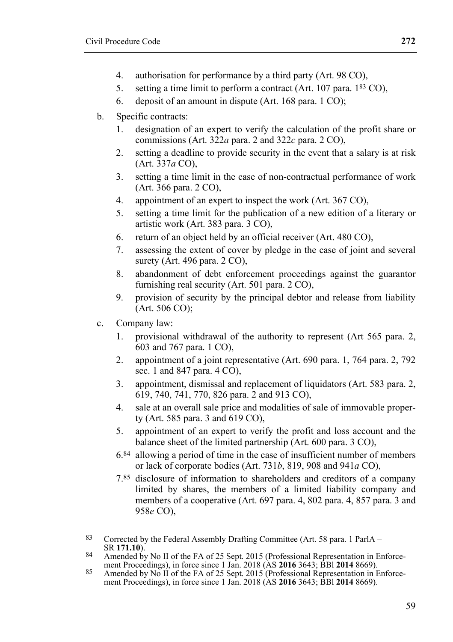- 4. authorisation for performance by a third party (Art. 98 CO),
- 5. setting a time limit to perform a contract (Art. 107 para. 183 CO),
- 6. deposit of an amount in dispute (Art. 168 para. 1 CO);
- b. Specific contracts:
	- 1. designation of an expert to verify the calculation of the profit share or commissions (Art. 322*a* para. 2 and 322*c* para. 2 CO),
	- 2. setting a deadline to provide security in the event that a salary is at risk (Art. 337*a* CO),
	- 3. setting a time limit in the case of non-contractual performance of work (Art. 366 para. 2 CO),
	- 4. appointment of an expert to inspect the work (Art. 367 CO),
	- 5. setting a time limit for the publication of a new edition of a literary or artistic work (Art. 383 para. 3 CO),
	- 6. return of an object held by an official receiver (Art. 480 CO),
	- 7. assessing the extent of cover by pledge in the case of joint and several surety (Art. 496 para. 2 CO).
	- 8. abandonment of debt enforcement proceedings against the guarantor furnishing real security (Art. 501 para. 2 CO),
	- 9. provision of security by the principal debtor and release from liability (Art. 506 CO);
- c. Company law:
	- 1. provisional withdrawal of the authority to represent (Art 565 para. 2, 603 and 767 para. 1 CO),
	- 2. appointment of a joint representative (Art. 690 para. 1, 764 para. 2, 792 sec. 1 and 847 para. 4 CO),
	- 3. appointment, dismissal and replacement of liquidators (Art. 583 para. 2, 619, 740, 741, 770, 826 para. 2 and 913 CO),
	- 4. sale at an overall sale price and modalities of sale of immovable property (Art. 585 para. 3 and 619 CO),
	- 5. appointment of an expert to verify the profit and loss account and the balance sheet of the limited partnership (Art. 600 para. 3 CO),
	- 6.84 allowing a period of time in the case of insufficient number of members or lack of corporate bodies (Art. 731*b*, 819, 908 and 941*a* CO),
	- 7.85 disclosure of information to shareholders and creditors of a company limited by shares, the members of a limited liability company and members of a cooperative (Art. 697 para. 4, 802 para. 4, 857 para. 3 and 958*e* CO),

83 Corrected by the Federal Assembly Drafting Committee (Art. 58 para. 1 ParlA – SR 171.10).

- 84 Amended by No II of the FA of 25 Sept. 2015 (Professional Representation in Enforce-<br>ment Proceedings), in force since 1 Jan. 2018 (AS **2016** 3643; BBI **2014** 8669).
- 85 Amended by No II of the FA of 25 Sept. 2015 (Professional Representation in Enforcement Proceedings), in force since 1 Jan. 2018 (AS **2016** 3643; BBl **2014** 8669).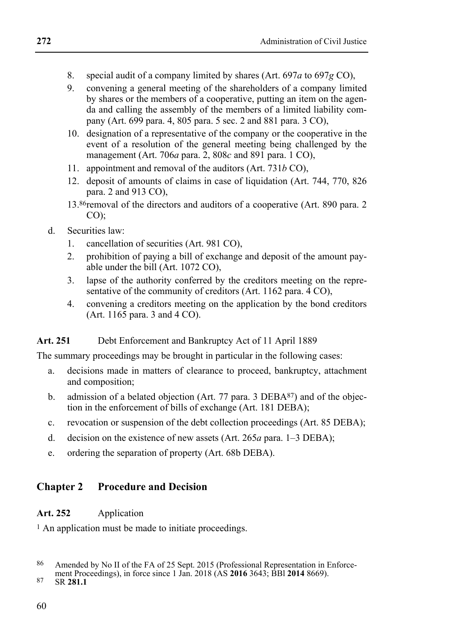- 8. special audit of a company limited by shares (Art. 697*a* to 697*g* CO),
- 9. convening a general meeting of the shareholders of a company limited by shares or the members of a cooperative, putting an item on the agenda and calling the assembly of the members of a limited liability company (Art. 699 para. 4, 805 para. 5 sec. 2 and 881 para. 3 CO),
- 10. designation of a representative of the company or the cooperative in the event of a resolution of the general meeting being challenged by the management (Art. 706*a* para. 2, 808*c* and 891 para. 1 CO),
- 11. appointment and removal of the auditors (Art. 731*b* CO),
- 12. deposit of amounts of claims in case of liquidation (Art. 744, 770, 826 para. 2 and 913 CO),
- 13.86 removal of the directors and auditors of a cooperative (Art. 890 para. 2  $CO$ ).
- d. Securities law:
	- 1. cancellation of securities (Art. 981 CO),
	- 2. prohibition of paying a bill of exchange and deposit of the amount payable under the bill (Art. 1072 CO),
	- 3. lapse of the authority conferred by the creditors meeting on the representative of the community of creditors (Art. 1162 para. 4 CO),
	- 4. convening a creditors meeting on the application by the bond creditors (Art. 1165 para. 3 and 4 CO).

### **Art. 251** Debt Enforcement and Bankruptcy Act of 11 April 1889

The summary proceedings may be brought in particular in the following cases:

- a. decisions made in matters of clearance to proceed, bankruptcy, attachment and composition;
- b. admission of a belated objection (Art. 77 para. 3 DEBA87) and of the objection in the enforcement of bills of exchange (Art. 181 DEBA);
- c. revocation or suspension of the debt collection proceedings (Art. 85 DEBA);
- d. decision on the existence of new assets (Art. 265*a* para. 1–3 DEBA);
- e. ordering the separation of property (Art. 68b DEBA).

### **Chapter 2 Procedure and Decision**

#### **Art. 252** Application

<sup>1</sup> An application must be made to initiate proceedings.

<sup>86</sup> Amended by No II of the FA of 25 Sept. 2015 (Professional Representation in Enforce-

ment Proceedings), in force since 1 Jan. 2018 (AS **2016** 3643; BBI **2014** 8669). <br>87 SR **281.1**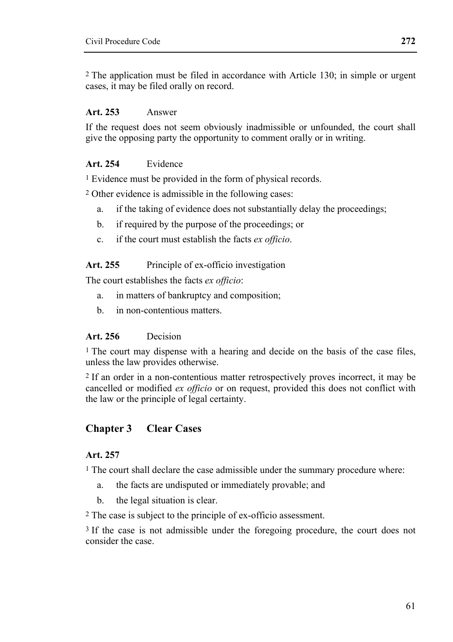2 The application must be filed in accordance with Article 130; in simple or urgent cases, it may be filed orally on record.

#### **Art. 253** Answer

If the request does not seem obviously inadmissible or unfounded, the court shall give the opposing party the opportunity to comment orally or in writing.

#### **Art. 254** Evidence

1 Evidence must be provided in the form of physical records.

2 Other evidence is admissible in the following cases:

- a. if the taking of evidence does not substantially delay the proceedings;
- b. if required by the purpose of the proceedings; or
- c. if the court must establish the facts *ex officio*.

#### Art. 255 Principle of ex-officio investigation

The court establishes the facts *ex officio*:

- a. in matters of bankruptcy and composition;
- b. in non-contentious matters.

#### **Art. 256** Decision

 $<sup>1</sup>$  The court may dispense with a hearing and decide on the basis of the case files.</sup> unless the law provides otherwise.

2 If an order in a non-contentious matter retrospectively proves incorrect, it may be cancelled or modified *ex officio* or on request, provided this does not conflict with the law or the principle of legal certainty.

### **Chapter 3 Clear Cases**

### **Art. 257**

<sup>1</sup> The court shall declare the case admissible under the summary procedure where:

- a. the facts are undisputed or immediately provable; and
- b. the legal situation is clear.

2 The case is subject to the principle of ex-officio assessment.

3 If the case is not admissible under the foregoing procedure, the court does not consider the case.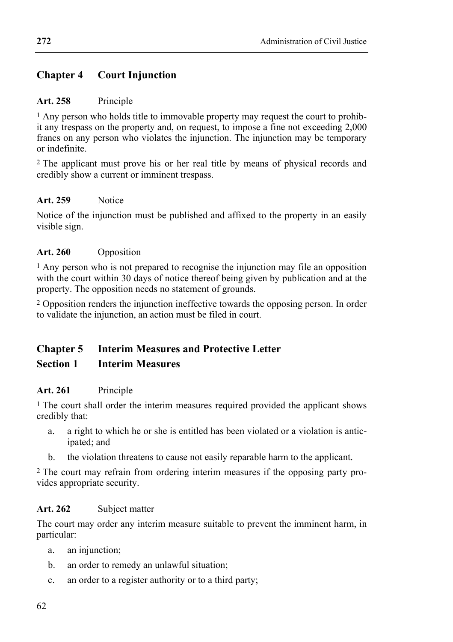### **Chapter 4 Court Injunction**

#### **Art. 258** Principle

1 Any person who holds title to immovable property may request the court to prohibit any trespass on the property and, on request, to impose a fine not exceeding 2,000 francs on any person who violates the injunction. The injunction may be temporary or indefinite.

<sup>2</sup> The applicant must prove his or her real title by means of physical records and credibly show a current or imminent trespass.

### **Art. 259** Notice

Notice of the injunction must be published and affixed to the property in an easily visible sign.

#### **Art. 260** Opposition

1 Any person who is not prepared to recognise the injunction may file an opposition with the court within 30 days of notice thereof being given by publication and at the property. The opposition needs no statement of grounds.

2 Opposition renders the injunction ineffective towards the opposing person. In order to validate the injunction, an action must be filed in court.

### **Chapter 5 Interim Measures and Protective Letter**

### **Section 1 Interim Measures**

### **Art. 261** Principle

<sup>1</sup> The court shall order the interim measures required provided the applicant shows credibly that:

- a. a right to which he or she is entitled has been violated or a violation is anticipated; and
- b. the violation threatens to cause not easily reparable harm to the applicant.

2 The court may refrain from ordering interim measures if the opposing party provides appropriate security.

### **Art. 262** Subject matter

The court may order any interim measure suitable to prevent the imminent harm, in particular:

- a. an injunction;
- b. an order to remedy an unlawful situation;
- c. an order to a register authority or to a third party;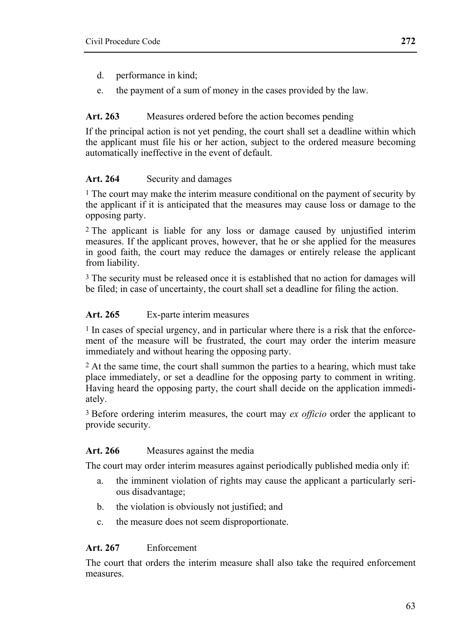- d. performance in kind;
- e. the payment of a sum of money in the cases provided by the law.

### **Art. 263** Measures ordered before the action becomes pending

If the principal action is not yet pending, the court shall set a deadline within which the applicant must file his or her action, subject to the ordered measure becoming automatically ineffective in the event of default.

### **Art. 264** Security and damages

 $<sup>1</sup>$  The court may make the interim measure conditional on the payment of security by</sup> the applicant if it is anticipated that the measures may cause loss or damage to the opposing party.

2 The applicant is liable for any loss or damage caused by unjustified interim measures. If the applicant proves, however, that he or she applied for the measures in good faith, the court may reduce the damages or entirely release the applicant from liability.

3 The security must be released once it is established that no action for damages will be filed; in case of uncertainty, the court shall set a deadline for filing the action.

### **Art. 265** Ex-parte interim measures

<sup>1</sup> In cases of special urgency, and in particular where there is a risk that the enforcement of the measure will be frustrated, the court may order the interim measure immediately and without hearing the opposing party.

2 At the same time, the court shall summon the parties to a hearing, which must take place immediately, or set a deadline for the opposing party to comment in writing. Having heard the opposing party, the court shall decide on the application immediately.

3 Before ordering interim measures, the court may *ex officio* order the applicant to provide security.

### **Art. 266** Measures against the media

The court may order interim measures against periodically published media only if:

- a. the imminent violation of rights may cause the applicant a particularly serious disadvantage;
- b. the violation is obviously not justified; and
- c. the measure does not seem disproportionate.

### **Art. 267** Enforcement

The court that orders the interim measure shall also take the required enforcement measures.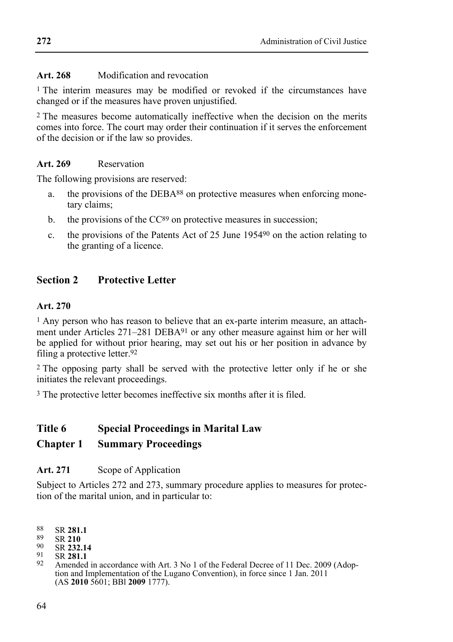### **Art. 268** Modification and revocation

1 The interim measures may be modified or revoked if the circumstances have changed or if the measures have proven unjustified.

2 The measures become automatically ineffective when the decision on the merits comes into force. The court may order their continuation if it serves the enforcement of the decision or if the law so provides.

### **Art. 269** Reservation

The following provisions are reserved:

- a. the provisions of the DEBA<sup>88</sup> on protective measures when enforcing monetary claims;
- b. the provisions of the  $CC^{89}$  on protective measures in succession;
- c. the provisions of the Patents Act of 25 June 195490 on the action relating to the granting of a licence.

## **Section 2 Protective Letter**

### **Art. 270**

1 Any person who has reason to believe that an ex-parte interim measure, an attachment under Articles 271–281 DEBA<sup>91</sup> or any other measure against him or her will be applied for without prior hearing, may set out his or her position in advance by filing a protective letter.92

2 The opposing party shall be served with the protective letter only if he or she initiates the relevant proceedings.

3 The protective letter becomes ineffective six months after it is filed.

# **Title 6 Special Proceedings in Marital Law**

## **Chapter 1 Summary Proceedings**

### **Art. 271** Scope of Application

Subject to Articles 272 and 273, summary procedure applies to measures for protection of the marital union, and in particular to:

88 SR **281.1**<br>
89 SR **210**<br>
90 SR **232.14**<br>
92 Amended in accordance with Art. 3 No 1 of the Federal Decree of 11 Dec. 2009 (Adop-<br>
92 Amended in accordance with Art. 3 No 1 of the Federal Decree of 11 Dec. 2009 (Adoption and Implementation of the Lugano Convention), in force since 1 Jan. 2011 (AS **2010** 5601; BBl **2009** 1777).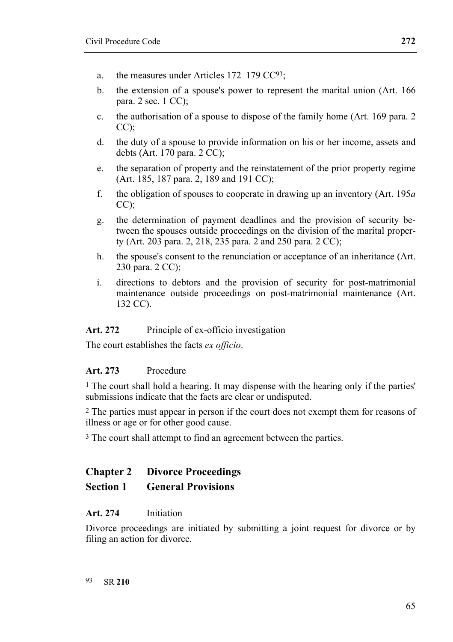- a. the measures under Articles 172–179 CC93;
- b. the extension of a spouse's power to represent the marital union (Art. 166 para. 2 sec. 1 CC);
- c. the authorisation of a spouse to dispose of the family home (Art. 169 para. 2  $CC$ );
- d. the duty of a spouse to provide information on his or her income, assets and debts (Art.  $170$  para.  $2 \overline{C}$ C);
- e. the separation of property and the reinstatement of the prior property regime  $(Art. 185, 187 \text{ para. } 2, 189 \text{ and } 191 \text{ CC})$ ;
- f. the obligation of spouses to cooperate in drawing up an inventory (Art. 195*a*  $CC$ );
- g. the determination of payment deadlines and the provision of security between the spouses outside proceedings on the division of the marital property (Art. 203 para. 2, 218, 235 para. 2 and 250 para. 2 CC);
- h. the spouse's consent to the renunciation or acceptance of an inheritance (Art. 230 para. 2 CC);
- i. directions to debtors and the provision of security for post-matrimonial maintenance outside proceedings on post-matrimonial maintenance (Art. 132 CC).

### Art. 272 Principle of ex-officio investigation

The court establishes the facts *ex officio*.

### **Art. 273** Procedure

1 The court shall hold a hearing. It may dispense with the hearing only if the parties' submissions indicate that the facts are clear or undisputed.

2 The parties must appear in person if the court does not exempt them for reasons of illness or age or for other good cause.

3 The court shall attempt to find an agreement between the parties.

### **Chapter 2 Divorce Proceedings**

#### **Section 1 General Provisions**

#### **Art. 274** Initiation

Divorce proceedings are initiated by submitting a joint request for divorce or by filing an action for divorce.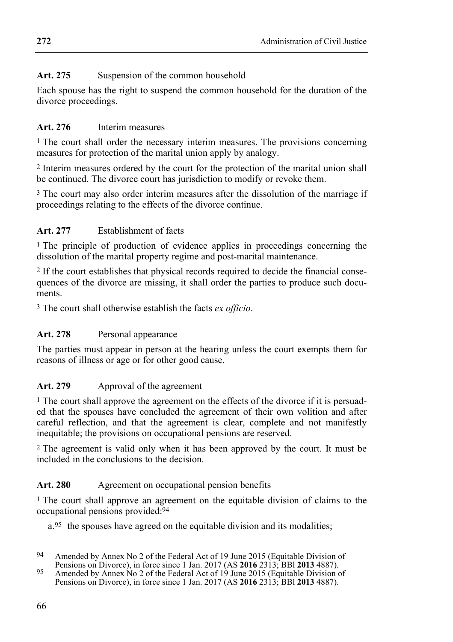## Art. 275 Suspension of the common household

Each spouse has the right to suspend the common household for the duration of the divorce proceedings.

## **Art. 276** Interim measures

<sup>1</sup> The court shall order the necessary interim measures. The provisions concerning measures for protection of the marital union apply by analogy.

2 Interim measures ordered by the court for the protection of the marital union shall be continued. The divorce court has jurisdiction to modify or revoke them.

3 The court may also order interim measures after the dissolution of the marriage if proceedings relating to the effects of the divorce continue.

### **Art. 277** Establishment of facts

<sup>1</sup> The principle of production of evidence applies in proceedings concerning the dissolution of the marital property regime and post-marital maintenance.

2 If the court establishes that physical records required to decide the financial consequences of the divorce are missing, it shall order the parties to produce such documents.

3 The court shall otherwise establish the facts *ex officio*.

### Art. 278 Personal appearance

The parties must appear in person at the hearing unless the court exempts them for reasons of illness or age or for other good cause.

### Art. 279 Approval of the agreement

<sup>1</sup> The court shall approve the agreement on the effects of the divorce if it is persuaded that the spouses have concluded the agreement of their own volition and after careful reflection, and that the agreement is clear, complete and not manifestly inequitable; the provisions on occupational pensions are reserved.

2 The agreement is valid only when it has been approved by the court. It must be included in the conclusions to the decision.

### Art. 280 Agreement on occupational pension benefits

<sup>1</sup> The court shall approve an agreement on the equitable division of claims to the occupational pensions provided:94

a.95 the spouses have agreed on the equitable division and its modalities;

<sup>94</sup> Amended by Annex No 2 of the Federal Act of 19 June 2015 (Equitable Division of Pensions on Divorce), in force since 1 Jan. 2017 (AS 2016 2313; BBI 2013 4887).

Persisted by Annex No 2 of the Federal Act of 19 June 2015 (Equitable Division of Pensions on Divorce), in force since 1 Jan. 2017 (AS **2016** 2313; BBl **2013** 4887).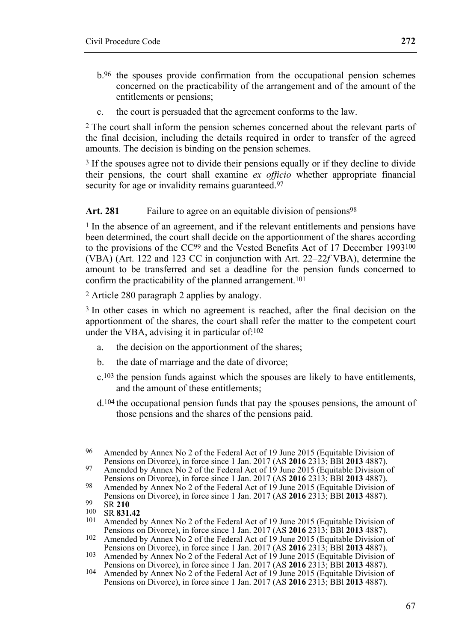- b.96 the spouses provide confirmation from the occupational pension schemes concerned on the practicability of the arrangement and of the amount of the entitlements or pensions;
- c. the court is persuaded that the agreement conforms to the law.

2 The court shall inform the pension schemes concerned about the relevant parts of the final decision, including the details required in order to transfer of the agreed amounts. The decision is binding on the pension schemes.

<sup>3</sup> If the spouses agree not to divide their pensions equally or if they decline to divide their pensions, the court shall examine *ex officio* whether appropriate financial security for age or invalidity remains guaranteed.<sup>97</sup>

#### Art. 281 Failure to agree on an equitable division of pensions<sup>98</sup>

<sup>1</sup> In the absence of an agreement, and if the relevant entitlements and pensions have been determined, the court shall decide on the apportionment of the shares according to the provisions of the CC<sup>99</sup> and the Vested Benefits Act of 17 December 1993<sup>100</sup> (VBA) (Art. 122 and 123 CC in conjunction with Art. 22–22*f* VBA), determine the amount to be transferred and set a deadline for the pension funds concerned to confirm the practicability of the planned arrangement.<sup>101</sup>

2 Article 280 paragraph 2 applies by analogy.

3 In other cases in which no agreement is reached, after the final decision on the apportionment of the shares, the court shall refer the matter to the competent court under the VBA, advising it in particular of:102

- a. the decision on the apportionment of the shares;
- b. the date of marriage and the date of divorce;
- c.103 the pension funds against which the spouses are likely to have entitlements, and the amount of these entitlements;
- d.104 the occupational pension funds that pay the spouses pensions, the amount of those pensions and the shares of the pensions paid.

<sup>&</sup>lt;sup>96</sup> Amended by Annex No 2 of the Federal Act of 19 June 2015 (Equitable Division of Pensions on Divorce), in force since 1 Jan. 2017 (AS **2016** 2313; BBI **2013** 4887).

Pensions on Divorce), in force since 1 Jan. 2017 (AS **2016** 2313; BBl **2013** 4887). 97 Amended by Annex No 2 of the Federal Act of 19 June 2015 (Equitable Division of

<sup>&</sup>lt;sup>98</sup> Amended by Annex No 2 of the Federal Act of 19 June 2015 (Equitable Division of Pensions on Divorce), in force since 1 Jan. 2017 (AS **2016** 2313; BBI **2013** 4887).

Pensions on Divorce), in force since 1 Jan. 2017 (AS **2016** 2313; BBI **2012** 100 SR **831.42**<br>
<sup>101</sup> SR **831.42**<br>
<sup>101</sup> Amended by Annex No 2 of the Federal Act of 19 June 2015 (Equitable Division of Pensions on Divorce), i

Pensions on Divorce), in force since 1 Jan. 2017 (AS **2016** 2313; BBl **2013** 4887). 102 Amended by Annex No 2 of the Federal Act of 19 June 2015 (Equitable Division of

Pensions on Divorce), in force since 1 Jan. 2017 (AS **2016** 2313; BBl **2013** 4887). 103 Amended by Annex No 2 of the Federal Act of 19 June 2015 (Equitable Division of

<sup>104</sup> Amended by Annex No 2 of the Federal Act of 19 June 2015 (Equitable Division of Pensions on Divorce), in force since 1 Jan. 2017 (AS **2016** 2313; BBl **2013** 4887).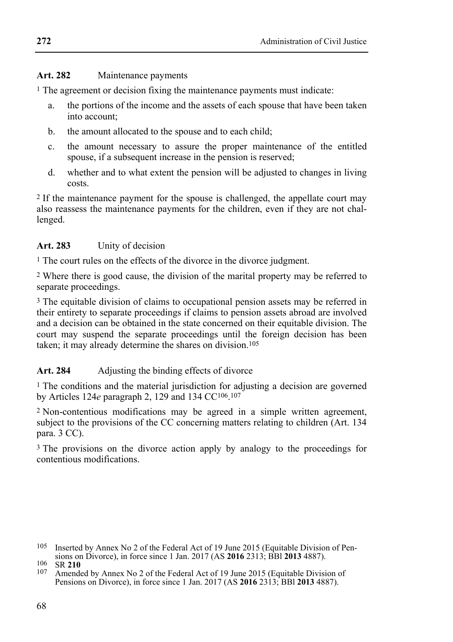### **Art. 282** Maintenance payments

1 The agreement or decision fixing the maintenance payments must indicate:

- a. the portions of the income and the assets of each spouse that have been taken into account;
- b. the amount allocated to the spouse and to each child;
- c. the amount necessary to assure the proper maintenance of the entitled spouse, if a subsequent increase in the pension is reserved:
- d. whether and to what extent the pension will be adjusted to changes in living costs.

2 If the maintenance payment for the spouse is challenged, the appellate court may also reassess the maintenance payments for the children, even if they are not challenged.

### **Art. 283** Unity of decision

1 The court rules on the effects of the divorce in the divorce judgment.

2 Where there is good cause, the division of the marital property may be referred to separate proceedings.

3 The equitable division of claims to occupational pension assets may be referred in their entirety to separate proceedings if claims to pension assets abroad are involved and a decision can be obtained in the state concerned on their equitable division. The court may suspend the separate proceedings until the foreign decision has been taken; it may already determine the shares on division.105

### Art. 284 Adjusting the binding effects of divorce

1 The conditions and the material jurisdiction for adjusting a decision are governed by Articles 124*e* paragraph 2, 129 and 134 CC106.107

2 Non-contentious modifications may be agreed in a simple written agreement, subject to the provisions of the CC concerning matters relating to children (Art. 134 para. 3 CC).

3 The provisions on the divorce action apply by analogy to the proceedings for contentious modifications.

<sup>&</sup>lt;sup>105</sup> Inserted by Annex No 2 of the Federal Act of 19 June 2015 (Equitable Division of Pensions on Divorce), in force since 1 Jan. 2017 (AS **2016** 2313; BBI **2013** 4887).

simple 106 **2018** 210<br><sup>107</sup> Amended by Annex No 2 of the Federal Act of 19 June 2015 (Equitable Division of Pensions on Divorce), in force since 1 Jan. 2017 (AS **2016** 2313; BBl **2013** 4887).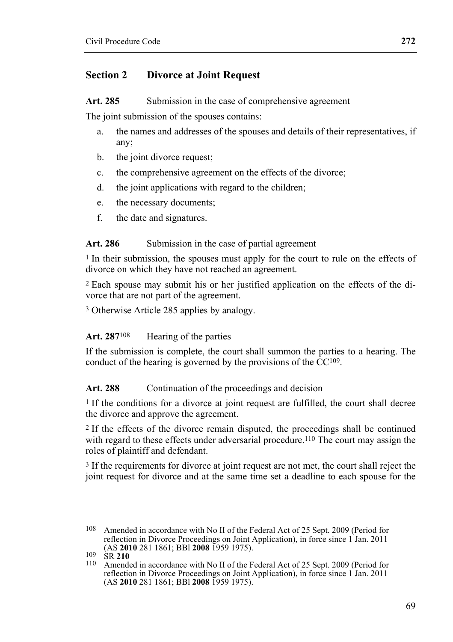### **Section 2 Divorce at Joint Request**

Art. 285 Submission in the case of comprehensive agreement

The joint submission of the spouses contains:

- a. the names and addresses of the spouses and details of their representatives, if any;
- b. the joint divorce request:
- c. the comprehensive agreement on the effects of the divorce;
- d. the joint applications with regard to the children;
- e. the necessary documents;
- f. the date and signatures.

#### Art. 286 Submission in the case of partial agreement

<sup>1</sup> In their submission, the spouses must apply for the court to rule on the effects of divorce on which they have not reached an agreement.

2 Each spouse may submit his or her justified application on the effects of the divorce that are not part of the agreement.

3 Otherwise Article 285 applies by analogy.

#### Art. 287<sup>108</sup> Hearing of the parties

If the submission is complete, the court shall summon the parties to a hearing. The conduct of the hearing is governed by the provisions of the  $CC^{109}$ .

#### Art. 288 Continuation of the proceedings and decision

1 If the conditions for a divorce at joint request are fulfilled, the court shall decree the divorce and approve the agreement.

2 If the effects of the divorce remain disputed, the proceedings shall be continued with regard to these effects under adversarial procedure.<sup>110</sup> The court may assign the roles of plaintiff and defendant.

3 If the requirements for divorce at joint request are not met, the court shall reject the joint request for divorce and at the same time set a deadline to each spouse for the

<sup>108</sup> Amended in accordance with No II of the Federal Act of 25 Sept. 2009 (Period for reflection in Divorce Proceedings on Joint Application), in force since  $1$  Jan. 2011 (AS 2010 281 1861; BBI 2008 1959 1975).

<sup>(</sup>AS **2010** 281 1861; BBl **2008** 1959 1975). 109 SR **<sup>210</sup>** 110 Amended in accordance with No II of the Federal Act of 25 Sept. 2009 (Period for reflection in Divorce Proceedings on Joint Application), in force since 1 Jan. 2011 (AS **2010** 281 1861; BBl **2008** 1959 1975).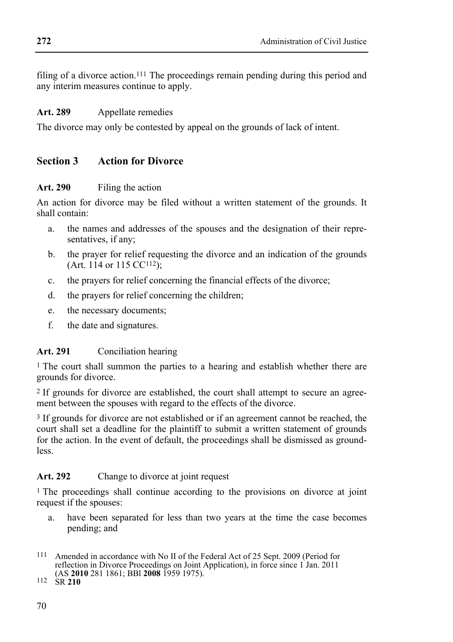filing of a divorce action.111 The proceedings remain pending during this period and any interim measures continue to apply.

### **Art. 289** Appellate remedies

The divorce may only be contested by appeal on the grounds of lack of intent.

### **Section 3 Action for Divorce**

### **Art. 290** Filing the action

An action for divorce may be filed without a written statement of the grounds. It shall contain:

- a. the names and addresses of the spouses and the designation of their representatives, if any;
- b. the prayer for relief requesting the divorce and an indication of the grounds (Art. 114 or 115 CC112);
- c. the prayers for relief concerning the financial effects of the divorce;
- d. the prayers for relief concerning the children;
- e. the necessary documents;
- f. the date and signatures.

### **Art. 291** Conciliation hearing

1 The court shall summon the parties to a hearing and establish whether there are grounds for divorce.

2 If grounds for divorce are established, the court shall attempt to secure an agreement between the spouses with regard to the effects of the divorce.

<sup>3</sup> If grounds for divorce are not established or if an agreement cannot be reached, the court shall set a deadline for the plaintiff to submit a written statement of grounds for the action. In the event of default, the proceedings shall be dismissed as groundless.

### Art. 292 Change to divorce at joint request

1 The proceedings shall continue according to the provisions on divorce at joint request if the spouses:

a. have been separated for less than two years at the time the case becomes pending; and

<sup>111</sup> Amended in accordance with No II of the Federal Act of 25 Sept. 2009 (Period for reflection in Divorce Proceedings on Joint Application), in force since 1 Jan. 2011 (AS **2010** 281 1861; BBl **2008** 1959 1975). 112 SR **210**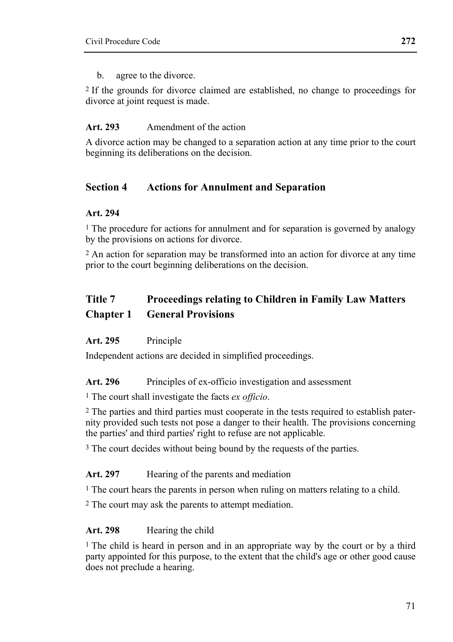b. agree to the divorce.

2 If the grounds for divorce claimed are established, no change to proceedings for divorce at joint request is made.

### **Art. 293** Amendment of the action

A divorce action may be changed to a separation action at any time prior to the court beginning its deliberations on the decision.

## **Section 4 Actions for Annulment and Separation**

### **Art. 294**

1 The procedure for actions for annulment and for separation is governed by analogy by the provisions on actions for divorce.

2 An action for separation may be transformed into an action for divorce at any time prior to the court beginning deliberations on the decision.

# **Title 7 Proceedings relating to Children in Family Law Matters Chapter 1 General Provisions**

### **Art. 295** Principle

Independent actions are decided in simplified proceedings.

### Art. 296 Principles of ex-officio investigation and assessment

1 The court shall investigate the facts *ex officio*.

2 The parties and third parties must cooperate in the tests required to establish paternity provided such tests not pose a danger to their health. The provisions concerning the parties' and third parties' right to refuse are not applicable.

<sup>3</sup> The court decides without being bound by the requests of the parties.

### Art. 297 Hearing of the parents and mediation

<sup>1</sup> The court hears the parents in person when ruling on matters relating to a child.

2 The court may ask the parents to attempt mediation.

### Art. 298 Hearing the child

1 The child is heard in person and in an appropriate way by the court or by a third party appointed for this purpose, to the extent that the child's age or other good cause does not preclude a hearing.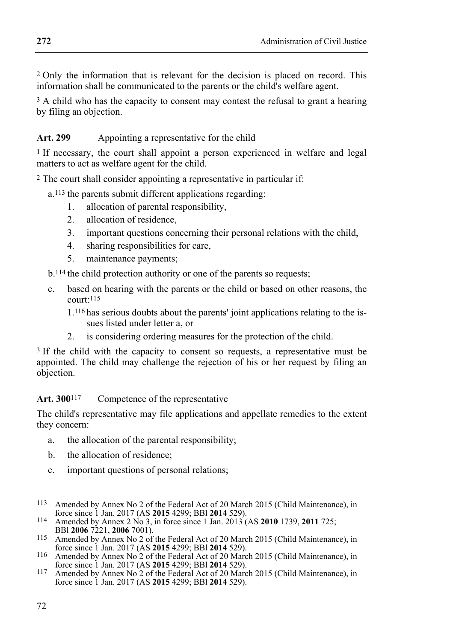2 Only the information that is relevant for the decision is placed on record. This information shall be communicated to the parents or the child's welfare agent.

<sup>3</sup> A child who has the capacity to consent may contest the refusal to grant a hearing by filing an objection.

# Art. 299 Appointing a representative for the child

<sup>1</sup> If necessary, the court shall appoint a person experienced in welfare and legal matters to act as welfare agent for the child.

2 The court shall consider appointing a representative in particular if:

a.113 the parents submit different applications regarding:

- 1. allocation of parental responsibility,
- 2. allocation of residence,
- 3. important questions concerning their personal relations with the child,
- 4. sharing responsibilities for care,
- 5. maintenance payments;

b.114 the child protection authority or one of the parents so requests;

- c. based on hearing with the parents or the child or based on other reasons, the  $constr:115$ 
	- 1.116 has serious doubts about the parents' joint applications relating to the issues listed under letter a, or
	- 2. is considering ordering measures for the protection of the child.

<sup>3</sup> If the child with the capacity to consent so requests, a representative must be appointed. The child may challenge the rejection of his or her request by filing an objection.

# Art. 300<sup>117</sup> Competence of the representative

The child's representative may file applications and appellate remedies to the extent they concern:

- a. the allocation of the parental responsibility;
- b. the allocation of residence;
- c. important questions of personal relations;
- <sup>113</sup> Amended by Annex No 2 of the Federal Act of 20 March 2015 (Child Maintenance), in force since 1 Jan. 2017 (AS **2015** 4299; BBI **2014** 529).
- force since 1 Jan. 2017 (AS **2015** 4299; BBl **2014** 529). 114 Amended by Annex 2 No 3, in force since 1 Jan. 2013 (AS **2010** 1739, **2011** 725;
- <sup>115</sup> Amended by Annex No 2 of the Federal Act of 20 March 2015 (Child Maintenance), in force since 1 Jan. 2017 (AS **2015** 4299: BBI **2014** 529).
- force since 1 Jan. 2017 (AS **2015** 4299; BBl **2014** 529). 116 Amended by Annex No 2 of the Federal Act of 20 March 2015 (Child Maintenance), in
- <sup>117</sup> Amended by Annex No 2 of the Federal Act of 20 March 2015 (Child Maintenance), in force since 1 Jan. 2017 (AS **2015** 4299; BBl **2014** 529).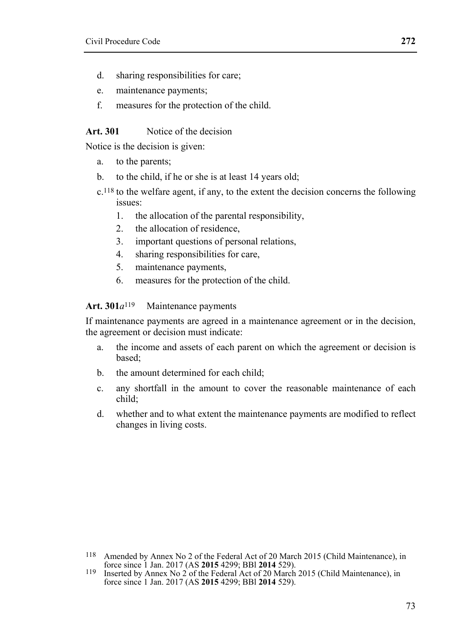- 
- d. sharing responsibilities for care;
- e. maintenance payments;
- f. measures for the protection of the child.

#### **Art. 301** Notice of the decision

Notice is the decision is given:

- a. to the parents;
- b. to the child, if he or she is at least 14 years old;
- c.118 to the welfare agent, if any, to the extent the decision concerns the following issues:
	- 1. the allocation of the parental responsibility,
	- 2. the allocation of residence,
	- 3. important questions of personal relations,
	- 4. sharing responsibilities for care,
	- 5. maintenance payments,
	- 6. measures for the protection of the child.

#### **Art. 301***a*119 Maintenance payments

If maintenance payments are agreed in a maintenance agreement or in the decision, the agreement or decision must indicate:

- a. the income and assets of each parent on which the agreement or decision is based;
- b. the amount determined for each child;
- c. any shortfall in the amount to cover the reasonable maintenance of each child;
- d. whether and to what extent the maintenance payments are modified to reflect changes in living costs.

<sup>&</sup>lt;sup>118</sup> Amended by Annex No 2 of the Federal Act of 20 March 2015 (Child Maintenance), in force since 1 Jan. 2017 (AS **2015** 4299; BBI **2014** 529).

<sup>&</sup>lt;sup>119</sup> Inserted by Annex No 2 of the Federal Act of 20 March 2015 (Child Maintenance), in force since 1 Jan. 2017 (AS **2015** 4299; BBl **2014** 529).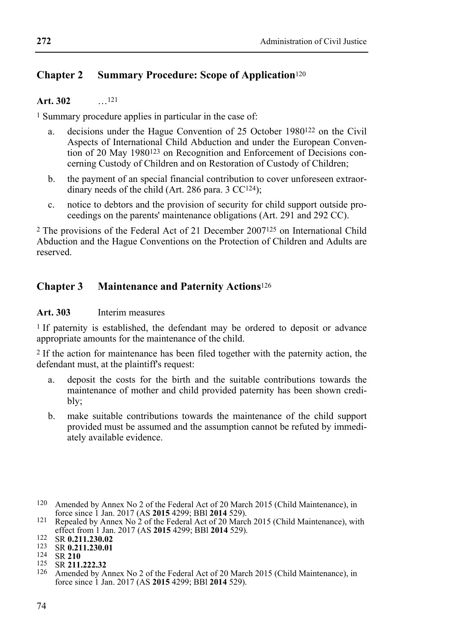## **Chapter 2 Summary Procedure: Scope of Application**<sup>120</sup>

#### **Art. 302** …121

1 Summary procedure applies in particular in the case of:

- a. decisions under the Hague Convention of 25 October 1980122 on the Civil Aspects of International Child Abduction and under the European Convention of 20 May 1980123 on Recognition and Enforcement of Decisions concerning Custody of Children and on Restoration of Custody of Children;
- b. the payment of an special financial contribution to cover unforeseen extraordinary needs of the child (Art. 286 para. 3 CC124);
- c. notice to debtors and the provision of security for child support outside proceedings on the parents' maintenance obligations (Art. 291 and 292 CC).

2 The provisions of the Federal Act of 21 December 2007125 on International Child Abduction and the Hague Conventions on the Protection of Children and Adults are reserved.

### **Chapter 3 Maintenance and Paternity Actions**<sup>126</sup>

### **Art. 303** Interim measures

<sup>1</sup> If paternity is established, the defendant may be ordered to deposit or advance appropriate amounts for the maintenance of the child.

2 If the action for maintenance has been filed together with the paternity action, the defendant must, at the plaintiff's request:

- a. deposit the costs for the birth and the suitable contributions towards the maintenance of mother and child provided paternity has been shown credibly;
- b. make suitable contributions towards the maintenance of the child support provided must be assumed and the assumption cannot be refuted by immediately available evidence.

<sup>&</sup>lt;sup>120</sup> Amended by Annex No 2 of the Federal Act of 20 March 2015 (Child Maintenance), in force since 1 Jan. 2017 (AS **2015** 4299; BBI **2014** 529).

force since 1 Jan. 2017 (AS **2015** 4299; BBl **2014** 529). 121 Repealed by Annex No 2 of the Federal Act of 20 March 2015 (Child Maintenance), with

<sup>122</sup> SR 0.211.230.02<br>
123 SR 0.211.230.01<br>
123 SR 211.222.32<br>
125 SR 211.222.32<br>
126 Amended by Annex No 2 of the Federal Act of 20 March 2015 (Child Maintenance) in force since 1 Jan. 2017 (AS **2015** 4299; BBl **2014** 529).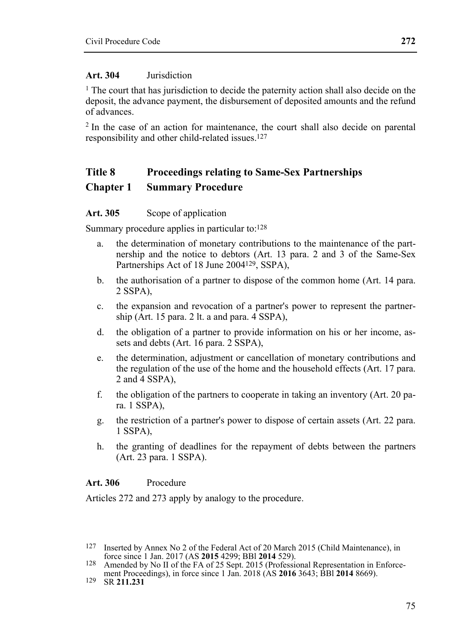#### **Art. 304** Jurisdiction

1 The court that has jurisdiction to decide the paternity action shall also decide on the deposit, the advance payment, the disbursement of deposited amounts and the refund of advances.

2 In the case of an action for maintenance, the court shall also decide on parental responsibility and other child-related issues.127

## **Title 8 Proceedings relating to Same-Sex Partnerships Chapter 1 Summary Procedure**

#### Art. 305 Scope of application

Summary procedure applies in particular to:128

- a. the determination of monetary contributions to the maintenance of the partnership and the notice to debtors (Art. 13 para. 2 and 3 of the Same-Sex Partnerships Act of 18 June 2004<sup>129</sup>, SSPA),
- b. the authorisation of a partner to dispose of the common home (Art. 14 para. 2 SSPA),
- c. the expansion and revocation of a partner's power to represent the partnership (Art. 15 para. 2 lt. a and para. 4 SSPA),
- d. the obligation of a partner to provide information on his or her income, assets and debts (Art. 16 para. 2 SSPA),
- e. the determination, adjustment or cancellation of monetary contributions and the regulation of the use of the home and the household effects (Art. 17 para. 2 and 4 SSPA),
- f. the obligation of the partners to cooperate in taking an inventory (Art. 20 para. 1 SSPA),
- g. the restriction of a partner's power to dispose of certain assets (Art. 22 para. 1 SSPA),
- h. the granting of deadlines for the repayment of debts between the partners (Art. 23 para. 1 SSPA).

#### **Art. 306** Procedure

Articles 272 and 273 apply by analogy to the procedure.

<sup>&</sup>lt;sup>127</sup> Inserted by Annex No 2 of the Federal Act of 20 March 2015 (Child Maintenance), in force since 1 Jan. 2017 (AS **2015** 4299; BBI **2014** 529).

<sup>128</sup> Amended by No II of the FA of 25 Sept. 2015 (Professional Representation in Enforcement Proceedings), in force since 1 Jan. 2018 (AS **2016** 3643; BBl **2014** 8669). 129 SR **211.231**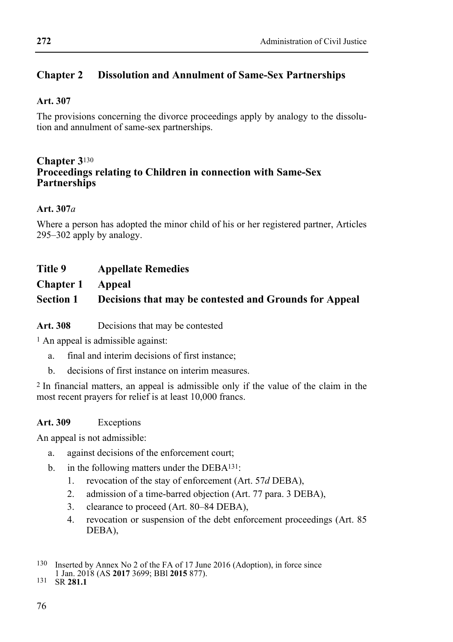## **Chapter 2 Dissolution and Annulment of Same-Sex Partnerships**

## **Art. 307**

The provisions concerning the divorce proceedings apply by analogy to the dissolution and annulment of same-sex partnerships.

# **Chapter 3**130 **Proceedings relating to Children in connection with Same-Sex Partnerships**

## **Art. 307***a*

Where a person has adopted the minor child of his or her registered partner, Articles 295–302 apply by analogy.

## **Title 9 Appellate Remedies**

**Chapter 1 Appeal** 

## **Section 1 Decisions that may be contested and Grounds for Appeal**

Art. 308 Decisions that may be contested

1 An appeal is admissible against:

- a. final and interim decisions of first instance;
- b. decisions of first instance on interim measures.

2 In financial matters, an appeal is admissible only if the value of the claim in the most recent prayers for relief is at least 10,000 francs.

### **Art. 309** Exceptions

An appeal is not admissible:

- a. against decisions of the enforcement court;
- b. in the following matters under the DEBA<sup>131</sup>:
	- 1. revocation of the stay of enforcement (Art. 57*d* DEBA),
	- 2. admission of a time-barred objection (Art. 77 para. 3 DEBA),
	- 3. clearance to proceed (Art. 80–84 DEBA),
	- 4. revocation or suspension of the debt enforcement proceedings (Art. 85 DEBA),

 130 Inserted by Annex No 2 of the FA of 17 June 2016 (Adoption), in force since

<sup>1</sup> Jan. 2018 (AS **2017** 3699; BBl **2015** 877). 131 SR **281.1**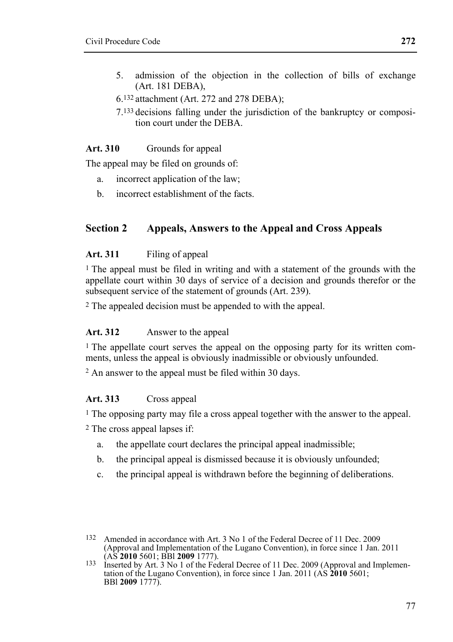- 5. admission of the objection in the collection of bills of exchange (Art. 181 DEBA),
- 6.132 attachment (Art. 272 and 278 DEBA);
- 7.133 decisions falling under the jurisdiction of the bankruptcy or composition court under the DEBA.

#### **Art. 310** Grounds for appeal

The appeal may be filed on grounds of:

- a. incorrect application of the law;
- b. incorrect establishment of the facts.

## **Section 2 Appeals, Answers to the Appeal and Cross Appeals**

#### **Art. 311** Filing of appeal

1 The appeal must be filed in writing and with a statement of the grounds with the appellate court within 30 days of service of a decision and grounds therefor or the subsequent service of the statement of grounds (Art. 239).

2 The appealed decision must be appended to with the appeal.

#### **Art. 312** Answer to the appeal

1 The appellate court serves the appeal on the opposing party for its written comments, unless the appeal is obviously inadmissible or obviously unfounded.

2 An answer to the appeal must be filed within 30 days.

#### **Art. 313** Cross appeal

1 The opposing party may file a cross appeal together with the answer to the appeal.

- 2 The cross appeal lapses if:
	- a. the appellate court declares the principal appeal inadmissible;
	- b. the principal appeal is dismissed because it is obviously unfounded;
	- c. the principal appeal is withdrawn before the beginning of deliberations.

<sup>132</sup> Amended in accordance with Art. 3 No 1 of the Federal Decree of 11 Dec. 2009 (Approval and Implementation of the Lugano Convention), in force since 1 Jan. 2011

<sup>133</sup> Inserted by Art. 3 No 1 of the Federal Decree of 11 Dec. 2009 (Approval and Implementation of the Lugano Convention), in force since 1 Jan. 2011 (AS **2010** 5601; BBl **2009** 1777).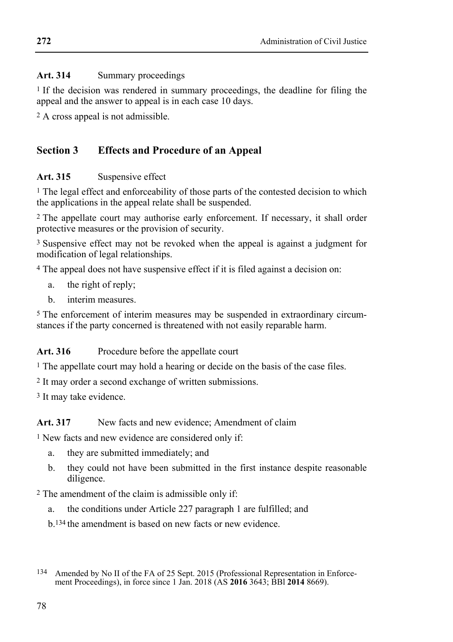## **Art. 314** Summary proceedings

1 If the decision was rendered in summary proceedings, the deadline for filing the appeal and the answer to appeal is in each case 10 days.

2 A cross appeal is not admissible.

## **Section 3 Effects and Procedure of an Appeal**

## **Art. 315** Suspensive effect

<sup>1</sup> The legal effect and enforceability of those parts of the contested decision to which the applications in the appeal relate shall be suspended.

2 The appellate court may authorise early enforcement. If necessary, it shall order protective measures or the provision of security.

3 Suspensive effect may not be revoked when the appeal is against a judgment for modification of legal relationships.

4 The appeal does not have suspensive effect if it is filed against a decision on:

- a. the right of reply;
- b. interim measures.

5 The enforcement of interim measures may be suspended in extraordinary circumstances if the party concerned is threatened with not easily reparable harm.

## Art. 316 Procedure before the appellate court

1 The appellate court may hold a hearing or decide on the basis of the case files.

2 It may order a second exchange of written submissions.

3 It may take evidence.

## Art. 317 New facts and new evidence: Amendment of claim

<sup>1</sup> New facts and new evidence are considered only if:

- a. they are submitted immediately; and
- b. they could not have been submitted in the first instance despite reasonable diligence.

2 The amendment of the claim is admissible only if:

a. the conditions under Article 227 paragraph 1 are fulfilled; and

b.134 the amendment is based on new facts or new evidence.

<sup>134</sup> Amended by No II of the FA of 25 Sept. 2015 (Professional Representation in Enforcement Proceedings), in force since 1 Jan. 2018 (AS **2016** 3643; BBl **2014** 8669).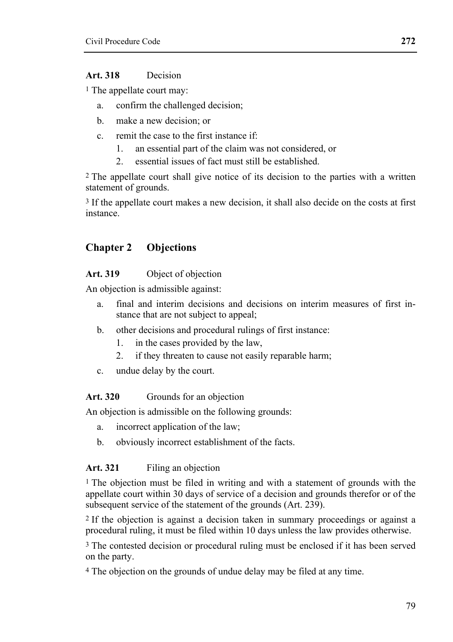### **Art. 318** Decision

1 The appellate court may:

- a. confirm the challenged decision;
- b. make a new decision; or
- c. remit the case to the first instance if:
	- 1. an essential part of the claim was not considered, or
	- 2. essential issues of fact must still be established.

<sup>2</sup> The appellate court shall give notice of its decision to the parties with a written statement of grounds.

<sup>3</sup> If the appellate court makes a new decision, it shall also decide on the costs at first instance.

## **Chapter 2 Objections**

#### **Art. 319** Object of objection

An objection is admissible against:

- a. final and interim decisions and decisions on interim measures of first instance that are not subject to appeal;
- b. other decisions and procedural rulings of first instance:
	- 1. in the cases provided by the law,
	- 2. if they threaten to cause not easily reparable harm;
- c. undue delay by the court.

#### Art. 320 Grounds for an objection

An objection is admissible on the following grounds:

- a. incorrect application of the law;
- b. obviously incorrect establishment of the facts.

#### Art. 321 Filing an objection

<sup>1</sup> The objection must be filed in writing and with a statement of grounds with the appellate court within 30 days of service of a decision and grounds therefor or of the subsequent service of the statement of the grounds (Art. 239).

2 If the objection is against a decision taken in summary proceedings or against a procedural ruling, it must be filed within 10 days unless the law provides otherwise.

3 The contested decision or procedural ruling must be enclosed if it has been served on the party.

4 The objection on the grounds of undue delay may be filed at any time.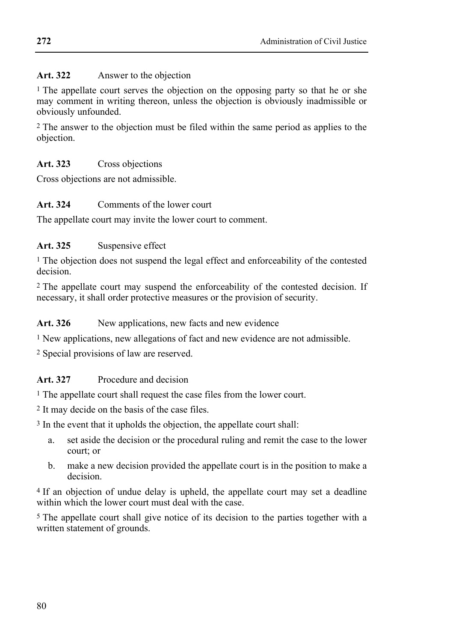## Art. 322 Answer to the objection

1 The appellate court serves the objection on the opposing party so that he or she may comment in writing thereon, unless the objection is obviously inadmissible or obviously unfounded.

2 The answer to the objection must be filed within the same period as applies to the objection.

## **Art. 323** Cross objections

Cross objections are not admissible.

## **Art. 324** Comments of the lower court

The appellate court may invite the lower court to comment.

## Art. 325 Suspensive effect

<sup>1</sup> The objection does not suspend the legal effect and enforceability of the contested decision.

<sup>2</sup> The appellate court may suspend the enforceability of the contested decision. If necessary, it shall order protective measures or the provision of security.

### Art. 326 New applications, new facts and new evidence

1 New applications, new allegations of fact and new evidence are not admissible.

2 Special provisions of law are reserved.

## **Art. 327** Procedure and decision

<sup>1</sup> The appellate court shall request the case files from the lower court.

2 It may decide on the basis of the case files.

3 In the event that it upholds the objection, the appellate court shall:

- a. set aside the decision or the procedural ruling and remit the case to the lower court; or
- b. make a new decision provided the appellate court is in the position to make a decision.

4 If an objection of undue delay is upheld, the appellate court may set a deadline within which the lower court must deal with the case.

5 The appellate court shall give notice of its decision to the parties together with a written statement of grounds.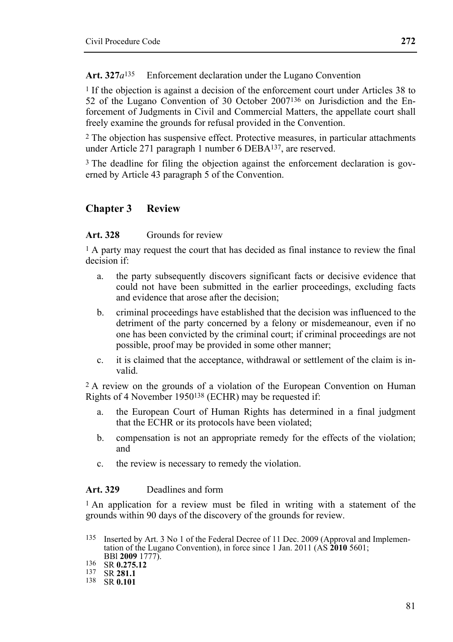Art. 327*a*<sup>135</sup> Enforcement declaration under the Lugano Convention

1 If the objection is against a decision of the enforcement court under Articles 38 to 52 of the Lugano Convention of 30 October 2007136 on Jurisdiction and the Enforcement of Judgments in Civil and Commercial Matters, the appellate court shall freely examine the grounds for refusal provided in the Convention.

2 The objection has suspensive effect. Protective measures, in particular attachments under Article 271 paragraph 1 number 6 DEBA137, are reserved.

<sup>3</sup> The deadline for filing the objection against the enforcement declaration is governed by Article 43 paragraph 5 of the Convention.

## **Chapter 3 Review**

#### **Art. 328** Grounds for review

1 A party may request the court that has decided as final instance to review the final decision if:

- a. the party subsequently discovers significant facts or decisive evidence that could not have been submitted in the earlier proceedings, excluding facts and evidence that arose after the decision;
- b. criminal proceedings have established that the decision was influenced to the detriment of the party concerned by a felony or misdemeanour, even if no one has been convicted by the criminal court; if criminal proceedings are not possible, proof may be provided in some other manner;
- c. it is claimed that the acceptance, withdrawal or settlement of the claim is invalid.

2 A review on the grounds of a violation of the European Convention on Human Rights of 4 November 1950138 (ECHR) may be requested if:

- a. the European Court of Human Rights has determined in a final judgment that the ECHR or its protocols have been violated;
- b. compensation is not an appropriate remedy for the effects of the violation; and
- c. the review is necessary to remedy the violation.

#### **Art. 329** Deadlines and form

1 An application for a review must be filed in writing with a statement of the grounds within 90 days of the discovery of the grounds for review.

 135 Inserted by Art. 3 No 1 of the Federal Decree of 11 Dec. 2009 (Approval and Implementation of the Lugano Convention), in force since 1 Jan. 2011 (AS **2010** 5601;

BBl **2009** 1777). 136 SR **0.275.12** 137 SR **281.1** 138 SR **0.101**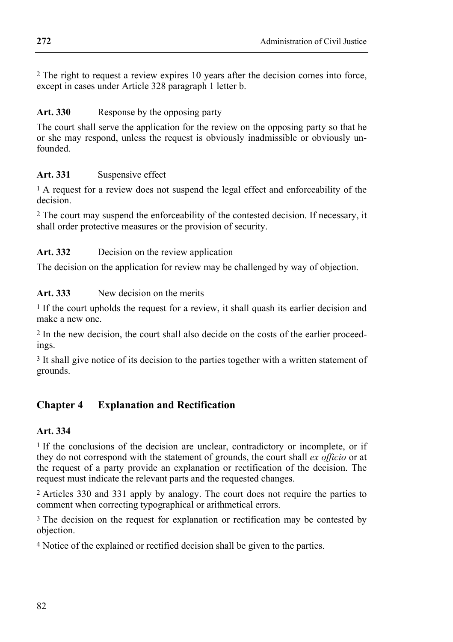2 The right to request a review expires 10 years after the decision comes into force, except in cases under Article 328 paragraph 1 letter b.

## Art. 330 Response by the opposing party

The court shall serve the application for the review on the opposing party so that he or she may respond, unless the request is obviously inadmissible or obviously unfounded.

## Art. 331 Suspensive effect

<sup>1</sup> A request for a review does not suspend the legal effect and enforceability of the decision.

2 The court may suspend the enforceability of the contested decision. If necessary, it shall order protective measures or the provision of security.

## Art. 332 Decision on the review application

The decision on the application for review may be challenged by way of objection.

**Art. 333** New decision on the merits

<sup>1</sup> If the court upholds the request for a review, it shall quash its earlier decision and make a new one.

2 In the new decision, the court shall also decide on the costs of the earlier proceedings.

3 It shall give notice of its decision to the parties together with a written statement of grounds.

# **Chapter 4 Explanation and Rectification**

## **Art. 334**

<sup>1</sup> If the conclusions of the decision are unclear, contradictory or incomplete, or if they do not correspond with the statement of grounds, the court shall *ex officio* or at the request of a party provide an explanation or rectification of the decision. The request must indicate the relevant parts and the requested changes.

2 Articles 330 and 331 apply by analogy. The court does not require the parties to comment when correcting typographical or arithmetical errors.

3 The decision on the request for explanation or rectification may be contested by objection.

4 Notice of the explained or rectified decision shall be given to the parties.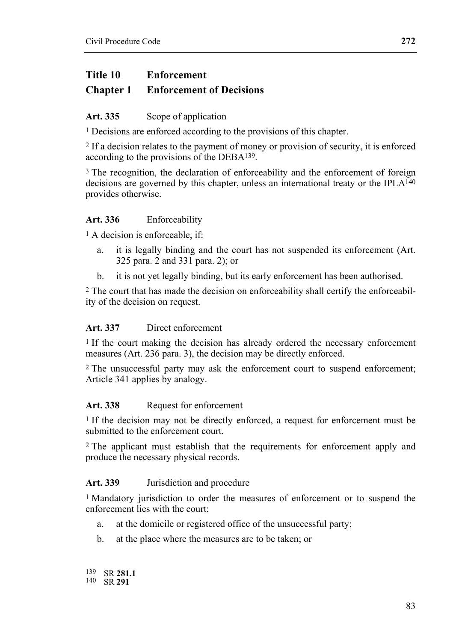## **Title 10 Enforcement Chapter 1 Enforcement of Decisions**

# Art. 335 Scope of application

1 Decisions are enforced according to the provisions of this chapter.

2 If a decision relates to the payment of money or provision of security, it is enforced according to the provisions of the DEBA139.

<sup>3</sup> The recognition, the declaration of enforceability and the enforcement of foreign decisions are governed by this chapter, unless an international treaty or the IPLA<sup>140</sup> provides otherwise.

### **Art. 336** Enforceability

1 A decision is enforceable, if:

- a. it is legally binding and the court has not suspended its enforcement (Art. 325 para. 2 and 331 para. 2); or
- b. it is not yet legally binding, but its early enforcement has been authorised.

2 The court that has made the decision on enforceability shall certify the enforceability of the decision on request.

#### **Art. 337** Direct enforcement

<sup>1</sup> If the court making the decision has already ordered the necessary enforcement measures (Art. 236 para. 3), the decision may be directly enforced.

2 The unsuccessful party may ask the enforcement court to suspend enforcement; Article 341 applies by analogy.

#### Art. 338 Request for enforcement

1 If the decision may not be directly enforced, a request for enforcement must be submitted to the enforcement court.

2 The applicant must establish that the requirements for enforcement apply and produce the necessary physical records.

### **Art. 339** Jurisdiction and procedure

1 Mandatory jurisdiction to order the measures of enforcement or to suspend the enforcement lies with the court:

- a. at the domicile or registered office of the unsuccessful party;
- b. at the place where the measures are to be taken; or

139 SR 281.1 140 SR 291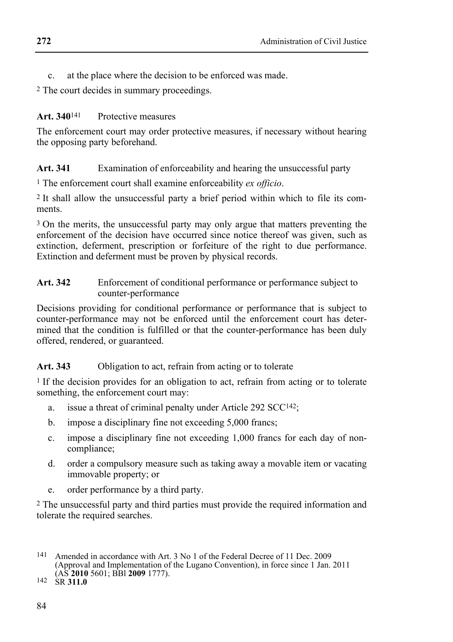c. at the place where the decision to be enforced was made.

2 The court decides in summary proceedings.

## Art. 340<sup>141</sup> Protective measures

The enforcement court may order protective measures, if necessary without hearing the opposing party beforehand.

## **Art. 341** Examination of enforceability and hearing the unsuccessful party

1 The enforcement court shall examine enforceability *ex officio*.

2 It shall allow the unsuccessful party a brief period within which to file its comments.

<sup>3</sup> On the merits, the unsuccessful party may only argue that matters preventing the enforcement of the decision have occurred since notice thereof was given, such as extinction, deferment, prescription or forfeiture of the right to due performance. Extinction and deferment must be proven by physical records.

#### Art. 342 Enforcement of conditional performance or performance subject to counter-performance

Decisions providing for conditional performance or performance that is subject to counter-performance may not be enforced until the enforcement court has determined that the condition is fulfilled or that the counter-performance has been duly offered, rendered, or guaranteed.

### **Art. 343** Obligation to act, refrain from acting or to tolerate

<sup>1</sup> If the decision provides for an obligation to act, refrain from acting or to tolerate something, the enforcement court may:

- a. issue a threat of criminal penalty under Article 292 SCC142;
- b. impose a disciplinary fine not exceeding 5,000 francs;
- c. impose a disciplinary fine not exceeding 1,000 francs for each day of noncompliance;
- d. order a compulsory measure such as taking away a movable item or vacating immovable property; or
- e. order performance by a third party.

2 The unsuccessful party and third parties must provide the required information and tolerate the required searches.

<sup>141</sup> Amended in accordance with Art. 3 No 1 of the Federal Decree of 11 Dec. 2009 (Approval and Implementation of the Lugano Convention), in force since 1 Jan. 2011 (AS **2010** 5601; BBl **2009** 1777). 142 SR **311.0**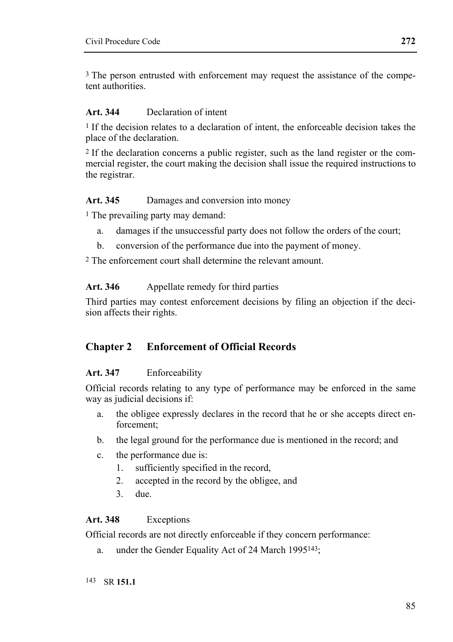<sup>3</sup> The person entrusted with enforcement may request the assistance of the competent authorities.

#### **Art. 344** Declaration of intent

1 If the decision relates to a declaration of intent, the enforceable decision takes the place of the declaration.

2 If the declaration concerns a public register, such as the land register or the commercial register, the court making the decision shall issue the required instructions to the registrar.

#### **Art. 345** Damages and conversion into money

1 The prevailing party may demand:

- a. damages if the unsuccessful party does not follow the orders of the court;
- b. conversion of the performance due into the payment of money.

2 The enforcement court shall determine the relevant amount.

#### Art. 346 Appellate remedy for third parties

Third parties may contest enforcement decisions by filing an objection if the decision affects their rights.

## **Chapter 2 Enforcement of Official Records**

#### **Art. 347** Enforceability

Official records relating to any type of performance may be enforced in the same way as judicial decisions if:

- a. the obligee expressly declares in the record that he or she accepts direct enforcement;
- b. the legal ground for the performance due is mentioned in the record; and
- c. the performance due is:
	- 1. sufficiently specified in the record,
	- 2. accepted in the record by the obligee, and
	- 3. due.

### **Art. 348** Exceptions

Official records are not directly enforceable if they concern performance:

a. under the Gender Equality Act of 24 March 1995143;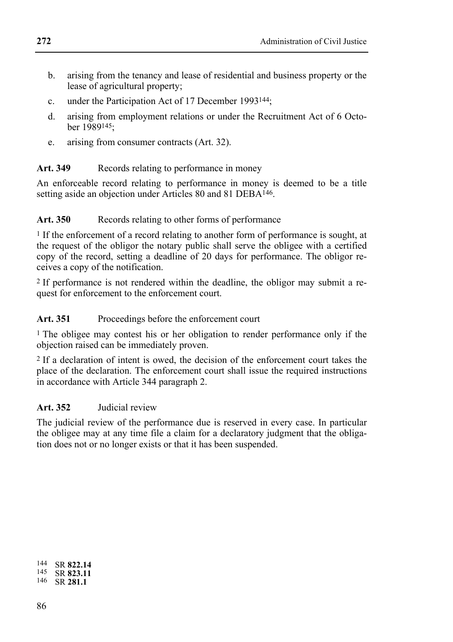- b. arising from the tenancy and lease of residential and business property or the lease of agricultural property;
- c. under the Participation Act of 17 December 1993144;
- d. arising from employment relations or under the Recruitment Act of 6 October 1989145;
- e. arising from consumer contracts (Art. 32).

## Art. 349 Records relating to performance in money

An enforceable record relating to performance in money is deemed to be a title setting aside an objection under Articles 80 and 81 DEBA146.

## Art. 350 Records relating to other forms of performance

1 If the enforcement of a record relating to another form of performance is sought, at the request of the obligor the notary public shall serve the obligee with a certified copy of the record, setting a deadline of 20 days for performance. The obligor receives a copy of the notification.

2 If performance is not rendered within the deadline, the obligor may submit a request for enforcement to the enforcement court.

## Art. 351 Proceedings before the enforcement court

1 The obligee may contest his or her obligation to render performance only if the objection raised can be immediately proven.

2 If a declaration of intent is owed, the decision of the enforcement court takes the place of the declaration. The enforcement court shall issue the required instructions in accordance with Article 344 paragraph 2.

## **Art. 352** Judicial review

The judicial review of the performance due is reserved in every case. In particular the obligee may at any time file a claim for a declaratory judgment that the obligation does not or no longer exists or that it has been suspended.

| 144 | SR 822.14 |
|-----|-----------|
| 145 | SR 823.11 |
| 146 | SR 281.1  |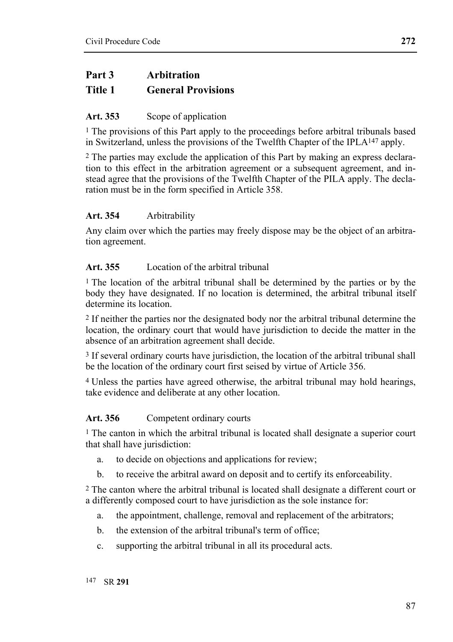## **Part 3 Arbitration**

## **Title 1 General Provisions**

## Art. 353 Scope of application

<sup>1</sup> The provisions of this Part apply to the proceedings before arbitral tribunals based in Switzerland, unless the provisions of the Twelfth Chapter of the IPLA147 apply.

2 The parties may exclude the application of this Part by making an express declaration to this effect in the arbitration agreement or a subsequent agreement, and instead agree that the provisions of the Twelfth Chapter of the PILA apply. The declaration must be in the form specified in Article 358.

## **Art. 354** Arbitrability

Any claim over which the parties may freely dispose may be the object of an arbitration agreement.

### **Art. 355** Location of the arbitral tribunal

1 The location of the arbitral tribunal shall be determined by the parties or by the body they have designated. If no location is determined, the arbitral tribunal itself determine its location.

2 If neither the parties nor the designated body nor the arbitral tribunal determine the location, the ordinary court that would have jurisdiction to decide the matter in the absence of an arbitration agreement shall decide.

3 If several ordinary courts have jurisdiction, the location of the arbitral tribunal shall be the location of the ordinary court first seised by virtue of Article 356.

4 Unless the parties have agreed otherwise, the arbitral tribunal may hold hearings, take evidence and deliberate at any other location.

### Art. 356 Competent ordinary courts

<sup>1</sup> The canton in which the arbitral tribunal is located shall designate a superior court that shall have jurisdiction:

- a. to decide on objections and applications for review;
- b. to receive the arbitral award on deposit and to certify its enforceability.

2 The canton where the arbitral tribunal is located shall designate a different court or a differently composed court to have jurisdiction as the sole instance for:

- a. the appointment, challenge, removal and replacement of the arbitrators;
- b. the extension of the arbitral tribunal's term of office;
- c. supporting the arbitral tribunal in all its procedural acts.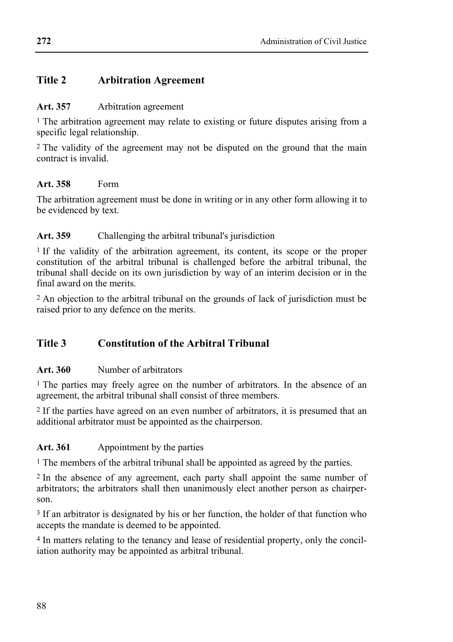## **Title 2 Arbitration Agreement**

#### **Art. 357** Arbitration agreement

1 The arbitration agreement may relate to existing or future disputes arising from a specific legal relationship.

<sup>2</sup> The validity of the agreement may not be disputed on the ground that the main contract is invalid.

#### **Art. 358** Form

The arbitration agreement must be done in writing or in any other form allowing it to be evidenced by text.

### **Art. 359** Challenging the arbitral tribunal's jurisdiction

1 If the validity of the arbitration agreement, its content, its scope or the proper constitution of the arbitral tribunal is challenged before the arbitral tribunal, the tribunal shall decide on its own jurisdiction by way of an interim decision or in the final award on the merits.

2 An objection to the arbitral tribunal on the grounds of lack of jurisdiction must be raised prior to any defence on the merits.

## **Title 3 Constitution of the Arbitral Tribunal**

### **Art. 360** Number of arbitrators

1 The parties may freely agree on the number of arbitrators. In the absence of an agreement, the arbitral tribunal shall consist of three members.

2 If the parties have agreed on an even number of arbitrators, it is presumed that an additional arbitrator must be appointed as the chairperson.

### Art. 361 Appointment by the parties

1 The members of the arbitral tribunal shall be appointed as agreed by the parties.

2 In the absence of any agreement, each party shall appoint the same number of arbitrators; the arbitrators shall then unanimously elect another person as chairperson.

3 If an arbitrator is designated by his or her function, the holder of that function who accepts the mandate is deemed to be appointed.

4 In matters relating to the tenancy and lease of residential property, only the conciliation authority may be appointed as arbitral tribunal.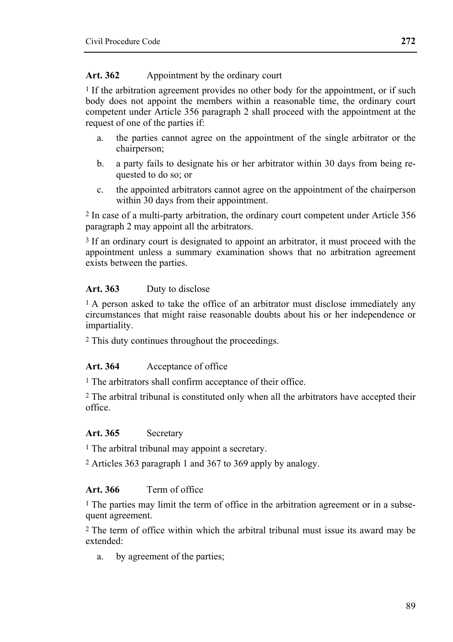### Art. 362 Appointment by the ordinary court

1 If the arbitration agreement provides no other body for the appointment, or if such body does not appoint the members within a reasonable time, the ordinary court competent under Article 356 paragraph 2 shall proceed with the appointment at the request of one of the parties if:

- a. the parties cannot agree on the appointment of the single arbitrator or the chairperson;
- b. a party fails to designate his or her arbitrator within 30 days from being requested to do so; or
- c. the appointed arbitrators cannot agree on the appointment of the chairperson within 30 days from their appointment.

2 In case of a multi-party arbitration, the ordinary court competent under Article 356 paragraph 2 may appoint all the arbitrators.

3 If an ordinary court is designated to appoint an arbitrator, it must proceed with the appointment unless a summary examination shows that no arbitration agreement exists between the parties.

### **Art. 363** Duty to disclose

<sup>1</sup> A person asked to take the office of an arbitrator must disclose immediately any circumstances that might raise reasonable doubts about his or her independence or impartiality.

2 This duty continues throughout the proceedings.

## **Art. 364** Acceptance of office

1 The arbitrators shall confirm acceptance of their office.

2 The arbitral tribunal is constituted only when all the arbitrators have accepted their office.

### **Art. 365** Secretary

1 The arbitral tribunal may appoint a secretary.

2 Articles 363 paragraph 1 and 367 to 369 apply by analogy.

### **Art. 366** Term of office

1 The parties may limit the term of office in the arbitration agreement or in a subsequent agreement.

2 The term of office within which the arbitral tribunal must issue its award may be extended:

a. by agreement of the parties;

**272**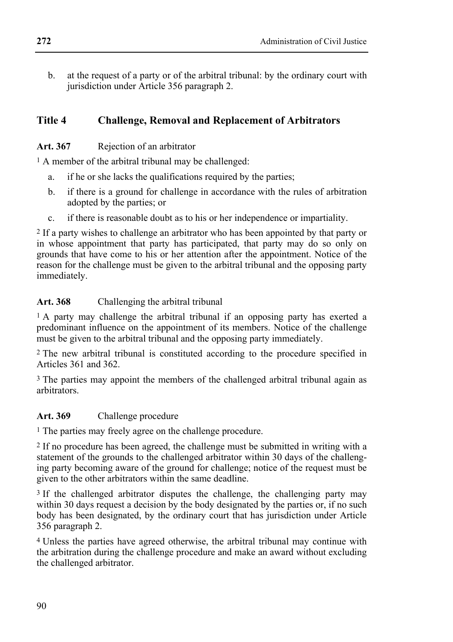b. at the request of a party or of the arbitral tribunal: by the ordinary court with jurisdiction under Article 356 paragraph 2.

# **Title 4 Challenge, Removal and Replacement of Arbitrators**

## **Art. 367** Rejection of an arbitrator

1 A member of the arbitral tribunal may be challenged:

- a. if he or she lacks the qualifications required by the parties;
- b. if there is a ground for challenge in accordance with the rules of arbitration adopted by the parties; or
- c. if there is reasonable doubt as to his or her independence or impartiality.

2 If a party wishes to challenge an arbitrator who has been appointed by that party or in whose appointment that party has participated, that party may do so only on grounds that have come to his or her attention after the appointment. Notice of the reason for the challenge must be given to the arbitral tribunal and the opposing party immediately.

## **Art. 368** Challenging the arbitral tribunal

1 A party may challenge the arbitral tribunal if an opposing party has exerted a predominant influence on the appointment of its members. Notice of the challenge must be given to the arbitral tribunal and the opposing party immediately.

2 The new arbitral tribunal is constituted according to the procedure specified in Articles 361 and 362.

3 The parties may appoint the members of the challenged arbitral tribunal again as arbitrators.

## **Art. 369** Challenge procedure

1 The parties may freely agree on the challenge procedure.

2 If no procedure has been agreed, the challenge must be submitted in writing with a statement of the grounds to the challenged arbitrator within 30 days of the challenging party becoming aware of the ground for challenge; notice of the request must be given to the other arbitrators within the same deadline.

<sup>3</sup> If the challenged arbitrator disputes the challenge, the challenging party may within 30 days request a decision by the body designated by the parties or, if no such body has been designated, by the ordinary court that has jurisdiction under Article 356 paragraph 2.

4 Unless the parties have agreed otherwise, the arbitral tribunal may continue with the arbitration during the challenge procedure and make an award without excluding the challenged arbitrator.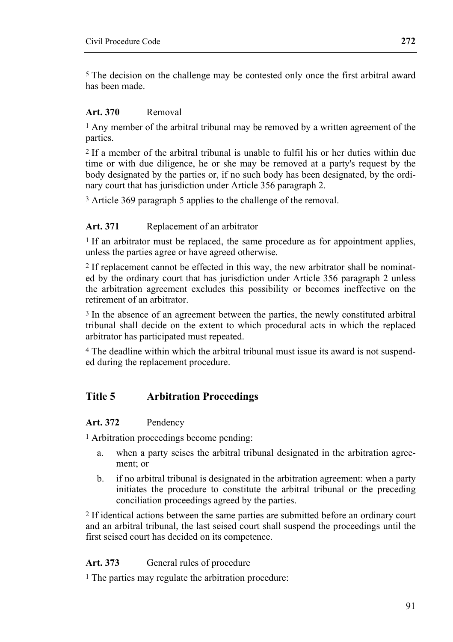5 The decision on the challenge may be contested only once the first arbitral award has been made.

#### **Art. 370** Removal

1 Any member of the arbitral tribunal may be removed by a written agreement of the parties.

2 If a member of the arbitral tribunal is unable to fulfil his or her duties within due time or with due diligence, he or she may be removed at a party's request by the body designated by the parties or, if no such body has been designated, by the ordinary court that has jurisdiction under Article 356 paragraph 2.

3 Article 369 paragraph 5 applies to the challenge of the removal.

#### **Art. 371** Replacement of an arbitrator

<sup>1</sup> If an arbitrator must be replaced, the same procedure as for appointment applies, unless the parties agree or have agreed otherwise.

2 If replacement cannot be effected in this way, the new arbitrator shall be nominated by the ordinary court that has jurisdiction under Article 356 paragraph 2 unless the arbitration agreement excludes this possibility or becomes ineffective on the retirement of an arbitrator.

3 In the absence of an agreement between the parties, the newly constituted arbitral tribunal shall decide on the extent to which procedural acts in which the replaced arbitrator has participated must repeated.

4 The deadline within which the arbitral tribunal must issue its award is not suspended during the replacement procedure.

## **Title 5 Arbitration Proceedings**

#### **Art. 372** Pendency

1 Arbitration proceedings become pending:

- a. when a party seises the arbitral tribunal designated in the arbitration agreement; or
- b. if no arbitral tribunal is designated in the arbitration agreement: when a party initiates the procedure to constitute the arbitral tribunal or the preceding conciliation proceedings agreed by the parties.

2 If identical actions between the same parties are submitted before an ordinary court and an arbitral tribunal, the last seised court shall suspend the proceedings until the first seised court has decided on its competence.

#### Art. 373 General rules of procedure

1 The parties may regulate the arbitration procedure: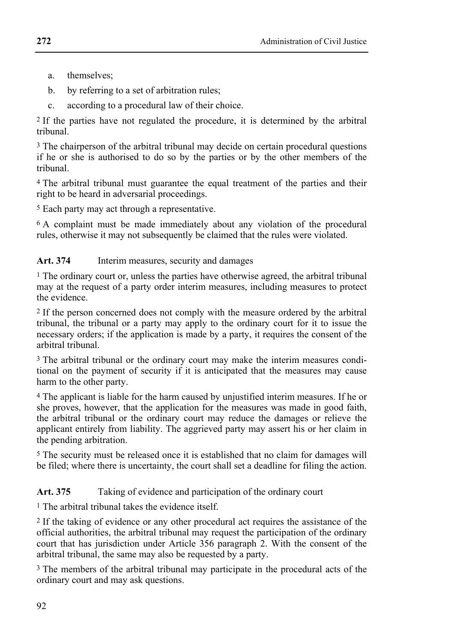- a. themselves;
- b. by referring to a set of arbitration rules;
- c. according to a procedural law of their choice.

2 If the parties have not regulated the procedure, it is determined by the arbitral tribunal.

3 The chairperson of the arbitral tribunal may decide on certain procedural questions if he or she is authorised to do so by the parties or by the other members of the tribunal.

4 The arbitral tribunal must guarantee the equal treatment of the parties and their right to be heard in adversarial proceedings.

5 Each party may act through a representative.

6 A complaint must be made immediately about any violation of the procedural rules, otherwise it may not subsequently be claimed that the rules were violated.

## Art. 374 Interim measures, security and damages

1 The ordinary court or, unless the parties have otherwise agreed, the arbitral tribunal may at the request of a party order interim measures, including measures to protect the evidence.

2 If the person concerned does not comply with the measure ordered by the arbitral tribunal, the tribunal or a party may apply to the ordinary court for it to issue the necessary orders; if the application is made by a party, it requires the consent of the arbitral tribunal.

3 The arbitral tribunal or the ordinary court may make the interim measures conditional on the payment of security if it is anticipated that the measures may cause harm to the other party.

4 The applicant is liable for the harm caused by unjustified interim measures. If he or she proves, however, that the application for the measures was made in good faith, the arbitral tribunal or the ordinary court may reduce the damages or relieve the applicant entirely from liability. The aggrieved party may assert his or her claim in the pending arbitration.

5 The security must be released once it is established that no claim for damages will be filed; where there is uncertainty, the court shall set a deadline for filing the action.

## Art. 375 Taking of evidence and participation of the ordinary court

1 The arbitral tribunal takes the evidence itself.

2 If the taking of evidence or any other procedural act requires the assistance of the official authorities, the arbitral tribunal may request the participation of the ordinary court that has jurisdiction under Article 356 paragraph 2. With the consent of the arbitral tribunal, the same may also be requested by a party.

3 The members of the arbitral tribunal may participate in the procedural acts of the ordinary court and may ask questions.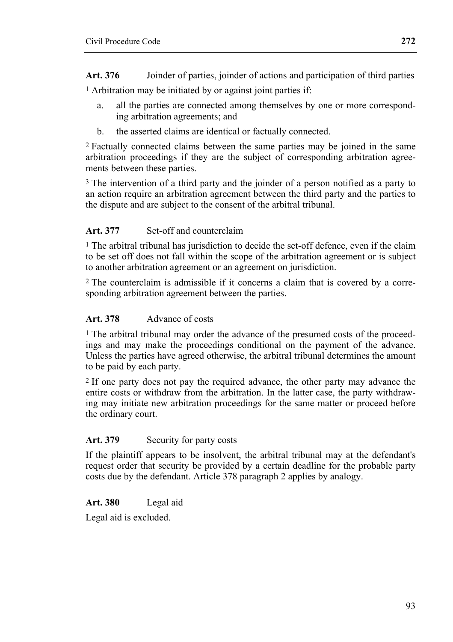**Art. 376** Joinder of parties, joinder of actions and participation of third parties

1 Arbitration may be initiated by or against joint parties if:

- a. all the parties are connected among themselves by one or more corresponding arbitration agreements; and
- b. the asserted claims are identical or factually connected.

2 Factually connected claims between the same parties may be joined in the same arbitration proceedings if they are the subject of corresponding arbitration agreements between these parties.

3 The intervention of a third party and the joinder of a person notified as a party to an action require an arbitration agreement between the third party and the parties to the dispute and are subject to the consent of the arbitral tribunal.

## **Art. 377** Set-off and counterclaim

 $<sup>1</sup>$  The arbitral tribunal has jurisdiction to decide the set-off defence, even if the claim</sup> to be set off does not fall within the scope of the arbitration agreement or is subject to another arbitration agreement or an agreement on jurisdiction.

2 The counterclaim is admissible if it concerns a claim that is covered by a corresponding arbitration agreement between the parties.

## **Art. 378** Advance of costs

1 The arbitral tribunal may order the advance of the presumed costs of the proceedings and may make the proceedings conditional on the payment of the advance. Unless the parties have agreed otherwise, the arbitral tribunal determines the amount to be paid by each party.

2 If one party does not pay the required advance, the other party may advance the entire costs or withdraw from the arbitration. In the latter case, the party withdrawing may initiate new arbitration proceedings for the same matter or proceed before the ordinary court.

### Art. 379 Security for party costs

If the plaintiff appears to be insolvent, the arbitral tribunal may at the defendant's request order that security be provided by a certain deadline for the probable party costs due by the defendant. Article 378 paragraph 2 applies by analogy.

### **Art. 380** Legal aid

Legal aid is excluded.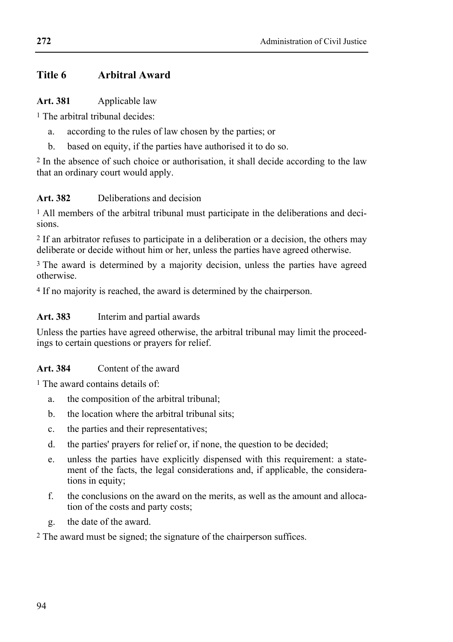## **Title 6 Arbitral Award**

#### **Art. 381** Applicable law

1 The arbitral tribunal decides:

- a. according to the rules of law chosen by the parties; or
- b. based on equity, if the parties have authorised it to do so.

2 In the absence of such choice or authorisation, it shall decide according to the law that an ordinary court would apply.

## **Art. 382** Deliberations and decision

<sup>1</sup> All members of the arbitral tribunal must participate in the deliberations and decisions.

2 If an arbitrator refuses to participate in a deliberation or a decision, the others may deliberate or decide without him or her, unless the parties have agreed otherwise.

<sup>3</sup> The award is determined by a majority decision, unless the parties have agreed otherwise.

4 If no majority is reached, the award is determined by the chairperson.

## **Art. 383** Interim and partial awards

Unless the parties have agreed otherwise, the arbitral tribunal may limit the proceedings to certain questions or prayers for relief.

## **Art. 384** Content of the award

1 The award contains details of:

- a. the composition of the arbitral tribunal;
- b. the location where the arbitral tribunal sits;
- c. the parties and their representatives;
- d. the parties' prayers for relief or, if none, the question to be decided;
- e. unless the parties have explicitly dispensed with this requirement: a statement of the facts, the legal considerations and, if applicable, the considerations in equity;
- f. the conclusions on the award on the merits, as well as the amount and allocation of the costs and party costs;
- g. the date of the award.

2 The award must be signed; the signature of the chairperson suffices.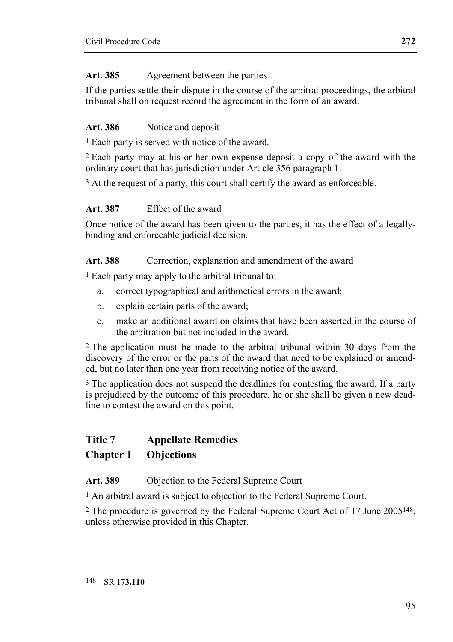### **Art. 385** Agreement between the parties

If the parties settle their dispute in the course of the arbitral proceedings, the arbitral tribunal shall on request record the agreement in the form of an award.

### Art. 386 Notice and deposit

1 Each party is served with notice of the award.

2 Each party may at his or her own expense deposit a copy of the award with the ordinary court that has jurisdiction under Article 356 paragraph 1.

<sup>3</sup> At the request of a party, this court shall certify the award as enforceable.

### **Art. 387** Effect of the award

Once notice of the award has been given to the parties, it has the effect of a legallybinding and enforceable judicial decision.

### Art. 388 Correction, explanation and amendment of the award

1 Each party may apply to the arbitral tribunal to:

- a. correct typographical and arithmetical errors in the award;
- b. explain certain parts of the award;
- c. make an additional award on claims that have been asserted in the course of the arbitration but not included in the award.

2 The application must be made to the arbitral tribunal within 30 days from the discovery of the error or the parts of the award that need to be explained or amended, but no later than one year from receiving notice of the award.

<sup>3</sup> The application does not suspend the deadlines for contesting the award. If a party is prejudiced by the outcome of this procedure, he or she shall be given a new deadline to contest the award on this point.

## **Title 7 Appellate Remedies**

## **Chapter 1 Objections**

**Art. 389** Objection to the Federal Supreme Court

<sup>1</sup> An arbitral award is subject to objection to the Federal Supreme Court.

2 The procedure is governed by the Federal Supreme Court Act of 17 June 2005148, unless otherwise provided in this Chapter.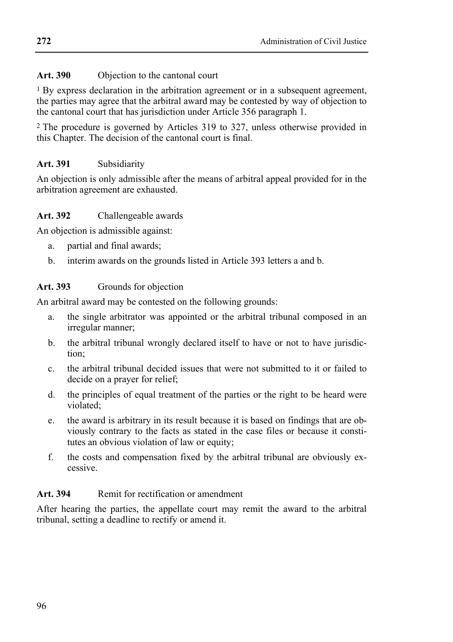### **Art. 390** Objection to the cantonal court

1 By express declaration in the arbitration agreement or in a subsequent agreement, the parties may agree that the arbitral award may be contested by way of objection to the cantonal court that has jurisdiction under Article 356 paragraph 1.

2 The procedure is governed by Articles 319 to 327, unless otherwise provided in this Chapter. The decision of the cantonal court is final.

## **Art. 391** Subsidiarity

An objection is only admissible after the means of arbitral appeal provided for in the arbitration agreement are exhausted.

### **Art. 392** Challengeable awards

An objection is admissible against:

- a. partial and final awards;
- b. interim awards on the grounds listed in Article 393 letters a and b.

## **Art. 393** Grounds for objection

An arbitral award may be contested on the following grounds:

- a. the single arbitrator was appointed or the arbitral tribunal composed in an irregular manner;
- b. the arbitral tribunal wrongly declared itself to have or not to have jurisdiction;
- c. the arbitral tribunal decided issues that were not submitted to it or failed to decide on a prayer for relief;
- d. the principles of equal treatment of the parties or the right to be heard were violated;
- e. the award is arbitrary in its result because it is based on findings that are obviously contrary to the facts as stated in the case files or because it constitutes an obvious violation of law or equity;
- f. the costs and compensation fixed by the arbitral tribunal are obviously excessive.

## Art. 394 Remit for rectification or amendment

After hearing the parties, the appellate court may remit the award to the arbitral tribunal, setting a deadline to rectify or amend it.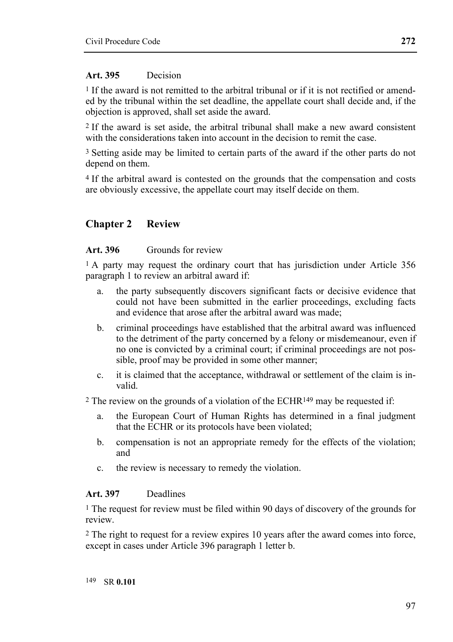### **Art. 395** Decision

1 If the award is not remitted to the arbitral tribunal or if it is not rectified or amended by the tribunal within the set deadline, the appellate court shall decide and, if the objection is approved, shall set aside the award.

2 If the award is set aside, the arbitral tribunal shall make a new award consistent with the considerations taken into account in the decision to remit the case.

3 Setting aside may be limited to certain parts of the award if the other parts do not depend on them.

4 If the arbitral award is contested on the grounds that the compensation and costs are obviously excessive, the appellate court may itself decide on them.

## **Chapter 2 Review**

#### **Art. 396** Grounds for review

<sup>1</sup> A party may request the ordinary court that has jurisdiction under Article 356 paragraph 1 to review an arbitral award if:

- a. the party subsequently discovers significant facts or decisive evidence that could not have been submitted in the earlier proceedings, excluding facts and evidence that arose after the arbitral award was made;
- b. criminal proceedings have established that the arbitral award was influenced to the detriment of the party concerned by a felony or misdemeanour, even if no one is convicted by a criminal court; if criminal proceedings are not possible, proof may be provided in some other manner;
- c. it is claimed that the acceptance, withdrawal or settlement of the claim is invalid.

<sup>2</sup> The review on the grounds of a violation of the ECHR<sup>149</sup> may be requested if:

- a. the European Court of Human Rights has determined in a final judgment that the ECHR or its protocols have been violated;
- b. compensation is not an appropriate remedy for the effects of the violation; and
- c. the review is necessary to remedy the violation.

### **Art. 397** Deadlines

<sup>1</sup> The request for review must be filed within 90 days of discovery of the grounds for review.

2 The right to request for a review expires 10 years after the award comes into force, except in cases under Article 396 paragraph 1 letter b.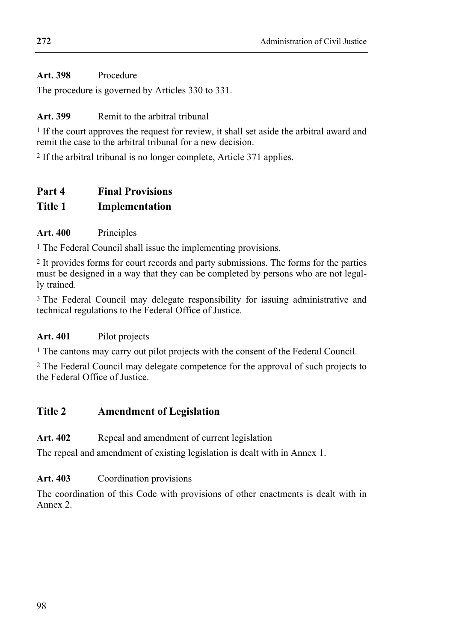## **Art. 398** Procedure

The procedure is governed by Articles 330 to 331.

## Art. 399 Remit to the arbitral tribunal

1 If the court approves the request for review, it shall set aside the arbitral award and remit the case to the arbitral tribunal for a new decision.

2 If the arbitral tribunal is no longer complete, Article 371 applies.

## **Part 4 Final Provisions**

## **Title 1 Implementation**

## **Art. 400** Principles

1 The Federal Council shall issue the implementing provisions.

2 It provides forms for court records and party submissions. The forms for the parties must be designed in a way that they can be completed by persons who are not legally trained.

3 The Federal Council may delegate responsibility for issuing administrative and technical regulations to the Federal Office of Justice.

## **Art. 401** Pilot projects

1 The cantons may carry out pilot projects with the consent of the Federal Council.

2 The Federal Council may delegate competence for the approval of such projects to the Federal Office of Justice.

## **Title 2 Amendment of Legislation**

## Art. 402 Repeal and amendment of current legislation

The repeal and amendment of existing legislation is dealt with in Annex 1.

## **Art. 403** Coordination provisions

The coordination of this Code with provisions of other enactments is dealt with in Annex 2.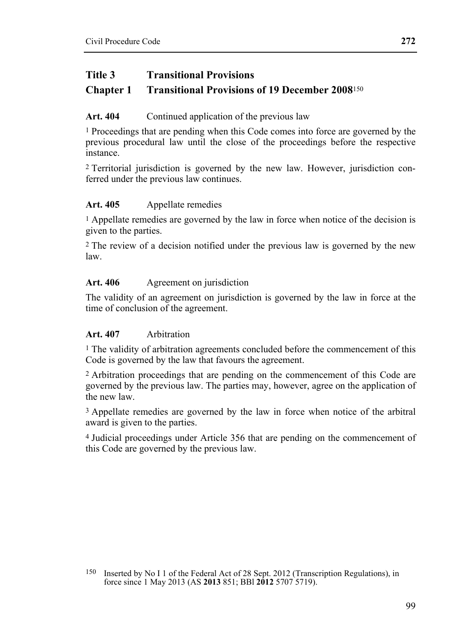## **Title 3 Transitional Provisions**

## **Chapter 1 Transitional Provisions of 19 December 2008**<sup>150</sup>

### Art. 404 Continued application of the previous law

1 Proceedings that are pending when this Code comes into force are governed by the previous procedural law until the close of the proceedings before the respective instance.

2 Territorial jurisdiction is governed by the new law. However, jurisdiction conferred under the previous law continues.

## **Art. 405** Appellate remedies

<sup>1</sup> Appellate remedies are governed by the law in force when notice of the decision is given to the parties.

2 The review of a decision notified under the previous law is governed by the new law.

## Art. 406 Agreement on jurisdiction

The validity of an agreement on jurisdiction is governed by the law in force at the time of conclusion of the agreement.

### **Art. 407** Arbitration

<sup>1</sup> The validity of arbitration agreements concluded before the commencement of this Code is governed by the law that favours the agreement.

2 Arbitration proceedings that are pending on the commencement of this Code are governed by the previous law. The parties may, however, agree on the application of the new law.

<sup>3</sup> Appellate remedies are governed by the law in force when notice of the arbitral award is given to the parties.

4 Judicial proceedings under Article 356 that are pending on the commencement of this Code are governed by the previous law.

<sup>150</sup> Inserted by No I 1 of the Federal Act of 28 Sept. 2012 (Transcription Regulations), in force since 1 May 2013 (AS **2013** 851; BBl **2012** 5707 5719).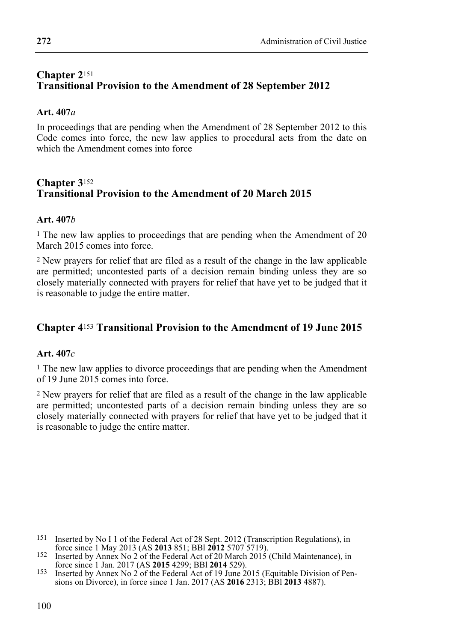## **Chapter 2**<sup>151</sup> **Transitional Provision to the Amendment of 28 September 2012**

#### **Art. 407***a*

In proceedings that are pending when the Amendment of 28 September 2012 to this Code comes into force, the new law applies to procedural acts from the date on which the Amendment comes into force

## **Chapter 3**<sup>152</sup> **Transitional Provision to the Amendment of 20 March 2015**

#### **Art. 407***b*

1 The new law applies to proceedings that are pending when the Amendment of 20 March 2015 comes into force.

2 New prayers for relief that are filed as a result of the change in the law applicable are permitted; uncontested parts of a decision remain binding unless they are so closely materially connected with prayers for relief that have yet to be judged that it is reasonable to judge the entire matter.

## **Chapter 4**153 **Transitional Provision to the Amendment of 19 June 2015**

#### **Art. 407***c*

<sup>1</sup> The new law applies to divorce proceedings that are pending when the Amendment of 19 June 2015 comes into force.

2 New prayers for relief that are filed as a result of the change in the law applicable are permitted; uncontested parts of a decision remain binding unless they are so closely materially connected with prayers for relief that have yet to be judged that it is reasonable to judge the entire matter.

- <sup>151</sup> Inserted by No I 1 of the Federal Act of 28 Sept. 2012 (Transcription Regulations), in force since 1 May 2013 (AS **2013** 851; BBI **2012** 5707 5719).
- force since 1 May 2013 (AS **2013** 6.1; BBl **2012** 3707 5719).<br>
Inserted by Annex No 2 of the Federal Act of 20 March 2015 (Child Maintenance), in<br>
force since 1 Jan. 2017 (AS **2015** 4299; BBl **2014** 529).
- <sup>153</sup> Inserted by Annex No 2 of the Federal Act of 19 June 2015 (Equitable Division of Pensions on Divorce), in force since 1 Jan. 2017 (AS **2016** 2313; BBl **2013** 4887).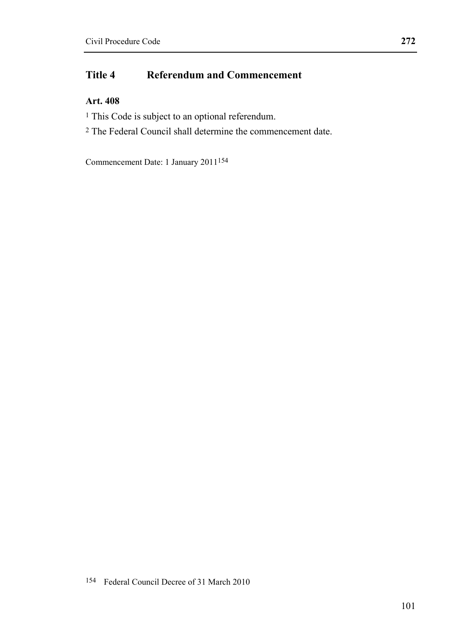# **Title 4 Referendum and Commencement**

## **Art. 408**

- <sup>1</sup> This Code is subject to an optional referendum.
- 2 The Federal Council shall determine the commencement date.

Commencement Date: 1 January 2011154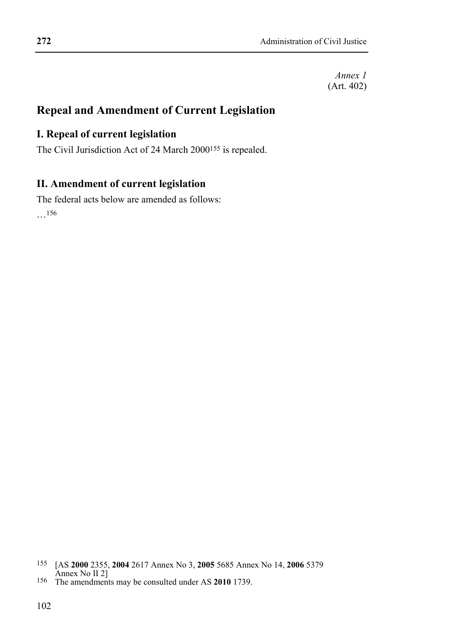## **Repeal and Amendment of Current Legislation**

## **I. Repeal of current legislation**

The Civil Jurisdiction Act of 24 March 2000155 is repealed.

## **II. Amendment of current legislation**

The federal acts below are amended as follows: …156

 155 [AS **2000** 2355, **2004** 2617 Annex No 3, **2005** 5685 Annex No 14, **2006** 5379 Annex No II 2] 156 The amendments may be consulted under AS **2010** 1739.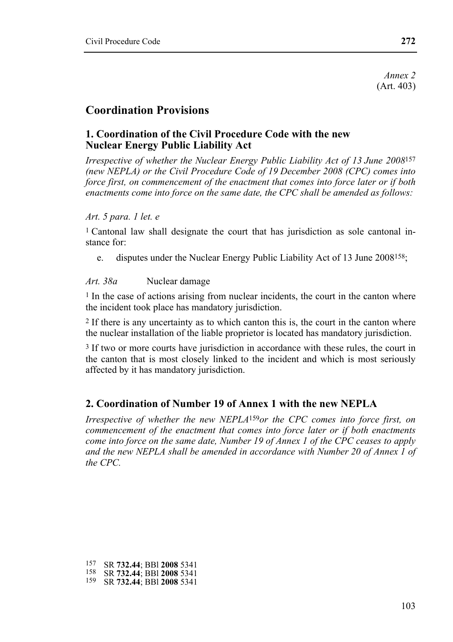*Annex 2*  (Art. 403)

## **Coordination Provisions**

## **1. Coordination of the Civil Procedure Code with the new Nuclear Energy Public Liability Act**

*Irrespective of whether the Nuclear Energy Public Liability Act of 13 June 2008*157 *(new NEPLA) or the Civil Procedure Code of 19 December 2008 (CPC) comes into force first, on commencement of the enactment that comes into force later or if both enactments come into force on the same date, the CPC shall be amended as follows:* 

#### *Art. 5 para. 1 let. e*

1 Cantonal law shall designate the court that has jurisdiction as sole cantonal instance for:

e. disputes under the Nuclear Energy Public Liability Act of 13 June 2008158;

### Art. 38a Nuclear damage

1 In the case of actions arising from nuclear incidents, the court in the canton where the incident took place has mandatory jurisdiction.

2 If there is any uncertainty as to which canton this is, the court in the canton where the nuclear installation of the liable proprietor is located has mandatory jurisdiction.

<sup>3</sup> If two or more courts have jurisdiction in accordance with these rules, the court in the canton that is most closely linked to the incident and which is most seriously affected by it has mandatory jurisdiction.

## **2. Coordination of Number 19 of Annex 1 with the new NEPLA**

*Irrespective of whether the new NEPLA*159*or the CPC comes into force first, on commencement of the enactment that comes into force later or if both enactments come into force on the same date, Number 19 of Annex 1 of the CPC ceases to apply and the new NEPLA shall be amended in accordance with Number 20 of Annex 1 of the CPC.* 

<sup>157</sup> SR **732.44**; BBl **2008** 5341 158 SR **732.44**; BBl **2008** 5341 159 SR **732.44**; BBl **2008** 5341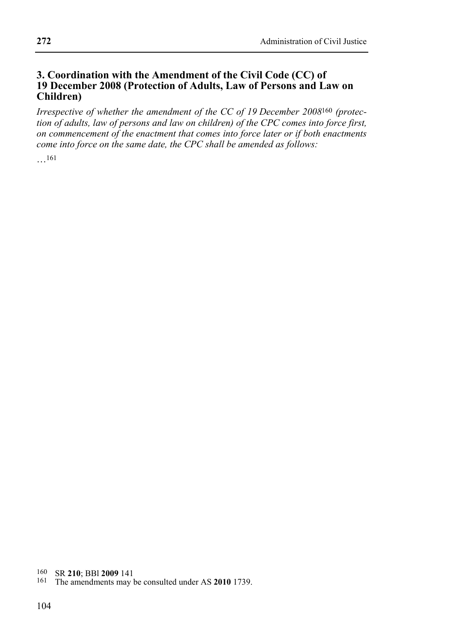## **3. Coordination with the Amendment of the Civil Code (CC) of 19 December 2008 (Protection of Adults, Law of Persons and Law on Children)**

*Irrespective of whether the amendment of the CC of 19 December 2008*160 *(protection of adults, law of persons and law on children) of the CPC comes into force first, on commencement of the enactment that comes into force later or if both enactments come into force on the same date, the CPC shall be amended as follows:* 

…161

160 SR **210**; BBl **2009** 141 161 The amendments may be consulted under AS **2010** 1739.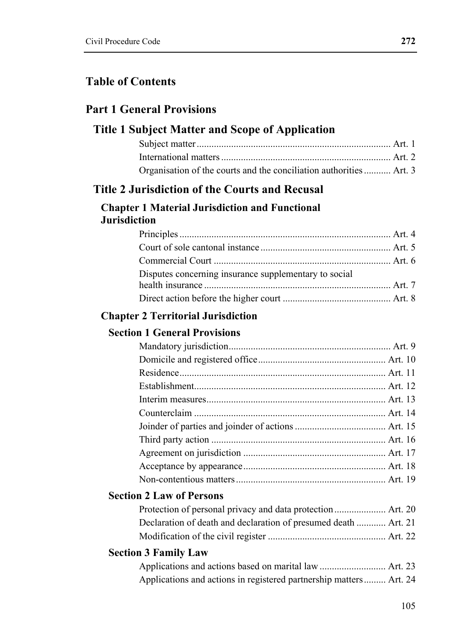# **Table of Contents**

# **Part 1 General Provisions**

## **Title 1 Subject Matter and Scope of Application**

| Organisation of the courts and the conciliation authorities  Art. 3 |  |
|---------------------------------------------------------------------|--|

# **Title 2 Jurisdiction of the Courts and Recusal**

### **Chapter 1 Material Jurisdiction and Functional Jurisdiction**

| Disputes concerning insurance supplementary to social |  |
|-------------------------------------------------------|--|
|                                                       |  |
|                                                       |  |

## **Chapter 2 Territorial Jurisdiction**

## **Section 1 General Provisions**

## **Section 2 Law of Persons**

| Declaration of death and declaration of presumed death  Art. 21 |  |
|-----------------------------------------------------------------|--|
|                                                                 |  |

## **Section 3 Family Law**

| Applications and actions in registered partnership matters Art. 24 |  |
|--------------------------------------------------------------------|--|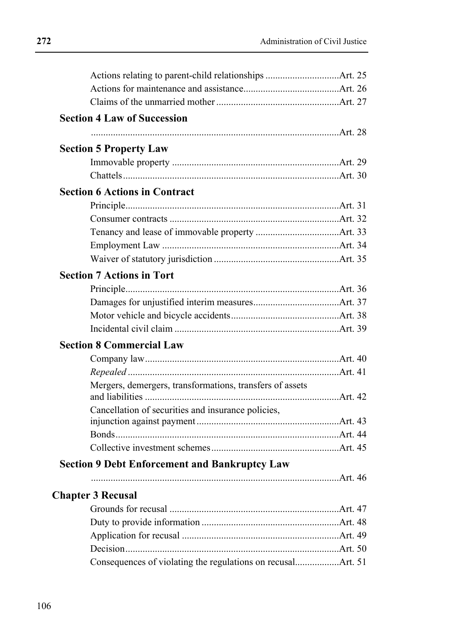|                          | Actions relating to parent-child relationships Art. 25   |  |
|--------------------------|----------------------------------------------------------|--|
|                          |                                                          |  |
|                          |                                                          |  |
|                          | <b>Section 4 Law of Succession</b>                       |  |
|                          |                                                          |  |
|                          | <b>Section 5 Property Law</b>                            |  |
|                          |                                                          |  |
|                          |                                                          |  |
|                          | <b>Section 6 Actions in Contract</b>                     |  |
|                          |                                                          |  |
|                          |                                                          |  |
|                          |                                                          |  |
|                          |                                                          |  |
|                          |                                                          |  |
|                          | <b>Section 7 Actions in Tort</b>                         |  |
|                          |                                                          |  |
|                          |                                                          |  |
|                          |                                                          |  |
|                          |                                                          |  |
|                          | <b>Section 8 Commercial Law</b>                          |  |
|                          |                                                          |  |
|                          |                                                          |  |
|                          | Mergers, demergers, transformations, transfers of assets |  |
|                          |                                                          |  |
|                          | Cancellation of securities and insurance policies,       |  |
|                          |                                                          |  |
|                          |                                                          |  |
|                          |                                                          |  |
|                          | <b>Section 9 Debt Enforcement and Bankruptcy Law</b>     |  |
|                          |                                                          |  |
| <b>Chapter 3 Recusal</b> |                                                          |  |
|                          |                                                          |  |
|                          |                                                          |  |
|                          |                                                          |  |
|                          |                                                          |  |
|                          |                                                          |  |
|                          |                                                          |  |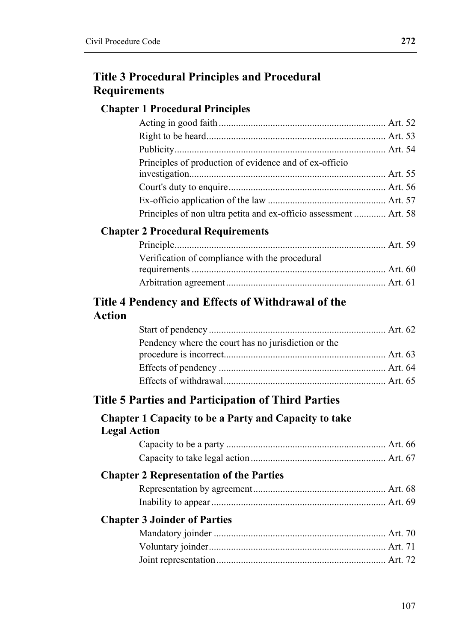# **Title 3 Procedural Principles and Procedural Requirements**

## **Chapter 1 Procedural Principles**

| Principles of production of evidence and of ex-officio            |  |
|-------------------------------------------------------------------|--|
|                                                                   |  |
|                                                                   |  |
|                                                                   |  |
| Principles of non ultra petita and ex-officio assessment  Art. 58 |  |

## **Chapter 2 Procedural Requirements**

| Verification of compliance with the procedural |  |
|------------------------------------------------|--|
|                                                |  |
|                                                |  |

# **Title 4 Pendency and Effects of Withdrawal of the Action**

| Pendency where the court has no jurisdiction or the |  |
|-----------------------------------------------------|--|
|                                                     |  |
|                                                     |  |
|                                                     |  |

## **Title 5 Parties and Participation of Third Parties**

## **Chapter 1 Capacity to be a Party and Capacity to take Legal Action**

# **Chapter 2 Representation of the Parties**

## **Chapter 3 Joinder of Parties**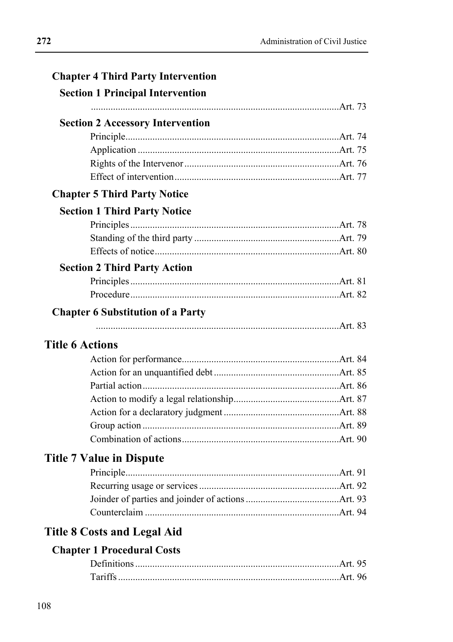| <b>Chapter 4 Third Party Intervention</b><br><b>Section 1 Principal Intervention</b> |  |
|--------------------------------------------------------------------------------------|--|
|                                                                                      |  |
| <b>Section 2 Accessory Intervention</b>                                              |  |
|                                                                                      |  |
|                                                                                      |  |
|                                                                                      |  |
|                                                                                      |  |
| <b>Chapter 5 Third Party Notice</b>                                                  |  |
| <b>Section 1 Third Party Notice</b>                                                  |  |
|                                                                                      |  |
|                                                                                      |  |
|                                                                                      |  |
| <b>Section 2 Third Party Action</b>                                                  |  |
|                                                                                      |  |
|                                                                                      |  |
| <b>Chapter 6 Substitution of a Party</b>                                             |  |
|                                                                                      |  |
| <b>Title 6 Actions</b>                                                               |  |
|                                                                                      |  |
|                                                                                      |  |
|                                                                                      |  |
|                                                                                      |  |
|                                                                                      |  |
|                                                                                      |  |
|                                                                                      |  |
| <b>Title 7 Value in Dispute</b>                                                      |  |
|                                                                                      |  |

# **Title 8 Costs and Legal Aid**

| Tariffs |  |
|---------|--|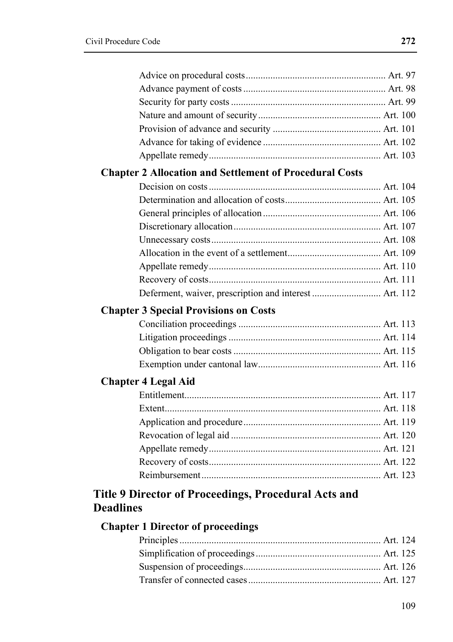| <b>Chapter 2 Allocation and Settlement of Procedural Costs</b> |  |
|----------------------------------------------------------------|--|
|                                                                |  |
|                                                                |  |
|                                                                |  |
|                                                                |  |
|                                                                |  |
|                                                                |  |
|                                                                |  |
|                                                                |  |
|                                                                |  |
| <b>Chapter 3 Special Provisions on Costs</b>                   |  |
|                                                                |  |
|                                                                |  |
|                                                                |  |
|                                                                |  |
| <b>Chapter 4 Legal Aid</b>                                     |  |
|                                                                |  |
|                                                                |  |
|                                                                |  |
|                                                                |  |
|                                                                |  |
|                                                                |  |
|                                                                |  |
| Title 9 Director of Proceedings, Procedural Acts and           |  |
| <b>Deadlines</b>                                               |  |
| <b>Chapter 1 Director of proceedings</b>                       |  |
|                                                                |  |
|                                                                |  |
|                                                                |  |

Transfer of connected cases ...................................................... Art. 127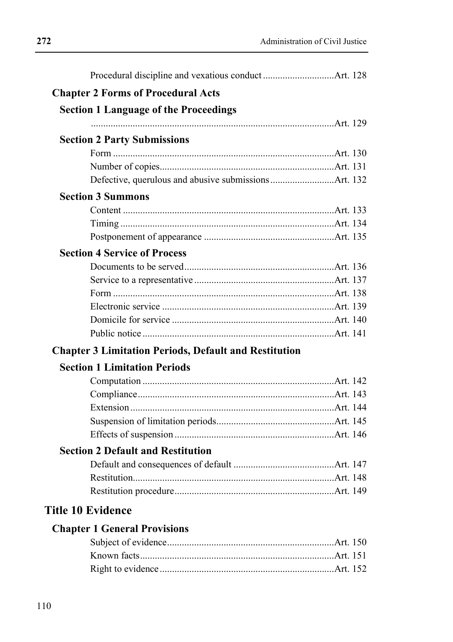| <b>Chapter 2 Forms of Procedural Acts</b>                    |  |
|--------------------------------------------------------------|--|
| <b>Section 1 Language of the Proceedings</b>                 |  |
|                                                              |  |
| <b>Section 2 Party Submissions</b>                           |  |
|                                                              |  |
|                                                              |  |
|                                                              |  |
| <b>Section 3 Summons</b>                                     |  |
|                                                              |  |
|                                                              |  |
|                                                              |  |
| <b>Section 4 Service of Process</b>                          |  |
|                                                              |  |
|                                                              |  |
|                                                              |  |
|                                                              |  |
|                                                              |  |
|                                                              |  |
| <b>Chapter 3 Limitation Periods, Default and Restitution</b> |  |
| <b>Section 1 Limitation Periods</b>                          |  |
|                                                              |  |
|                                                              |  |
|                                                              |  |
|                                                              |  |
|                                                              |  |
| <b>Section 2 Default and Restitution</b>                     |  |
|                                                              |  |
|                                                              |  |
|                                                              |  |
| <b>Title 10 Evidence</b>                                     |  |
| <b>Chapter 1 General Provisions</b>                          |  |
|                                                              |  |
|                                                              |  |
|                                                              |  |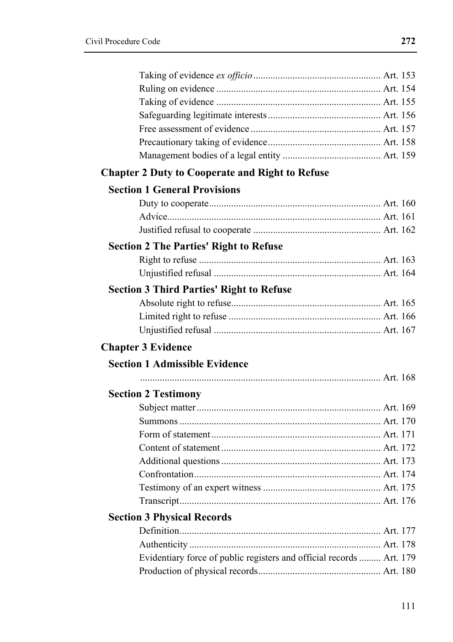| <b>Chapter 2 Duty to Cooperate and Right to Refuse</b>               |  |
|----------------------------------------------------------------------|--|
| <b>Section 1 General Provisions</b>                                  |  |
|                                                                      |  |
|                                                                      |  |
|                                                                      |  |
| <b>Section 2 The Parties' Right to Refuse</b>                        |  |
|                                                                      |  |
|                                                                      |  |
| <b>Section 3 Third Parties' Right to Refuse</b>                      |  |
|                                                                      |  |
|                                                                      |  |
|                                                                      |  |
| <b>Chapter 3 Evidence</b>                                            |  |
| <b>Section 1 Admissible Evidence</b>                                 |  |
|                                                                      |  |
| <b>Section 2 Testimony</b>                                           |  |
|                                                                      |  |
|                                                                      |  |
|                                                                      |  |
|                                                                      |  |
|                                                                      |  |
|                                                                      |  |
|                                                                      |  |
|                                                                      |  |
| <b>Section 3 Physical Records</b>                                    |  |
|                                                                      |  |
|                                                                      |  |
|                                                                      |  |
| Evidentiary force of public registers and official records  Art. 179 |  |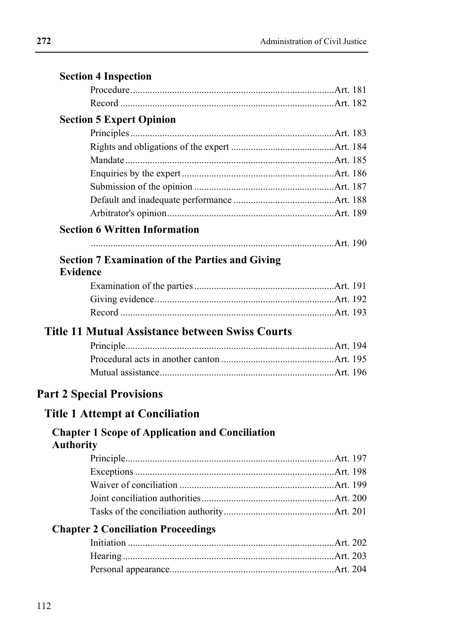|                  | <b>Section 4 Inspection</b>                            |  |
|------------------|--------------------------------------------------------|--|
|                  |                                                        |  |
|                  |                                                        |  |
|                  | <b>Section 5 Expert Opinion</b>                        |  |
|                  |                                                        |  |
|                  |                                                        |  |
|                  |                                                        |  |
|                  |                                                        |  |
|                  |                                                        |  |
|                  |                                                        |  |
|                  |                                                        |  |
|                  | <b>Section 6 Written Information</b>                   |  |
|                  |                                                        |  |
|                  | <b>Section 7 Examination of the Parties and Giving</b> |  |
| Evidence         |                                                        |  |
|                  |                                                        |  |
|                  |                                                        |  |
|                  |                                                        |  |
|                  | <b>Title 11 Mutual Assistance between Swiss Courts</b> |  |
|                  |                                                        |  |
|                  |                                                        |  |
|                  |                                                        |  |
|                  | <b>Part 2 Special Provisions</b>                       |  |
|                  | <b>Title 1 Attempt at Conciliation</b>                 |  |
| <b>Authority</b> | <b>Chapter 1 Scope of Application and Conciliation</b> |  |
|                  |                                                        |  |
|                  |                                                        |  |
|                  |                                                        |  |
|                  |                                                        |  |
|                  |                                                        |  |
|                  | <b>Chapter 2 Conciliation Proceedings</b>              |  |
|                  |                                                        |  |
|                  |                                                        |  |
|                  |                                                        |  |
|                  |                                                        |  |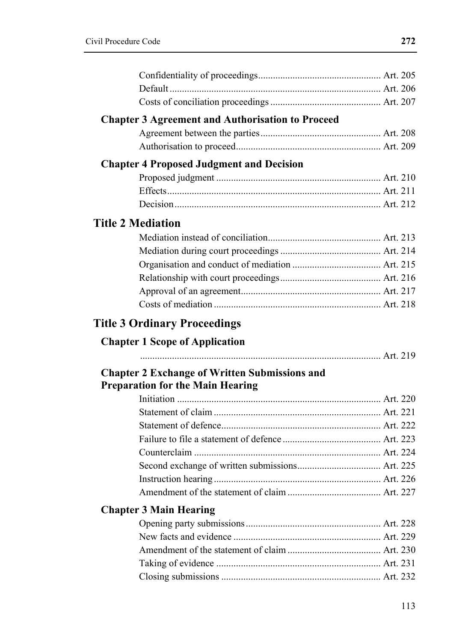| <b>Chapter 3 Agreement and Authorisation to Proceed</b><br><b>Chapter 4 Proposed Judgment and Decision</b><br><b>Title 2 Mediation</b><br><b>Title 3 Ordinary Proceedings</b><br><b>Chapter 1 Scope of Application</b><br><b>Chapter 2 Exchange of Written Submissions and</b><br><b>Preparation for the Main Hearing</b><br><b>Chapter 3 Main Hearing</b> |  |  |
|------------------------------------------------------------------------------------------------------------------------------------------------------------------------------------------------------------------------------------------------------------------------------------------------------------------------------------------------------------|--|--|
|                                                                                                                                                                                                                                                                                                                                                            |  |  |
|                                                                                                                                                                                                                                                                                                                                                            |  |  |
|                                                                                                                                                                                                                                                                                                                                                            |  |  |
|                                                                                                                                                                                                                                                                                                                                                            |  |  |
|                                                                                                                                                                                                                                                                                                                                                            |  |  |
|                                                                                                                                                                                                                                                                                                                                                            |  |  |
|                                                                                                                                                                                                                                                                                                                                                            |  |  |
|                                                                                                                                                                                                                                                                                                                                                            |  |  |
|                                                                                                                                                                                                                                                                                                                                                            |  |  |
|                                                                                                                                                                                                                                                                                                                                                            |  |  |
|                                                                                                                                                                                                                                                                                                                                                            |  |  |
|                                                                                                                                                                                                                                                                                                                                                            |  |  |
|                                                                                                                                                                                                                                                                                                                                                            |  |  |
|                                                                                                                                                                                                                                                                                                                                                            |  |  |
|                                                                                                                                                                                                                                                                                                                                                            |  |  |
|                                                                                                                                                                                                                                                                                                                                                            |  |  |
|                                                                                                                                                                                                                                                                                                                                                            |  |  |
|                                                                                                                                                                                                                                                                                                                                                            |  |  |
|                                                                                                                                                                                                                                                                                                                                                            |  |  |
|                                                                                                                                                                                                                                                                                                                                                            |  |  |
|                                                                                                                                                                                                                                                                                                                                                            |  |  |
|                                                                                                                                                                                                                                                                                                                                                            |  |  |
|                                                                                                                                                                                                                                                                                                                                                            |  |  |
|                                                                                                                                                                                                                                                                                                                                                            |  |  |
|                                                                                                                                                                                                                                                                                                                                                            |  |  |
|                                                                                                                                                                                                                                                                                                                                                            |  |  |
|                                                                                                                                                                                                                                                                                                                                                            |  |  |
|                                                                                                                                                                                                                                                                                                                                                            |  |  |
|                                                                                                                                                                                                                                                                                                                                                            |  |  |
|                                                                                                                                                                                                                                                                                                                                                            |  |  |
|                                                                                                                                                                                                                                                                                                                                                            |  |  |
|                                                                                                                                                                                                                                                                                                                                                            |  |  |
|                                                                                                                                                                                                                                                                                                                                                            |  |  |
|                                                                                                                                                                                                                                                                                                                                                            |  |  |
|                                                                                                                                                                                                                                                                                                                                                            |  |  |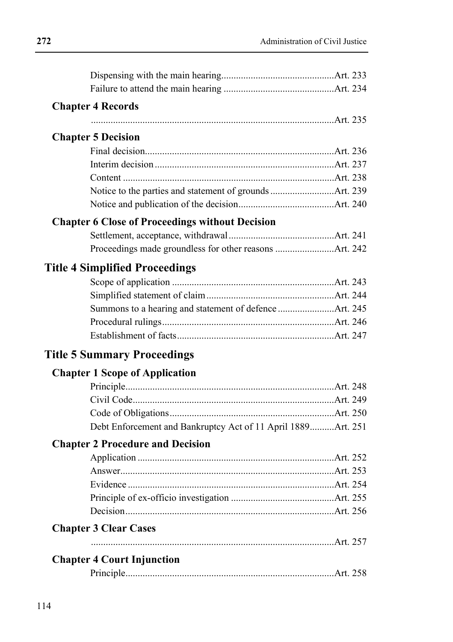| <b>Chapter 4 Records</b>                                     |  |
|--------------------------------------------------------------|--|
|                                                              |  |
| <b>Chapter 5 Decision</b>                                    |  |
|                                                              |  |
|                                                              |  |
|                                                              |  |
|                                                              |  |
|                                                              |  |
|                                                              |  |
| <b>Chapter 6 Close of Proceedings without Decision</b>       |  |
|                                                              |  |
|                                                              |  |
| <b>Title 4 Simplified Proceedings</b>                        |  |
|                                                              |  |
|                                                              |  |
|                                                              |  |
|                                                              |  |
|                                                              |  |
| <b>Title 5 Summary Proceedings</b>                           |  |
| <b>Chapter 1 Scope of Application</b>                        |  |
|                                                              |  |
|                                                              |  |
|                                                              |  |
| Debt Enforcement and Bankruptcy Act of 11 April 1889Art. 251 |  |
| <b>Chapter 2 Procedure and Decision</b>                      |  |
|                                                              |  |
|                                                              |  |
|                                                              |  |
|                                                              |  |
|                                                              |  |
| <b>Chapter 3 Clear Cases</b>                                 |  |
|                                                              |  |
| <b>Chapter 4 Court Injunction</b>                            |  |
|                                                              |  |
|                                                              |  |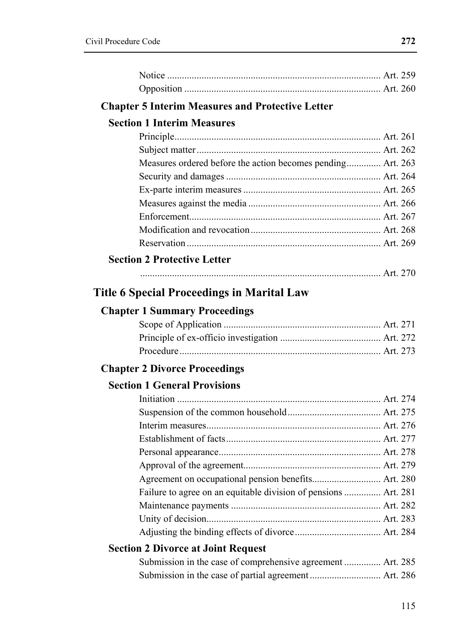|                                                   | <b>Chapter 5 Interim Measures and Protective Letter</b>         |  |
|---------------------------------------------------|-----------------------------------------------------------------|--|
| <b>Section 1 Interim Measures</b>                 |                                                                 |  |
|                                                   |                                                                 |  |
|                                                   |                                                                 |  |
|                                                   | Measures ordered before the action becomes pending Art. 263     |  |
|                                                   |                                                                 |  |
|                                                   |                                                                 |  |
|                                                   |                                                                 |  |
|                                                   |                                                                 |  |
|                                                   |                                                                 |  |
|                                                   |                                                                 |  |
| <b>Section 2 Protective Letter</b>                |                                                                 |  |
|                                                   |                                                                 |  |
| <b>Title 6 Special Proceedings in Marital Law</b> |                                                                 |  |
|                                                   |                                                                 |  |
| <b>Chapter 1 Summary Proceedings</b>              |                                                                 |  |
|                                                   |                                                                 |  |
|                                                   |                                                                 |  |
|                                                   |                                                                 |  |
| <b>Chapter 2 Divorce Proceedings</b>              |                                                                 |  |
| <b>Section 1 General Provisions</b>               |                                                                 |  |
|                                                   |                                                                 |  |
|                                                   |                                                                 |  |
|                                                   |                                                                 |  |
|                                                   |                                                                 |  |
|                                                   |                                                                 |  |
|                                                   |                                                                 |  |
|                                                   | Agreement on occupational pension benefits Art. 280             |  |
|                                                   | Failure to agree on an equitable division of pensions  Art. 281 |  |
|                                                   |                                                                 |  |
|                                                   |                                                                 |  |
|                                                   |                                                                 |  |
| <b>Section 2 Divorce at Joint Request</b>         |                                                                 |  |
|                                                   | Submission in the case of comprehensive agreement  Art. 285     |  |
|                                                   |                                                                 |  |
|                                                   |                                                                 |  |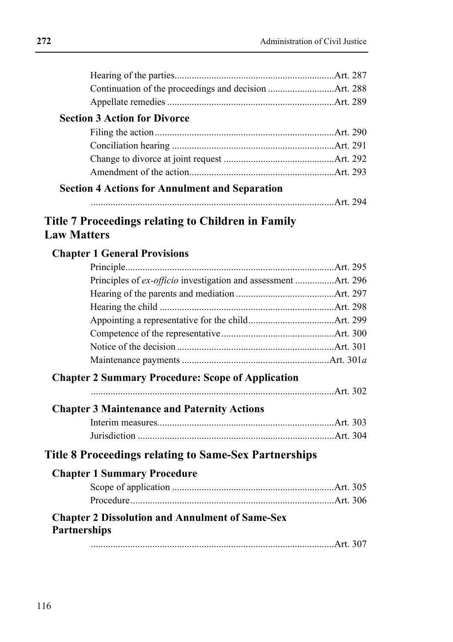|                     | <b>Section 3 Action for Divorce</b>                            |  |
|---------------------|----------------------------------------------------------------|--|
|                     |                                                                |  |
|                     |                                                                |  |
|                     |                                                                |  |
|                     |                                                                |  |
|                     | <b>Section 4 Actions for Annulment and Separation</b>          |  |
|                     |                                                                |  |
|                     |                                                                |  |
|                     | <b>Title 7 Proceedings relating to Children in Family</b>      |  |
| <b>Law Matters</b>  |                                                                |  |
|                     | <b>Chapter 1 General Provisions</b>                            |  |
|                     |                                                                |  |
|                     | Principles of ex-officio investigation and assessment Art. 296 |  |
|                     |                                                                |  |
|                     |                                                                |  |
|                     |                                                                |  |
|                     |                                                                |  |
|                     |                                                                |  |
|                     |                                                                |  |
|                     | <b>Chapter 2 Summary Procedure: Scope of Application</b>       |  |
|                     |                                                                |  |
|                     |                                                                |  |
|                     | <b>Chapter 3 Maintenance and Paternity Actions</b>             |  |
|                     |                                                                |  |
|                     |                                                                |  |
|                     | <b>Title 8 Proceedings relating to Same-Sex Partnerships</b>   |  |
|                     | <b>Chapter 1 Summary Procedure</b>                             |  |
|                     |                                                                |  |
|                     |                                                                |  |
|                     |                                                                |  |
| <b>Partnerships</b> | <b>Chapter 2 Dissolution and Annulment of Same-Sex</b>         |  |
|                     |                                                                |  |
|                     |                                                                |  |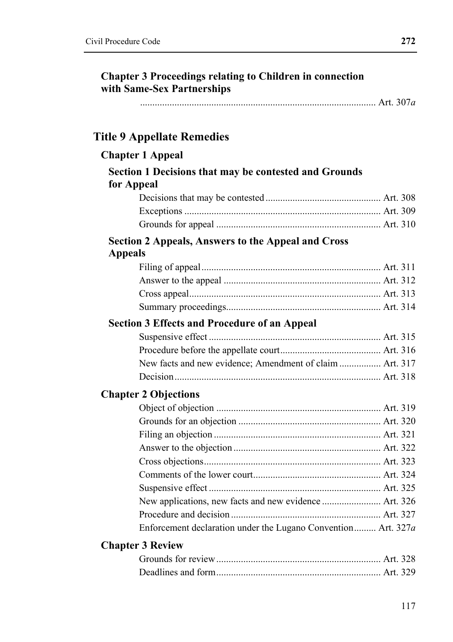| <b>Chapter 3 Proceedings relating to Children in connection</b><br>with Same-Sex Partnerships |  |
|-----------------------------------------------------------------------------------------------|--|
|                                                                                               |  |
| <b>Title 9 Appellate Remedies</b>                                                             |  |
| <b>Chapter 1 Appeal</b>                                                                       |  |
| Section 1 Decisions that may be contested and Grounds<br>for Appeal                           |  |
|                                                                                               |  |
|                                                                                               |  |
|                                                                                               |  |
| <b>Section 2 Appeals, Answers to the Appeal and Cross</b><br><b>Appeals</b>                   |  |
|                                                                                               |  |
|                                                                                               |  |
|                                                                                               |  |
|                                                                                               |  |
| <b>Section 3 Effects and Procedure of an Appeal</b>                                           |  |
|                                                                                               |  |
|                                                                                               |  |
| New facts and new evidence; Amendment of claim  Art. 317                                      |  |
|                                                                                               |  |
| <b>Chapter 2 Objections</b>                                                                   |  |
|                                                                                               |  |
|                                                                                               |  |
|                                                                                               |  |
|                                                                                               |  |
|                                                                                               |  |
|                                                                                               |  |
|                                                                                               |  |
|                                                                                               |  |
|                                                                                               |  |
| Enforcement declaration under the Lugano Convention Art. 327a                                 |  |
| <b>Chapter 3 Review</b>                                                                       |  |
|                                                                                               |  |
|                                                                                               |  |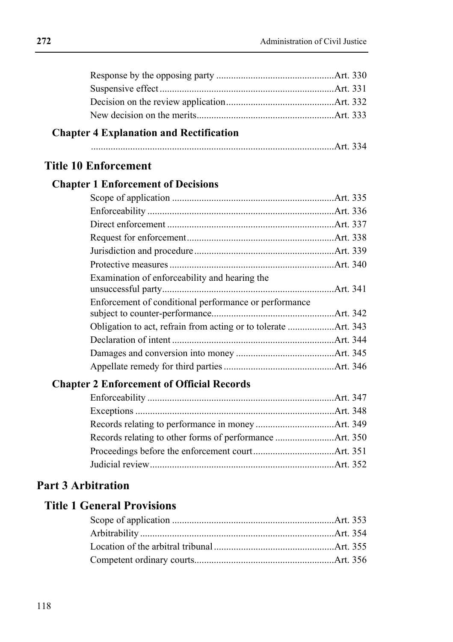#### **Chapter 4 Explanation and Rectification**

|--|

### **Title 10 Enforcement**

#### **Chapter 1 Enforcement of Decisions**

| Examination of enforceability and hearing the         |  |
|-------------------------------------------------------|--|
| Enforcement of conditional performance or performance |  |
|                                                       |  |
|                                                       |  |
|                                                       |  |
|                                                       |  |
|                                                       |  |

#### **Chapter 2 Enforcement of Official Records**

### **Part 3 Arbitration**

### **Title 1 General Provisions**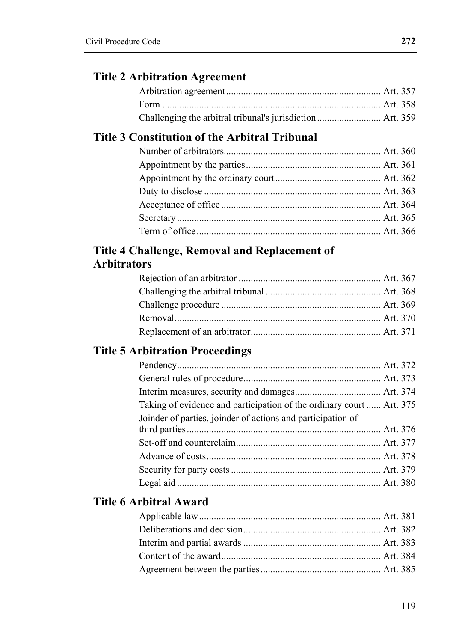#### **Title 2 Arbitration Agreement**

### **Title 3 Constitution of the Arbitral Tribunal**

## **Title 4 Challenge, Removal and Replacement of Arbitrators**

# **Title 5 Arbitration Proceedings**

| Taking of evidence and participation of the ordinary court  Art. 375 |  |
|----------------------------------------------------------------------|--|
| Joinder of parties, joinder of actions and participation of          |  |
|                                                                      |  |
|                                                                      |  |
|                                                                      |  |
|                                                                      |  |
|                                                                      |  |
|                                                                      |  |

## **Title 6 Arbitral Award**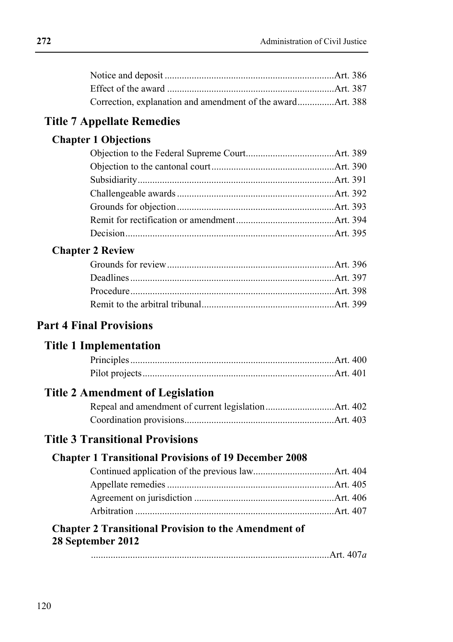#### **Title 7 Appellate Remedies**

### **Chapter 1 Objections**

#### **Chapter 2 Review**

## **Part 4 Final Provisions**

#### **Title 1 Implementation**

#### **Title 2 Amendment of Legislation**

### **Title 3 Transitional Provisions**

#### **Chapter 1 Transitional Provisions of 19 December 2008**

#### **Chapter 2 Transitional Provision to the Amendment of 28 September 2012**